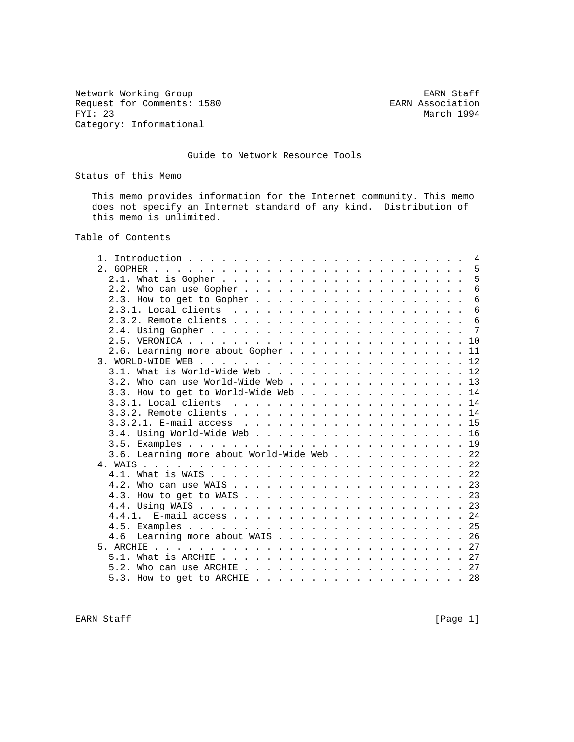Network Working Group<br>
Request for Comments: 1580<br>
EARN Association Request for Comments: 1580<br>FYI: 23 Category: Informational

March 1994

## Guide to Network Resource Tools

Status of this Memo

 This memo provides information for the Internet community. This memo does not specify an Internet standard of any kind. Distribution of this memo is unlimited.

# Table of Contents

| $2.$ GOPHER.                               |  |  |  |  |  |   |
|--------------------------------------------|--|--|--|--|--|---|
|                                            |  |  |  |  |  | 5 |
|                                            |  |  |  |  |  | 6 |
|                                            |  |  |  |  |  | 6 |
|                                            |  |  |  |  |  | 6 |
|                                            |  |  |  |  |  | 6 |
|                                            |  |  |  |  |  |   |
|                                            |  |  |  |  |  |   |
| 2.6. Learning more about Gopher 11         |  |  |  |  |  |   |
|                                            |  |  |  |  |  |   |
| 3.1. What is World-Wide Web 12             |  |  |  |  |  |   |
| 3.2. Who can use World-Wide Web 13         |  |  |  |  |  |   |
| 3.3. How to get to World-Wide Web 14       |  |  |  |  |  |   |
|                                            |  |  |  |  |  |   |
|                                            |  |  |  |  |  |   |
|                                            |  |  |  |  |  |   |
|                                            |  |  |  |  |  |   |
|                                            |  |  |  |  |  |   |
| 3.6. Learning more about World-Wide Web 22 |  |  |  |  |  |   |
|                                            |  |  |  |  |  |   |
|                                            |  |  |  |  |  |   |
|                                            |  |  |  |  |  |   |
|                                            |  |  |  |  |  |   |
|                                            |  |  |  |  |  |   |
|                                            |  |  |  |  |  |   |
|                                            |  |  |  |  |  |   |
| 4.6 Learning more about WAIS 26            |  |  |  |  |  |   |
|                                            |  |  |  |  |  |   |
|                                            |  |  |  |  |  |   |
| 5.2. Who can use ARCHIE $\ldots$ 27        |  |  |  |  |  |   |
|                                            |  |  |  |  |  |   |
|                                            |  |  |  |  |  |   |

EARN Staff [Page 1]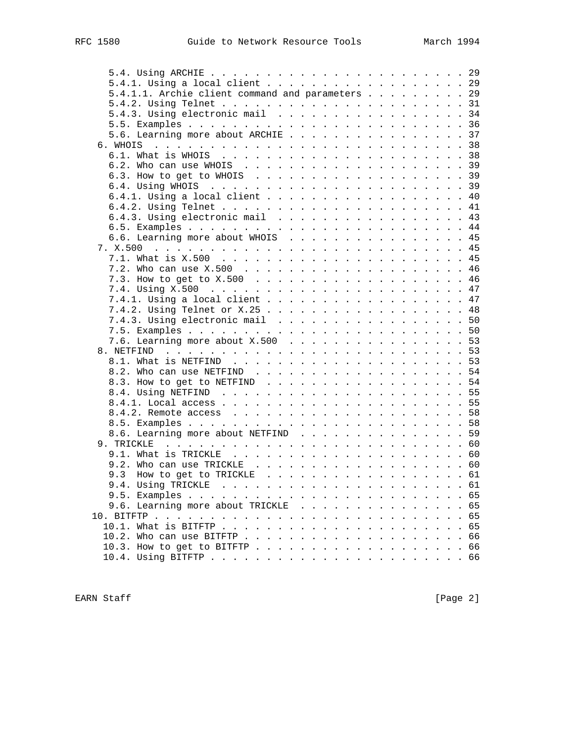| 5.4.1. Using a local client 29                   |  |
|--------------------------------------------------|--|
| 5.4.1.1. Archie client command and parameters 29 |  |
|                                                  |  |
| 5.4.3. Using electronic mail 34                  |  |
|                                                  |  |
| 5.6. Learning more about ARCHIE 37               |  |
|                                                  |  |
|                                                  |  |
|                                                  |  |
|                                                  |  |
|                                                  |  |
| 6.4.1. Using a local client 40                   |  |
|                                                  |  |
|                                                  |  |
| 6.4.3. Using electronic mail 43                  |  |
|                                                  |  |
| 6.6. Learning more about WHOIS 45                |  |
|                                                  |  |
|                                                  |  |
|                                                  |  |
|                                                  |  |
|                                                  |  |
| 7.4.1. Using a local client 47                   |  |
|                                                  |  |
| 7.4.3. Using electronic mail 50                  |  |
|                                                  |  |
| 7.6. Learning more about X.500 53                |  |
|                                                  |  |
|                                                  |  |
|                                                  |  |
| 8.3. How to get to NETFIND 54                    |  |
|                                                  |  |
|                                                  |  |
|                                                  |  |
|                                                  |  |
|                                                  |  |
| 8.6. Learning more about NETFIND 59              |  |
|                                                  |  |
|                                                  |  |
|                                                  |  |
| 9.3 How to get to TRICKLE 61                     |  |
|                                                  |  |
|                                                  |  |
| 9.6. Learning more about TRICKLE 65              |  |
|                                                  |  |
|                                                  |  |
|                                                  |  |
|                                                  |  |
|                                                  |  |
|                                                  |  |

EARN Staff [Page 2]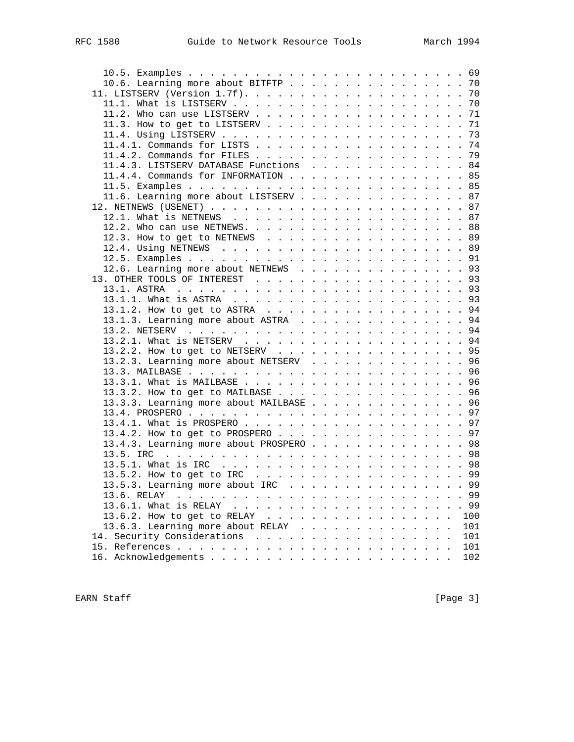| 10.6. Learning more about BITFTP 70     |  |  |  |  |  |      |
|-----------------------------------------|--|--|--|--|--|------|
|                                         |  |  |  |  |  |      |
|                                         |  |  |  |  |  |      |
|                                         |  |  |  |  |  |      |
|                                         |  |  |  |  |  |      |
|                                         |  |  |  |  |  |      |
|                                         |  |  |  |  |  |      |
|                                         |  |  |  |  |  |      |
| 11.4.3. LISTSERV DATABASE Functions 84  |  |  |  |  |  |      |
| 11.4.4. Commands for INFORMATION 85     |  |  |  |  |  |      |
|                                         |  |  |  |  |  |      |
| 11.6. Learning more about LISTSERV 87   |  |  |  |  |  |      |
|                                         |  |  |  |  |  |      |
|                                         |  |  |  |  |  |      |
|                                         |  |  |  |  |  |      |
| 12.3. How to get to NETNEWS 89          |  |  |  |  |  |      |
|                                         |  |  |  |  |  |      |
|                                         |  |  |  |  |  |      |
|                                         |  |  |  |  |  |      |
| 12.6. Learning more about NETNEWS 93    |  |  |  |  |  |      |
|                                         |  |  |  |  |  |      |
|                                         |  |  |  |  |  |      |
|                                         |  |  |  |  |  |      |
| 13.1.2. How to get to ASTRA 94          |  |  |  |  |  |      |
| 13.1.3. Learning more about ASTRA 94    |  |  |  |  |  |      |
|                                         |  |  |  |  |  |      |
|                                         |  |  |  |  |  |      |
| 13.2.2. How to get to NETSERV 95        |  |  |  |  |  |      |
| 13.2.3. Learning more about NETSERV 96  |  |  |  |  |  |      |
|                                         |  |  |  |  |  |      |
|                                         |  |  |  |  |  |      |
| 13.3.2. How to get to MAILBASE 96       |  |  |  |  |  |      |
| 13.3.3. Learning more about MAILBASE 96 |  |  |  |  |  |      |
|                                         |  |  |  |  |  |      |
|                                         |  |  |  |  |  |      |
| 13.4.2. How to get to PROSPERO 97       |  |  |  |  |  |      |
| 13.4.3. Learning more about PROSPERO 98 |  |  |  |  |  |      |
|                                         |  |  |  |  |  |      |
|                                         |  |  |  |  |  |      |
|                                         |  |  |  |  |  |      |
| 13.5.3. Learning more about IRC 99      |  |  |  |  |  |      |
| 13.6. RELAY                             |  |  |  |  |  | . 99 |
| 13.6.1. What is RELAY                   |  |  |  |  |  | 99   |
| 13.6.2. How to get to RELAY             |  |  |  |  |  | 100  |
| 13.6.3. Learning more about RELAY       |  |  |  |  |  | 101  |
| 14. Security Considerations             |  |  |  |  |  | 101  |
|                                         |  |  |  |  |  | 101  |
|                                         |  |  |  |  |  | 102  |
|                                         |  |  |  |  |  |      |

EARN Staff [Page 3]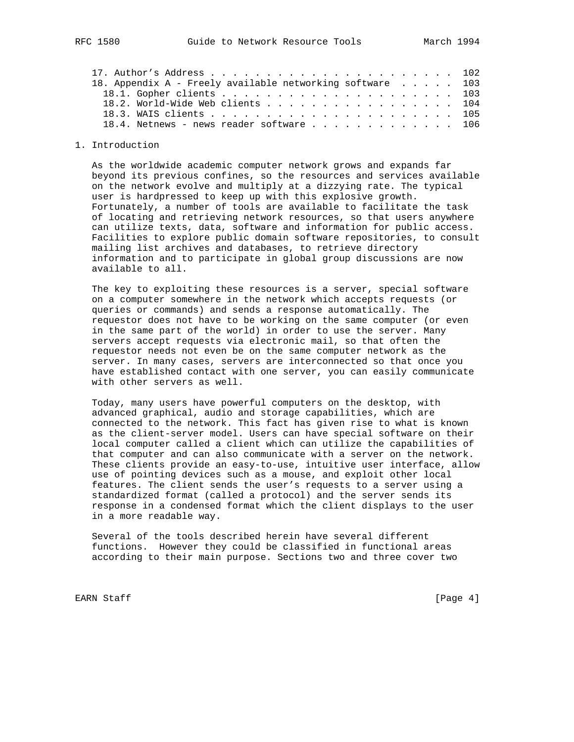| 18. Appendix A - Freely available networking software 103 |  |  |  |  |
|-----------------------------------------------------------|--|--|--|--|
|                                                           |  |  |  |  |
| 18.2. World-Wide Web clients 104                          |  |  |  |  |
|                                                           |  |  |  |  |
| 18.4. Netnews - news reader software 106                  |  |  |  |  |
|                                                           |  |  |  |  |

1. Introduction

 As the worldwide academic computer network grows and expands far beyond its previous confines, so the resources and services available on the network evolve and multiply at a dizzying rate. The typical user is hardpressed to keep up with this explosive growth. Fortunately, a number of tools are available to facilitate the task of locating and retrieving network resources, so that users anywhere can utilize texts, data, software and information for public access. Facilities to explore public domain software repositories, to consult mailing list archives and databases, to retrieve directory information and to participate in global group discussions are now available to all.

 The key to exploiting these resources is a server, special software on a computer somewhere in the network which accepts requests (or queries or commands) and sends a response automatically. The requestor does not have to be working on the same computer (or even in the same part of the world) in order to use the server. Many servers accept requests via electronic mail, so that often the requestor needs not even be on the same computer network as the server. In many cases, servers are interconnected so that once you have established contact with one server, you can easily communicate with other servers as well.

 Today, many users have powerful computers on the desktop, with advanced graphical, audio and storage capabilities, which are connected to the network. This fact has given rise to what is known as the client-server model. Users can have special software on their local computer called a client which can utilize the capabilities of that computer and can also communicate with a server on the network. These clients provide an easy-to-use, intuitive user interface, allow use of pointing devices such as a mouse, and exploit other local features. The client sends the user's requests to a server using a standardized format (called a protocol) and the server sends its response in a condensed format which the client displays to the user in a more readable way.

 Several of the tools described herein have several different functions. However they could be classified in functional areas according to their main purpose. Sections two and three cover two

EARN Staff [Page 4]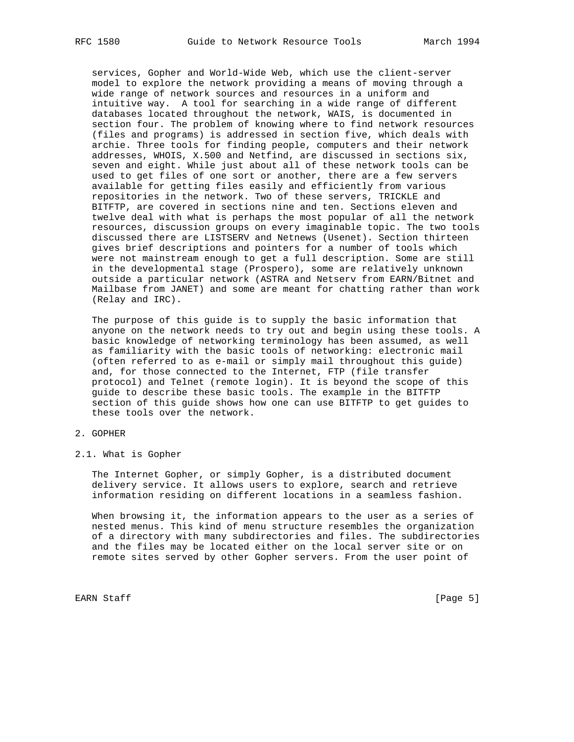services, Gopher and World-Wide Web, which use the client-server model to explore the network providing a means of moving through a wide range of network sources and resources in a uniform and intuitive way. A tool for searching in a wide range of different databases located throughout the network, WAIS, is documented in section four. The problem of knowing where to find network resources (files and programs) is addressed in section five, which deals with archie. Three tools for finding people, computers and their network addresses, WHOIS, X.500 and Netfind, are discussed in sections six, seven and eight. While just about all of these network tools can be used to get files of one sort or another, there are a few servers available for getting files easily and efficiently from various repositories in the network. Two of these servers, TRICKLE and BITFTP, are covered in sections nine and ten. Sections eleven and twelve deal with what is perhaps the most popular of all the network resources, discussion groups on every imaginable topic. The two tools discussed there are LISTSERV and Netnews (Usenet). Section thirteen gives brief descriptions and pointers for a number of tools which were not mainstream enough to get a full description. Some are still in the developmental stage (Prospero), some are relatively unknown outside a particular network (ASTRA and Netserv from EARN/Bitnet and Mailbase from JANET) and some are meant for chatting rather than work (Relay and IRC).

 The purpose of this guide is to supply the basic information that anyone on the network needs to try out and begin using these tools. A basic knowledge of networking terminology has been assumed, as well as familiarity with the basic tools of networking: electronic mail (often referred to as e-mail or simply mail throughout this guide) and, for those connected to the Internet, FTP (file transfer protocol) and Telnet (remote login). It is beyond the scope of this guide to describe these basic tools. The example in the BITFTP section of this guide shows how one can use BITFTP to get guides to these tools over the network.

#### 2. GOPHER

2.1. What is Gopher

 The Internet Gopher, or simply Gopher, is a distributed document delivery service. It allows users to explore, search and retrieve information residing on different locations in a seamless fashion.

 When browsing it, the information appears to the user as a series of nested menus. This kind of menu structure resembles the organization of a directory with many subdirectories and files. The subdirectories and the files may be located either on the local server site or on remote sites served by other Gopher servers. From the user point of

EARN Staff [Page 5]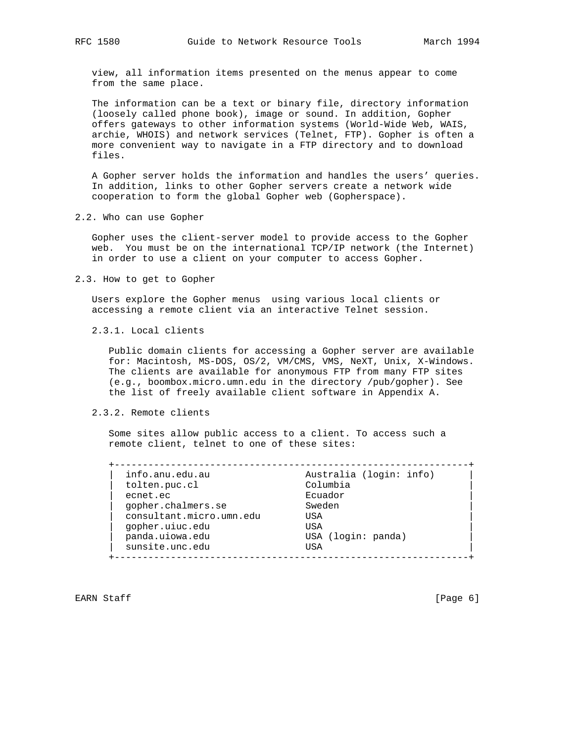view, all information items presented on the menus appear to come from the same place.

 The information can be a text or binary file, directory information (loosely called phone book), image or sound. In addition, Gopher offers gateways to other information systems (World-Wide Web, WAIS, archie, WHOIS) and network services (Telnet, FTP). Gopher is often a more convenient way to navigate in a FTP directory and to download files.

 A Gopher server holds the information and handles the users' queries. In addition, links to other Gopher servers create a network wide cooperation to form the global Gopher web (Gopherspace).

2.2. Who can use Gopher

 Gopher uses the client-server model to provide access to the Gopher web. You must be on the international TCP/IP network (the Internet) in order to use a client on your computer to access Gopher.

2.3. How to get to Gopher

 Users explore the Gopher menus using various local clients or accessing a remote client via an interactive Telnet session.

2.3.1. Local clients

 Public domain clients for accessing a Gopher server are available for: Macintosh, MS-DOS, OS/2, VM/CMS, VMS, NeXT, Unix, X-Windows. The clients are available for anonymous FTP from many FTP sites (e.g., boombox.micro.umn.edu in the directory /pub/gopher). See the list of freely available client software in Appendix A.

#### 2.3.2. Remote clients

 Some sites allow public access to a client. To access such a remote client, telnet to one of these sites:

| info.anu.edu.au          | Australia (login: info) |
|--------------------------|-------------------------|
| tolten.puc.cl            | Columbia                |
| ecnet.ec                 | Ecuador                 |
| gopher.chalmers.se       | Sweden                  |
| consultant.micro.umn.edu | USA                     |
| qopher.uiuc.edu          | USA                     |
| panda.uiowa.edu          | USA (login: panda)      |
| sunsite.unc.edu          | USA                     |

EARN Staff [Page 6]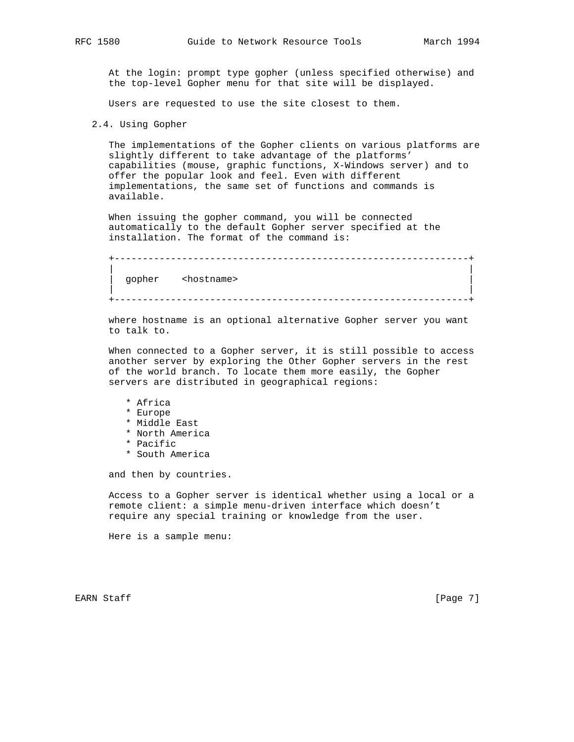At the login: prompt type gopher (unless specified otherwise) and the top-level Gopher menu for that site will be displayed.

Users are requested to use the site closest to them.

```
 2.4. Using Gopher
```
 The implementations of the Gopher clients on various platforms are slightly different to take advantage of the platforms' capabilities (mouse, graphic functions, X-Windows server) and to offer the popular look and feel. Even with different implementations, the same set of functions and commands is available.

 When issuing the gopher command, you will be connected automatically to the default Gopher server specified at the installation. The format of the command is:

```
 +---------------------------------------------------------------+
 | |
   gopher <hostname>
 | |
    +---------------------------------------------------------------+
```
 where hostname is an optional alternative Gopher server you want to talk to.

 When connected to a Gopher server, it is still possible to access another server by exploring the Other Gopher servers in the rest of the world branch. To locate them more easily, the Gopher servers are distributed in geographical regions:

- \* Africa
- \* Europe
- \* Middle East
- \* North America
- \* Pacific
- \* South America

and then by countries.

 Access to a Gopher server is identical whether using a local or a remote client: a simple menu-driven interface which doesn't require any special training or knowledge from the user.

Here is a sample menu:

EARN Staff [Page 7]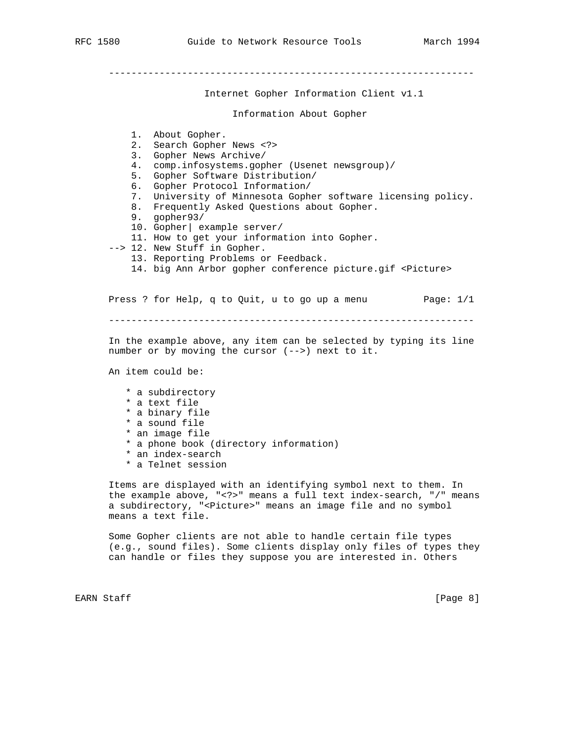----------------------------------------------------------------- Internet Gopher Information Client v1.1 Information About Gopher 1. About Gopher. 2. Search Gopher News <?> 3. Gopher News Archive/ 4. comp.infosystems.gopher (Usenet newsgroup)/ 5. Gopher Software Distribution/ 6. Gopher Protocol Information/ 7. University of Minnesota Gopher software licensing policy. 8. Frequently Asked Questions about Gopher. 9. gopher93/ 10. Gopher| example server/ 11. How to get your information into Gopher. --> 12. New Stuff in Gopher. 13. Reporting Problems or Feedback. 14. big Ann Arbor gopher conference picture.gif <Picture> Press ? for Help, q to Quit, u to go up a menu Page:  $1/1$  ----------------------------------------------------------------- In the example above, any item can be selected by typing its line number or by moving the cursor (-->) next to it. An item could be: \* a subdirectory \* a text file \* a binary file \* a sound file \* an image file \* a phone book (directory information) \* an index-search \* a Telnet session Items are displayed with an identifying symbol next to them. In

 the example above, "<?>" means a full text index-search, "/" means a subdirectory, "<Picture>" means an image file and no symbol means a text file.

 Some Gopher clients are not able to handle certain file types (e.g., sound files). Some clients display only files of types they can handle or files they suppose you are interested in. Others

EARN Staff [Page 8]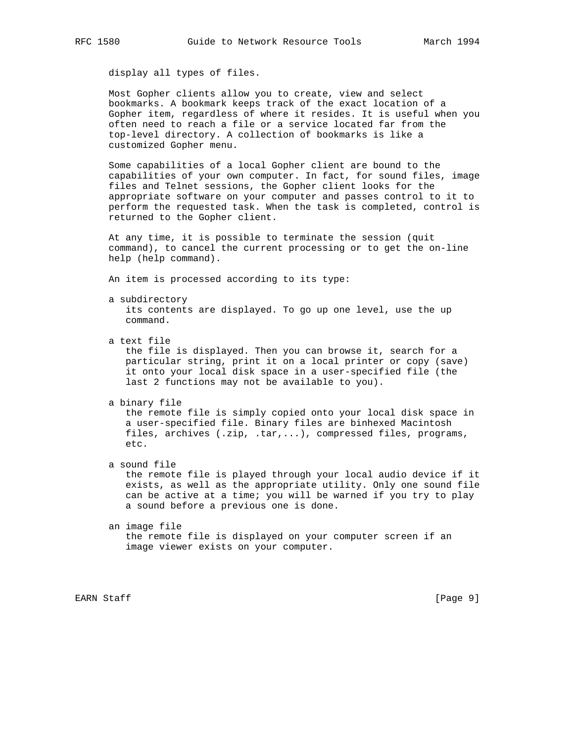display all types of files.

 Most Gopher clients allow you to create, view and select bookmarks. A bookmark keeps track of the exact location of a Gopher item, regardless of where it resides. It is useful when you often need to reach a file or a service located far from the top-level directory. A collection of bookmarks is like a customized Gopher menu.

 Some capabilities of a local Gopher client are bound to the capabilities of your own computer. In fact, for sound files, image files and Telnet sessions, the Gopher client looks for the appropriate software on your computer and passes control to it to perform the requested task. When the task is completed, control is returned to the Gopher client.

 At any time, it is possible to terminate the session (quit command), to cancel the current processing or to get the on-line help (help command).

An item is processed according to its type:

- a subdirectory its contents are displayed. To go up one level, use the up
	- command.
- a text file

 the file is displayed. Then you can browse it, search for a particular string, print it on a local printer or copy (save) it onto your local disk space in a user-specified file (the last 2 functions may not be available to you).

a binary file

 the remote file is simply copied onto your local disk space in a user-specified file. Binary files are binhexed Macintosh files, archives (.zip, .tar,...), compressed files, programs, etc.

a sound file

 the remote file is played through your local audio device if it exists, as well as the appropriate utility. Only one sound file can be active at a time; you will be warned if you try to play a sound before a previous one is done.

 an image file the remote file is displayed on your computer screen if an image viewer exists on your computer.

EARN Staff [Page 9]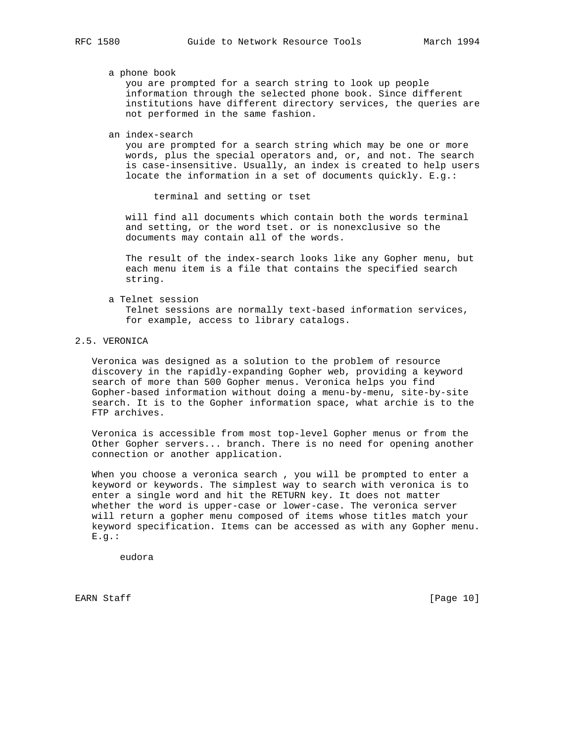#### a phone book

 you are prompted for a search string to look up people information through the selected phone book. Since different institutions have different directory services, the queries are not performed in the same fashion.

an index-search

 you are prompted for a search string which may be one or more words, plus the special operators and, or, and not. The search is case-insensitive. Usually, an index is created to help users locate the information in a set of documents quickly. E.g.:

terminal and setting or tset

 will find all documents which contain both the words terminal and setting, or the word tset. or is nonexclusive so the documents may contain all of the words.

 The result of the index-search looks like any Gopher menu, but each menu item is a file that contains the specified search string.

- a Telnet session Telnet sessions are normally text-based information services, for example, access to library catalogs.
- 2.5. VERONICA

 Veronica was designed as a solution to the problem of resource discovery in the rapidly-expanding Gopher web, providing a keyword search of more than 500 Gopher menus. Veronica helps you find Gopher-based information without doing a menu-by-menu, site-by-site search. It is to the Gopher information space, what archie is to the FTP archives.

 Veronica is accessible from most top-level Gopher menus or from the Other Gopher servers... branch. There is no need for opening another connection or another application.

 When you choose a veronica search , you will be prompted to enter a keyword or keywords. The simplest way to search with veronica is to enter a single word and hit the RETURN key. It does not matter whether the word is upper-case or lower-case. The veronica server will return a gopher menu composed of items whose titles match your keyword specification. Items can be accessed as with any Gopher menu. E.g.:

eudora

EARN Staff [Page 10]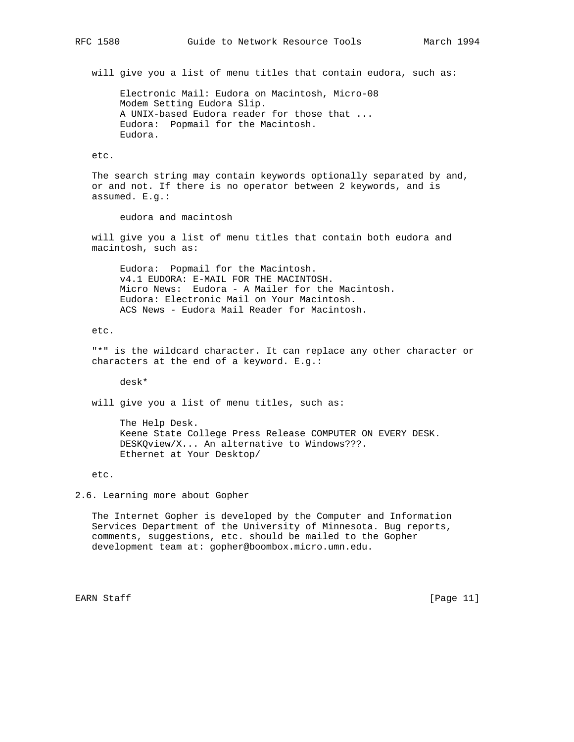will give you a list of menu titles that contain eudora, such as:

 Electronic Mail: Eudora on Macintosh, Micro-08 Modem Setting Eudora Slip. A UNIX-based Eudora reader for those that ... Eudora: Popmail for the Macintosh. Eudora.

#### etc.

 The search string may contain keywords optionally separated by and, or and not. If there is no operator between 2 keywords, and is assumed. E.g.:

eudora and macintosh

 will give you a list of menu titles that contain both eudora and macintosh, such as:

 Eudora: Popmail for the Macintosh. v4.1 EUDORA: E-MAIL FOR THE MACINTOSH. Micro News: Eudora - A Mailer for the Macintosh. Eudora: Electronic Mail on Your Macintosh. ACS News - Eudora Mail Reader for Macintosh.

etc.

 "\*" is the wildcard character. It can replace any other character or characters at the end of a keyword. E.g.:

desk\*

will give you a list of menu titles, such as:

 The Help Desk. Keene State College Press Release COMPUTER ON EVERY DESK. DESKQview/X... An alternative to Windows???. Ethernet at Your Desktop/

etc.

2.6. Learning more about Gopher

 The Internet Gopher is developed by the Computer and Information Services Department of the University of Minnesota. Bug reports, comments, suggestions, etc. should be mailed to the Gopher development team at: gopher@boombox.micro.umn.edu.

EARN Staff [Page 11]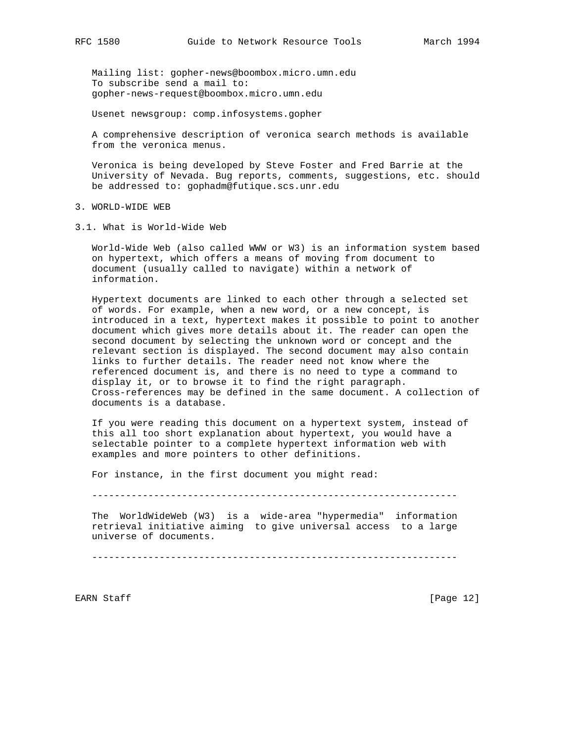Mailing list: gopher-news@boombox.micro.umn.edu To subscribe send a mail to: gopher-news-request@boombox.micro.umn.edu

Usenet newsgroup: comp.infosystems.gopher

 A comprehensive description of veronica search methods is available from the veronica menus.

 Veronica is being developed by Steve Foster and Fred Barrie at the University of Nevada. Bug reports, comments, suggestions, etc. should be addressed to: gophadm@futique.scs.unr.edu

- 3. WORLD-WIDE WEB
- 3.1. What is World-Wide Web

 World-Wide Web (also called WWW or W3) is an information system based on hypertext, which offers a means of moving from document to document (usually called to navigate) within a network of information.

 Hypertext documents are linked to each other through a selected set of words. For example, when a new word, or a new concept, is introduced in a text, hypertext makes it possible to point to another document which gives more details about it. The reader can open the second document by selecting the unknown word or concept and the relevant section is displayed. The second document may also contain links to further details. The reader need not know where the referenced document is, and there is no need to type a command to display it, or to browse it to find the right paragraph. Cross-references may be defined in the same document. A collection of documents is a database.

 If you were reading this document on a hypertext system, instead of this all too short explanation about hypertext, you would have a selectable pointer to a complete hypertext information web with examples and more pointers to other definitions.

For instance, in the first document you might read:

-----------------------------------------------------------------

 The WorldWideWeb (W3) is a wide-area "hypermedia" information retrieval initiative aiming to give universal access to a large universe of documents.

-----------------------------------------------------------------

EARN Staff [Page 12]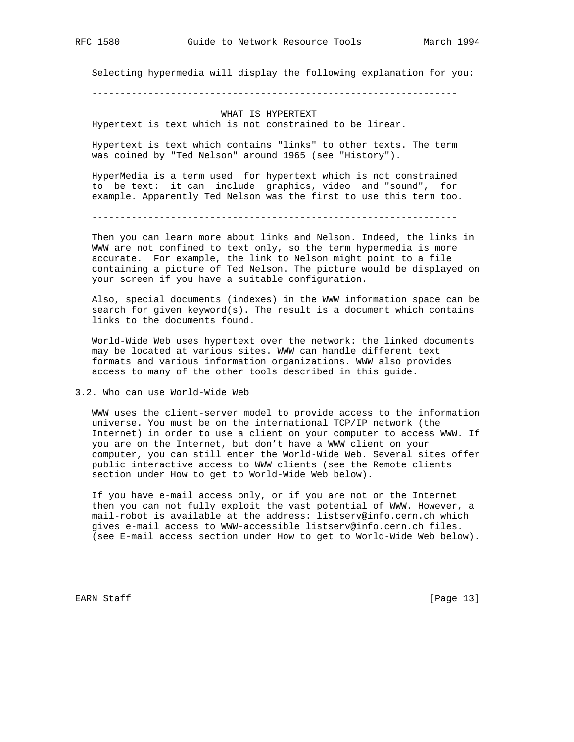Selecting hypermedia will display the following explanation for you:

-----------------------------------------------------------------

## WHAT IS HYPERTEXT Hypertext is text which is not constrained to be linear.

 Hypertext is text which contains "links" to other texts. The term was coined by "Ted Nelson" around 1965 (see "History").

 HyperMedia is a term used for hypertext which is not constrained to be text: it can include graphics, video and "sound", for example. Apparently Ted Nelson was the first to use this term too.

-----------------------------------------------------------------

 Then you can learn more about links and Nelson. Indeed, the links in WWW are not confined to text only, so the term hypermedia is more accurate. For example, the link to Nelson might point to a file containing a picture of Ted Nelson. The picture would be displayed on your screen if you have a suitable configuration.

 Also, special documents (indexes) in the WWW information space can be search for given keyword(s). The result is a document which contains links to the documents found.

 World-Wide Web uses hypertext over the network: the linked documents may be located at various sites. WWW can handle different text formats and various information organizations. WWW also provides access to many of the other tools described in this guide.

3.2. Who can use World-Wide Web

 WWW uses the client-server model to provide access to the information universe. You must be on the international TCP/IP network (the Internet) in order to use a client on your computer to access WWW. If you are on the Internet, but don't have a WWW client on your computer, you can still enter the World-Wide Web. Several sites offer public interactive access to WWW clients (see the Remote clients section under How to get to World-Wide Web below).

 If you have e-mail access only, or if you are not on the Internet then you can not fully exploit the vast potential of WWW. However, a mail-robot is available at the address: listserv@info.cern.ch which gives e-mail access to WWW-accessible listserv@info.cern.ch files. (see E-mail access section under How to get to World-Wide Web below).

EARN Staff [Page 13]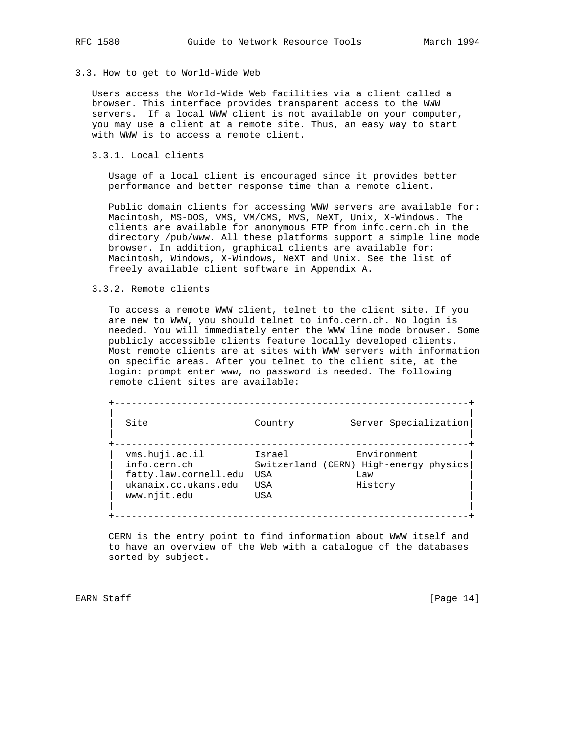#### 3.3. How to get to World-Wide Web

 Users access the World-Wide Web facilities via a client called a browser. This interface provides transparent access to the WWW servers. If a local WWW client is not available on your computer, you may use a client at a remote site. Thus, an easy way to start with WWW is to access a remote client.

## 3.3.1. Local clients

 Usage of a local client is encouraged since it provides better performance and better response time than a remote client.

 Public domain clients for accessing WWW servers are available for: Macintosh, MS-DOS, VMS, VM/CMS, MVS, NeXT, Unix, X-Windows. The clients are available for anonymous FTP from info.cern.ch in the directory /pub/www. All these platforms support a simple line mode browser. In addition, graphical clients are available for: Macintosh, Windows, X-Windows, NeXT and Unix. See the list of freely available client software in Appendix A.

## 3.3.2. Remote clients

 To access a remote WWW client, telnet to the client site. If you are new to WWW, you should telnet to info.cern.ch. No login is needed. You will immediately enter the WWW line mode browser. Some publicly accessible clients feature locally developed clients. Most remote clients are at sites with WWW servers with information on specific areas. After you telnet to the client site, at the login: prompt enter www, no password is needed. The following remote client sites are available:

| Site                  | Country | Server Specialization                  |
|-----------------------|---------|----------------------------------------|
| vms.huji.ac.il        | Israel  | Environment                            |
| info.cern.ch          |         | Switzerland (CERN) High-energy physics |
| fatty.law.cornell.edu | USA     | Law                                    |
| ukanaix.cc.ukans.edu  | USA     | History                                |
| www.njit.edu          | USA     |                                        |

 CERN is the entry point to find information about WWW itself and to have an overview of the Web with a catalogue of the databases sorted by subject.

EARN Staff [Page 14]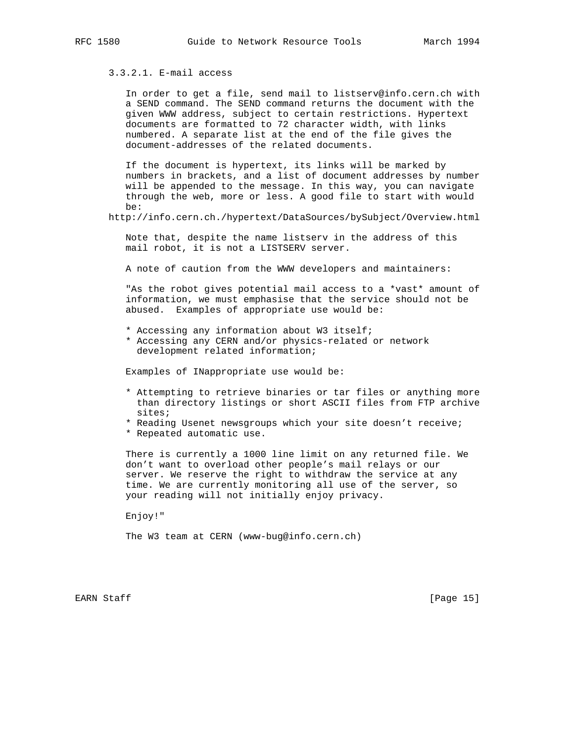# 3.3.2.1. E-mail access

 In order to get a file, send mail to listserv@info.cern.ch with a SEND command. The SEND command returns the document with the given WWW address, subject to certain restrictions. Hypertext documents are formatted to 72 character width, with links numbered. A separate list at the end of the file gives the document-addresses of the related documents.

 If the document is hypertext, its links will be marked by numbers in brackets, and a list of document addresses by number will be appended to the message. In this way, you can navigate through the web, more or less. A good file to start with would be:

http://info.cern.ch./hypertext/DataSources/bySubject/Overview.html

 Note that, despite the name listserv in the address of this mail robot, it is not a LISTSERV server.

A note of caution from the WWW developers and maintainers:

"As the robot gives potential mail access to a \*vast\* amount of information, we must emphasise that the service should not be abused. Examples of appropriate use would be:

- \* Accessing any information about W3 itself;
- \* Accessing any CERN and/or physics-related or network development related information;

Examples of INappropriate use would be:

- \* Attempting to retrieve binaries or tar files or anything more than directory listings or short ASCII files from FTP archive sites;
- \* Reading Usenet newsgroups which your site doesn't receive;
- \* Repeated automatic use.

 There is currently a 1000 line limit on any returned file. We don't want to overload other people's mail relays or our server. We reserve the right to withdraw the service at any time. We are currently monitoring all use of the server, so your reading will not initially enjoy privacy.

Enjoy!"

The W3 team at CERN (www-bug@info.cern.ch)

EARN Staff [Page 15]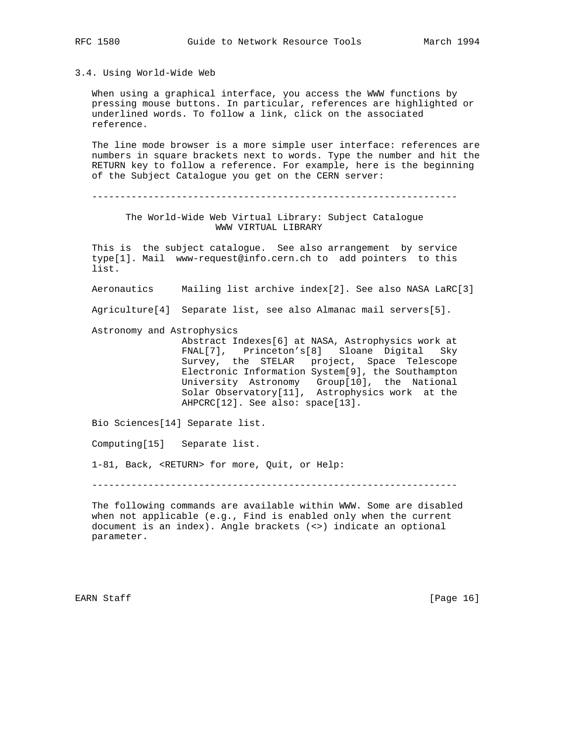3.4. Using World-Wide Web

 When using a graphical interface, you access the WWW functions by pressing mouse buttons. In particular, references are highlighted or underlined words. To follow a link, click on the associated reference.

 The line mode browser is a more simple user interface: references are numbers in square brackets next to words. Type the number and hit the RETURN key to follow a reference. For example, here is the beginning of the Subject Catalogue you get on the CERN server:

-----------------------------------------------------------------

 The World-Wide Web Virtual Library: Subject Catalogue WWW VIRTUAL LIBRARY

 This is the subject catalogue. See also arrangement by service type[1]. Mail www-request@info.cern.ch to add pointers to this list.

Aeronautics Mailing list archive index[2]. See also NASA LaRC[3]

Agriculture[4] Separate list, see also Almanac mail servers[5].

Astronomy and Astrophysics

 Abstract Indexes[6] at NASA, Astrophysics work at FNAL[7], Princeton's[8] Sloane Digital Sky Survey, the STELAR project, Space Telescope Electronic Information System[9], the Southampton University Astronomy Group[10], the National Solar Observatory[11], Astrophysics work at the AHPCRC[12]. See also: space[13].

Bio Sciences[14] Separate list.

Computing[15] Separate list.

1-81, Back, <RETURN> for more, Quit, or Help:

-----------------------------------------------------------------

 The following commands are available within WWW. Some are disabled when not applicable (e.g., Find is enabled only when the current document is an index). Angle brackets (<>) indicate an optional parameter.

EARN Staff [Page 16]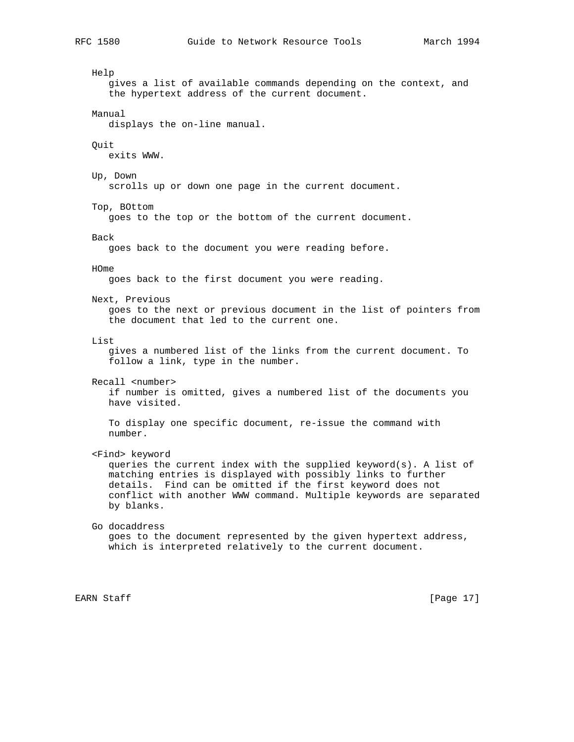Help gives a list of available commands depending on the context, and the hypertext address of the current document. Manual displays the on-line manual. Quit exits WWW. Up, Down scrolls up or down one page in the current document. Top, BOttom goes to the top or the bottom of the current document. Back goes back to the document you were reading before. HOme goes back to the first document you were reading. Next, Previous goes to the next or previous document in the list of pointers from the document that led to the current one. List gives a numbered list of the links from the current document. To follow a link, type in the number. Recall <number> if number is omitted, gives a numbered list of the documents you have visited. To display one specific document, re-issue the command with number. <Find> keyword queries the current index with the supplied keyword(s). A list of matching entries is displayed with possibly links to further details. Find can be omitted if the first keyword does not conflict with another WWW command. Multiple keywords are separated by blanks. Go docaddress goes to the document represented by the given hypertext address, which is interpreted relatively to the current document.

EARN Staff [Page 17]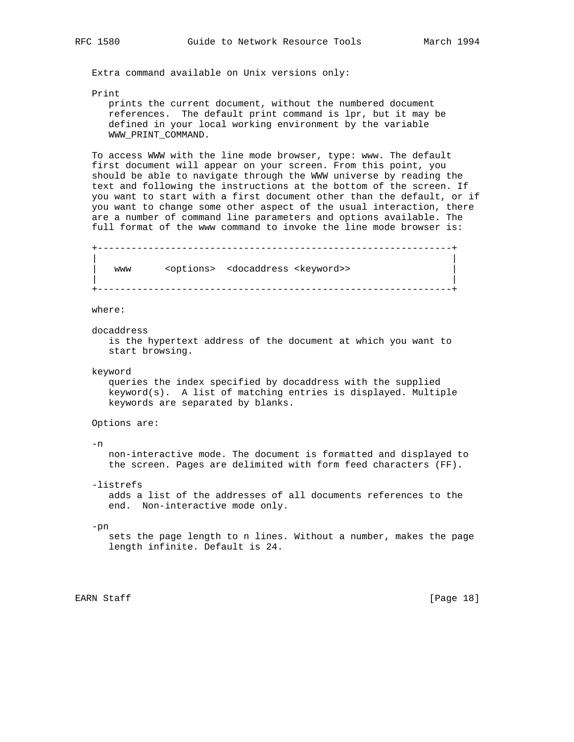Extra command available on Unix versions only:

Print

 prints the current document, without the numbered document references. The default print command is lpr, but it may be defined in your local working environment by the variable WWW\_PRINT\_COMMAND.

 To access WWW with the line mode browser, type: www. The default first document will appear on your screen. From this point, you should be able to navigate through the WWW universe by reading the text and following the instructions at the bottom of the screen. If you want to start with a first document other than the default, or if you want to change some other aspect of the usual interaction, there are a number of command line parameters and options available. The full format of the www command to invoke the line mode browser is:

 +---------------------------------------------------------------+ | | www <options> <docaddress <keyword>> | | +---------------------------------------------------------------+

where:

docaddress

 is the hypertext address of the document at which you want to start browsing.

keyword

 queries the index specified by docaddress with the supplied keyword(s). A list of matching entries is displayed. Multiple keywords are separated by blanks.

Options are:

 $-n$ 

 non-interactive mode. The document is formatted and displayed to the screen. Pages are delimited with form feed characters (FF).

-listrefs

 adds a list of the addresses of all documents references to the end. Non-interactive mode only.

-pn

 sets the page length to n lines. Without a number, makes the page length infinite. Default is 24.

EARN Staff [Page 18]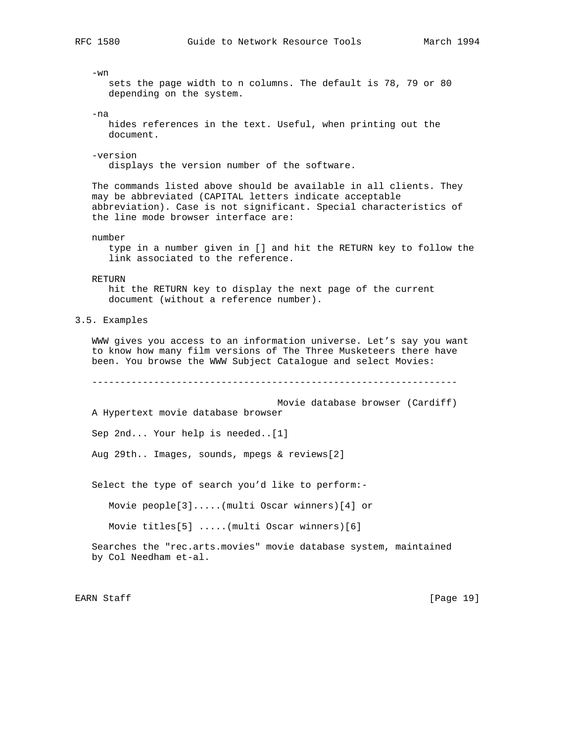-wn sets the page width to n columns. The default is 78, 79 or 80 depending on the system. -na hides references in the text. Useful, when printing out the document. -version displays the version number of the software. The commands listed above should be available in all clients. They may be abbreviated (CAPITAL letters indicate acceptable abbreviation). Case is not significant. Special characteristics of the line mode browser interface are: number type in a number given in [] and hit the RETURN key to follow the link associated to the reference. RETURN hit the RETURN key to display the next page of the current document (without a reference number). 3.5. Examples WWW gives you access to an information universe. Let's say you want to know how many film versions of The Three Musketeers there have been. You browse the WWW Subject Catalogue and select Movies: ----------------------------------------------------------------- Movie database browser (Cardiff) A Hypertext movie database browser Sep 2nd... Your help is needed..[1] Aug 29th.. Images, sounds, mpegs & reviews[2] Select the type of search you'd like to perform:- Movie people[3].....(multi Oscar winners)[4] or Movie titles[5] .....(multi Oscar winners)[6] Searches the "rec.arts.movies" movie database system, maintained by Col Needham et-al. EARN Staff [Page 19]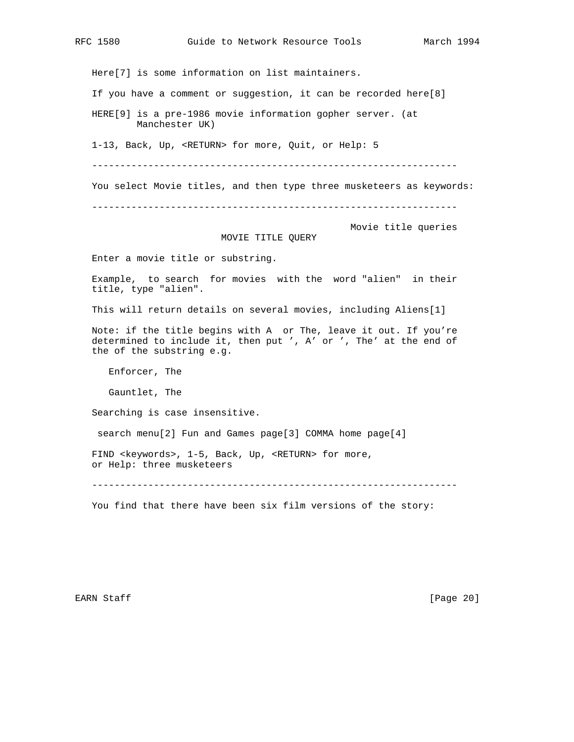If you have a comment or suggestion, it can be recorded here[8]

HERE[9] is a pre-1986 movie information gopher server. (at

Manchester UK)

1-13, Back, Up, <RETURN> for more, Quit, or Help: 5

Here[7] is some information on list maintainers.

-----------------------------------------------------------------

You select Movie titles, and then type three musketeers as keywords:

-----------------------------------------------------------------

Movie title queries

# MOVIE TITLE QUERY

Enter a movie title or substring.

 Example, to search for movies with the word "alien" in their title, type "alien".

This will return details on several movies, including Aliens[1]

 Note: if the title begins with A or The, leave it out. If you're determined to include it, then put ', A' or ', The' at the end of the of the substring e.g.

Enforcer, The

Gauntlet, The

Searching is case insensitive.

search menu[2] Fun and Games page[3] COMMA home page[4]

 FIND <keywords>, 1-5, Back, Up, <RETURN> for more, or Help: three musketeers

-----------------------------------------------------------------

You find that there have been six film versions of the story:

EARN Staff [Page 20]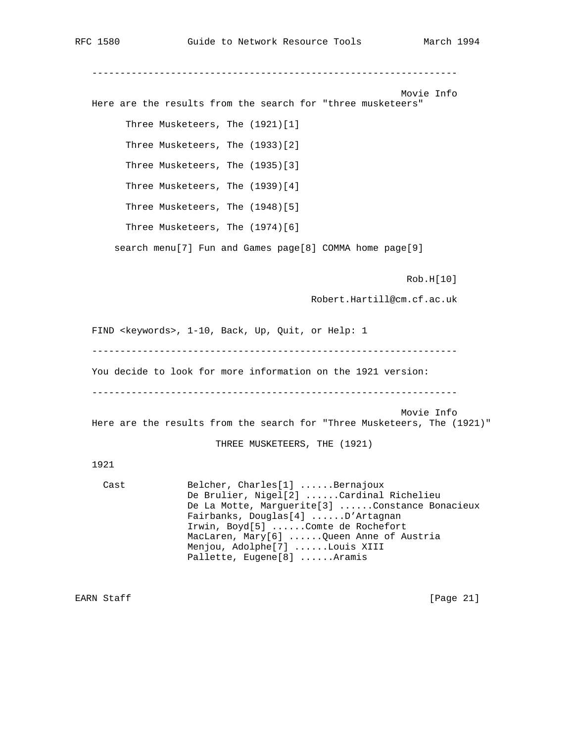----------------------------------------------------------------- Movie Info Here are the results from the search for "three musketeers" Three Musketeers, The (1921)[1] Three Musketeers, The (1933)[2] Three Musketeers, The (1935)[3] Three Musketeers, The (1939)[4] Three Musketeers, The (1948)[5] Three Musketeers, The (1974)[6] search menu[7] Fun and Games page[8] COMMA home page[9] Rob.H[10] Robert.Hartill@cm.cf.ac.uk FIND <keywords>, 1-10, Back, Up, Quit, or Help: 1 ----------------------------------------------------------------- You decide to look for more information on the 1921 version: ----------------------------------------------------------------- Movie Info Here are the results from the search for "Three Musketeers, The (1921)" THREE MUSKETEERS, THE (1921) 1921 Cast Belcher, Charles[1] ......Bernajoux De Brulier, Nigel[2] ......Cardinal Richelieu De La Motte, Marguerite[3] ......Constance Bonacieux Fairbanks, Douglas[4] ......D'Artagnan Irwin, Boyd[5] ......Comte de Rochefort MacLaren, Mary[6] ......Queen Anne of Austria Menjou, Adolphe[7] ......Louis XIII Pallette, Eugene[8] ......Aramis EARN Staff [Page 21]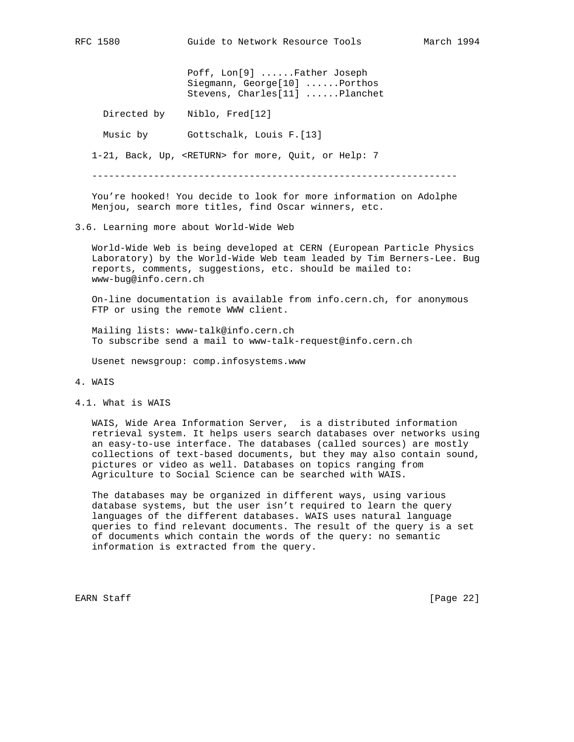Poff, Lon[9] ......Father Joseph Siegmann, George[10] ......Porthos Stevens, Charles[11] ......Planchet

Directed by Niblo, Fred[12]

Music by Gottschalk, Louis F.[13]

1-21, Back, Up, <RETURN> for more, Quit, or Help: 7

-----------------------------------------------------------------

 You're hooked! You decide to look for more information on Adolphe Menjou, search more titles, find Oscar winners, etc.

#### 3.6. Learning more about World-Wide Web

 World-Wide Web is being developed at CERN (European Particle Physics Laboratory) by the World-Wide Web team leaded by Tim Berners-Lee. Bug reports, comments, suggestions, etc. should be mailed to: www-bug@info.cern.ch

 On-line documentation is available from info.cern.ch, for anonymous FTP or using the remote WWW client.

 Mailing lists: www-talk@info.cern.ch To subscribe send a mail to www-talk-request@info.cern.ch

Usenet newsgroup: comp.infosystems.www

- 4. WAIS
- 4.1. What is WAIS

 WAIS, Wide Area Information Server, is a distributed information retrieval system. It helps users search databases over networks using an easy-to-use interface. The databases (called sources) are mostly collections of text-based documents, but they may also contain sound, pictures or video as well. Databases on topics ranging from Agriculture to Social Science can be searched with WAIS.

 The databases may be organized in different ways, using various database systems, but the user isn't required to learn the query languages of the different databases. WAIS uses natural language queries to find relevant documents. The result of the query is a set of documents which contain the words of the query: no semantic information is extracted from the query.

EARN Staff [Page 22]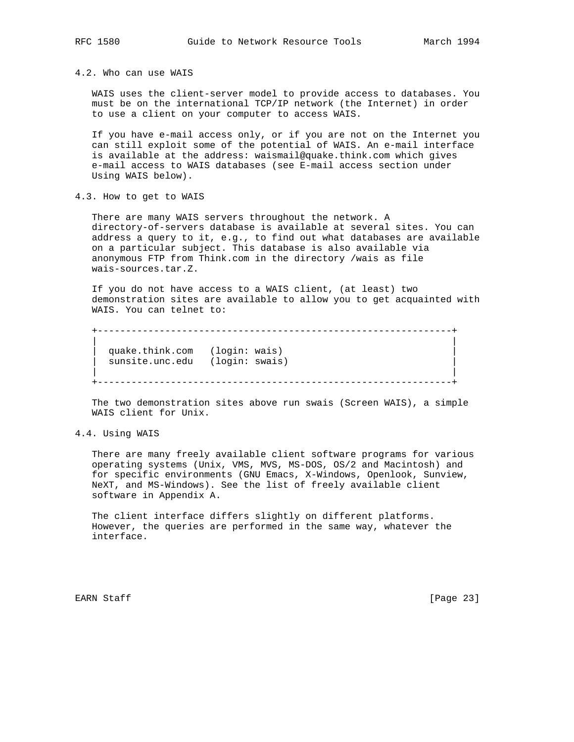4.2. Who can use WAIS

 WAIS uses the client-server model to provide access to databases. You must be on the international TCP/IP network (the Internet) in order to use a client on your computer to access WAIS.

 If you have e-mail access only, or if you are not on the Internet you can still exploit some of the potential of WAIS. An e-mail interface is available at the address: waismail@quake.think.com which gives e-mail access to WAIS databases (see E-mail access section under Using WAIS below).

4.3. How to get to WAIS

 There are many WAIS servers throughout the network. A directory-of-servers database is available at several sites. You can address a query to it, e.g., to find out what databases are available on a particular subject. This database is also available via anonymous FTP from Think.com in the directory /wais as file wais-sources.tar.Z.

 If you do not have access to a WAIS client, (at least) two demonstration sites are available to allow you to get acquainted with WAIS. You can telnet to:

 +---------------------------------------------------------------+ | | quake.think.com (login: wais) sunsite.unc.edu (login: swais) | | +---------------------------------------------------------------+

 The two demonstration sites above run swais (Screen WAIS), a simple WAIS client for Unix.

4.4. Using WAIS

 There are many freely available client software programs for various operating systems (Unix, VMS, MVS, MS-DOS, OS/2 and Macintosh) and for specific environments (GNU Emacs, X-Windows, Openlook, Sunview, NeXT, and MS-Windows). See the list of freely available client software in Appendix A.

 The client interface differs slightly on different platforms. However, the queries are performed in the same way, whatever the interface.

EARN Staff [Page 23]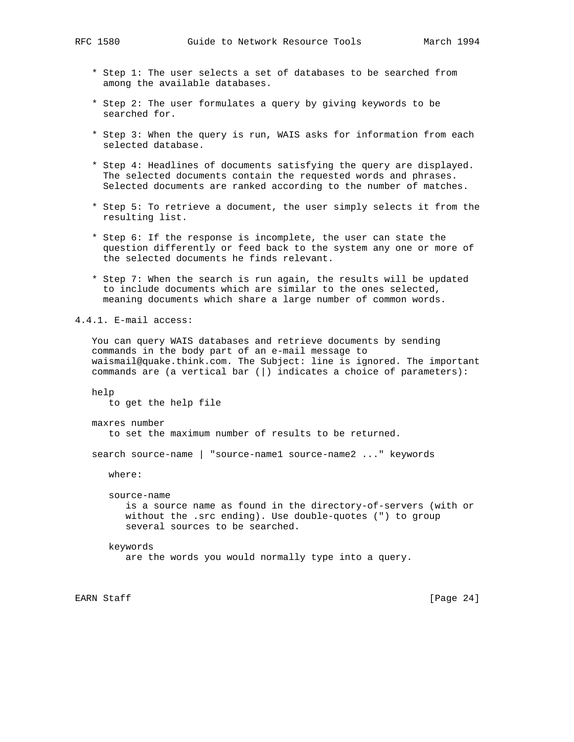- \* Step 1: The user selects a set of databases to be searched from among the available databases.
- \* Step 2: The user formulates a query by giving keywords to be searched for.
- \* Step 3: When the query is run, WAIS asks for information from each selected database.
- \* Step 4: Headlines of documents satisfying the query are displayed. The selected documents contain the requested words and phrases. Selected documents are ranked according to the number of matches.
- \* Step 5: To retrieve a document, the user simply selects it from the resulting list.
- \* Step 6: If the response is incomplete, the user can state the question differently or feed back to the system any one or more of the selected documents he finds relevant.
- \* Step 7: When the search is run again, the results will be updated to include documents which are similar to the ones selected, meaning documents which share a large number of common words.

4.4.1. E-mail access:

 You can query WAIS databases and retrieve documents by sending commands in the body part of an e-mail message to waismail@quake.think.com. The Subject: line is ignored. The important commands are (a vertical bar (|) indicates a choice of parameters):

 help to get the help file

maxres number

to set the maximum number of results to be returned.

search source-name | "source-name1 source-name2 ..." keywords

where:

 source-name is a source name as found in the directory-of-servers (with or without the .src ending). Use double-quotes (") to group several sources to be searched.

keywords

are the words you would normally type into a query.

EARN Staff [Page 24]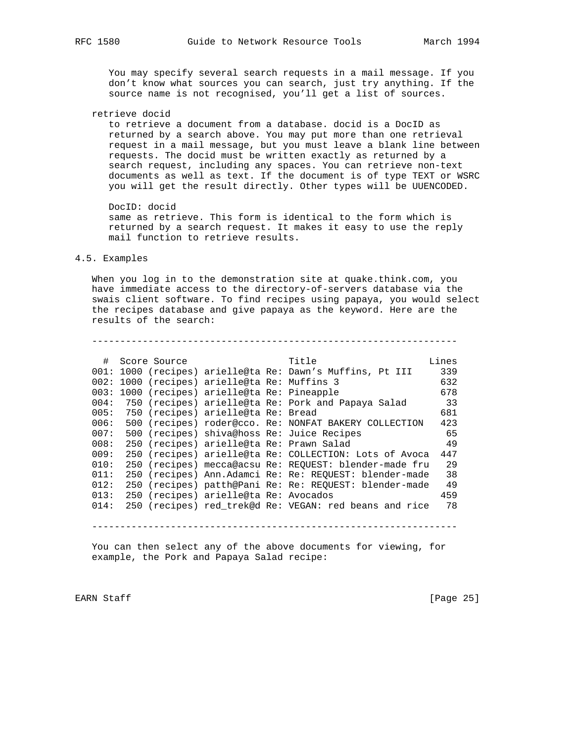You may specify several search requests in a mail message. If you don't know what sources you can search, just try anything. If the source name is not recognised, you'll get a list of sources.

retrieve docid

 to retrieve a document from a database. docid is a DocID as returned by a search above. You may put more than one retrieval request in a mail message, but you must leave a blank line between requests. The docid must be written exactly as returned by a search request, including any spaces. You can retrieve non-text documents as well as text. If the document is of type TEXT or WSRC you will get the result directly. Other types will be UUENCODED.

DocID: docid

 same as retrieve. This form is identical to the form which is returned by a search request. It makes it easy to use the reply mail function to retrieve results.

#### 4.5. Examples

 When you log in to the demonstration site at quake.think.com, you have immediate access to the directory-of-servers database via the swais client software. To find recipes using papaya, you would select the recipes database and give papaya as the keyword. Here are the results of the search:

-----------------------------------------------------------------

| #    | Score Source |                                         | Title                                                     | Lines |
|------|--------------|-----------------------------------------|-----------------------------------------------------------|-------|
|      |              |                                         | 001: 1000 (recipes) arielle@ta Re: Dawn's Muffins, Pt III | 339   |
| 002: |              | 1000 (recipes) arielle@ta Re: Muffins 3 |                                                           | 632   |
| 003: |              | 1000 (recipes) arielle@ta Re: Pineapple |                                                           | 678   |
| 004: |              |                                         | 750 (recipes) arielle@ta Re: Pork and Papaya Salad        | 33    |
| 005: |              | 750 (recipes) arielle@ta Re: Bread      |                                                           | 681   |
| 006: |              |                                         | 500 (recipes) roder@cco. Re: NONFAT BAKERY COLLECTION     | 423   |
| 007: |              |                                         | 500 (recipes) shiva@hoss Re: Juice Recipes                | 65    |
| 008: |              |                                         | 250 (recipes) arielle@ta Re: Prawn Salad                  | 49    |
| 009: |              |                                         | 250 (recipes) arielle@ta Re: COLLECTION: Lots of Avoca    | 447   |
| 010: |              |                                         | 250 (recipes) mecca@acsu Re: REOUEST: blender-made fru    | 29    |
| 011: |              |                                         | 250 (recipes) Ann.Adamci Re: Re: REOUEST: blender-made    | 38    |
| 012: |              |                                         | 250 (recipes) patth@Pani Re: Re: REQUEST: blender-made    | 49    |
| 013: |              | 250 (recipes) arielle@ta Re: Avocados   |                                                           | 459   |
| 014: |              |                                         | 250 (recipes) red trek@d Re: VEGAN: red beans and rice    | 78    |
|      |              |                                         |                                                           |       |

-----------------------------------------------------------------

 You can then select any of the above documents for viewing, for example, the Pork and Papaya Salad recipe:

EARN Staff [Page 25]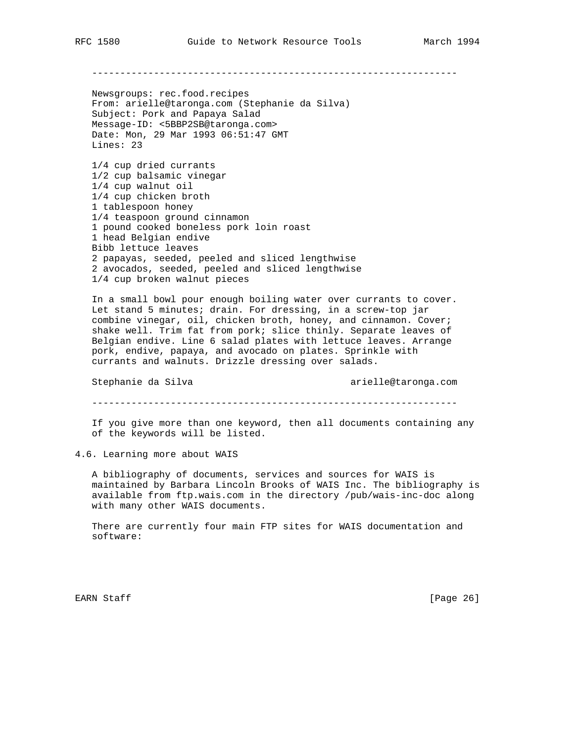-----------------------------------------------------------------

 Newsgroups: rec.food.recipes From: arielle@taronga.com (Stephanie da Silva) Subject: Pork and Papaya Salad Message-ID: <5BBP2SB@taronga.com> Date: Mon, 29 Mar 1993 06:51:47 GMT Lines: 23

 1/4 cup dried currants 1/2 cup balsamic vinegar 1/4 cup walnut oil 1/4 cup chicken broth 1 tablespoon honey 1/4 teaspoon ground cinnamon 1 pound cooked boneless pork loin roast 1 head Belgian endive Bibb lettuce leaves 2 papayas, seeded, peeled and sliced lengthwise 2 avocados, seeded, peeled and sliced lengthwise 1/4 cup broken walnut pieces

 In a small bowl pour enough boiling water over currants to cover. Let stand 5 minutes; drain. For dressing, in a screw-top jar combine vinegar, oil, chicken broth, honey, and cinnamon. Cover; shake well. Trim fat from pork; slice thinly. Separate leaves of Belgian endive. Line 6 salad plates with lettuce leaves. Arrange pork, endive, papaya, and avocado on plates. Sprinkle with currants and walnuts. Drizzle dressing over salads.

Stephanie da Silva arielle@taronga.com

-----------------------------------------------------------------

 If you give more than one keyword, then all documents containing any of the keywords will be listed.

4.6. Learning more about WAIS

 A bibliography of documents, services and sources for WAIS is maintained by Barbara Lincoln Brooks of WAIS Inc. The bibliography is available from ftp.wais.com in the directory /pub/wais-inc-doc along with many other WAIS documents.

 There are currently four main FTP sites for WAIS documentation and software:

EARN Staff [Page 26]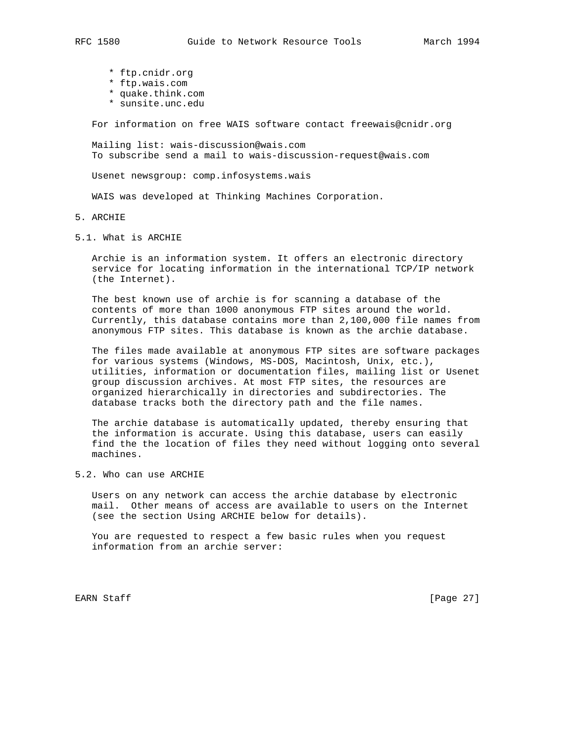- \* ftp.cnidr.org
- \* ftp.wais.com
- \* quake.think.com
- \* sunsite.unc.edu

For information on free WAIS software contact freewais@cnidr.org

 Mailing list: wais-discussion@wais.com To subscribe send a mail to wais-discussion-request@wais.com

Usenet newsgroup: comp.infosystems.wais

WAIS was developed at Thinking Machines Corporation.

- 5. ARCHIE
- 5.1. What is ARCHIE

 Archie is an information system. It offers an electronic directory service for locating information in the international TCP/IP network (the Internet).

 The best known use of archie is for scanning a database of the contents of more than 1000 anonymous FTP sites around the world. Currently, this database contains more than 2,100,000 file names from anonymous FTP sites. This database is known as the archie database.

 The files made available at anonymous FTP sites are software packages for various systems (Windows, MS-DOS, Macintosh, Unix, etc.), utilities, information or documentation files, mailing list or Usenet group discussion archives. At most FTP sites, the resources are organized hierarchically in directories and subdirectories. The database tracks both the directory path and the file names.

 The archie database is automatically updated, thereby ensuring that the information is accurate. Using this database, users can easily find the the location of files they need without logging onto several machines.

5.2. Who can use ARCHIE

 Users on any network can access the archie database by electronic mail. Other means of access are available to users on the Internet (see the section Using ARCHIE below for details).

 You are requested to respect a few basic rules when you request information from an archie server:

EARN Staff [Page 27]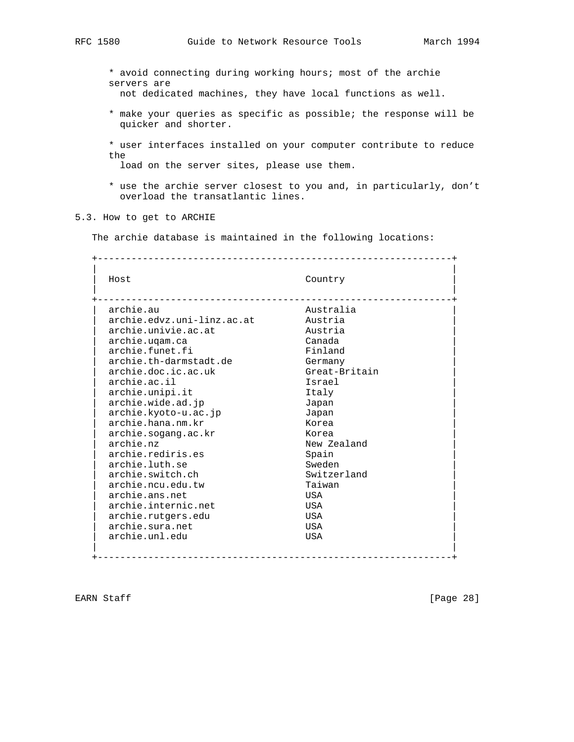\* avoid connecting during working hours; most of the archie servers are

not dedicated machines, they have local functions as well.

- \* make your queries as specific as possible; the response will be quicker and shorter.
- \* user interfaces installed on your computer contribute to reduce the

load on the server sites, please use them.

 \* use the archie server closest to you and, in particularly, don't overload the transatlantic lines.

# 5.3. How to get to ARCHIE

The archie database is maintained in the following locations:

+---------------------------------------------------------------+

| Host                       | Country       |
|----------------------------|---------------|
| archie.au                  | Australia     |
| archie.edvz.uni-linz.ac.at | Austria       |
| archie.univie.ac.at        | Austria       |
| archie.ugam.ca             | Canada        |
| archie.funet.fi            | Finland       |
| archie.th-darmstadt.de     | Germany       |
| archie.doc.ic.ac.uk        | Great-Britain |
| archie.ac.il               | Israel        |
| archie.unipi.it            | Italy         |
| archie.wide.ad.jp          | Japan         |
| archie.kyoto-u.ac.jp       | Japan         |
| archie.hana.nm.kr          | Korea         |
| archie.sogang.ac.kr        | Korea         |
| archie.nz                  | New Zealand   |
| archie.rediris.es          | Spain         |
| archie.luth.se             | Sweden        |
| archie.switch.ch           | Switzerland   |
| archie.ncu.edu.tw          | Taiwan        |
| archie.ans.net             | USA           |
| archie.internic.net        | USA           |
| archie.rutgers.edu         | USA           |
| archie.sura.net            | USA           |
| archie.unl.edu             | USA           |

EARN Staff [Page 28]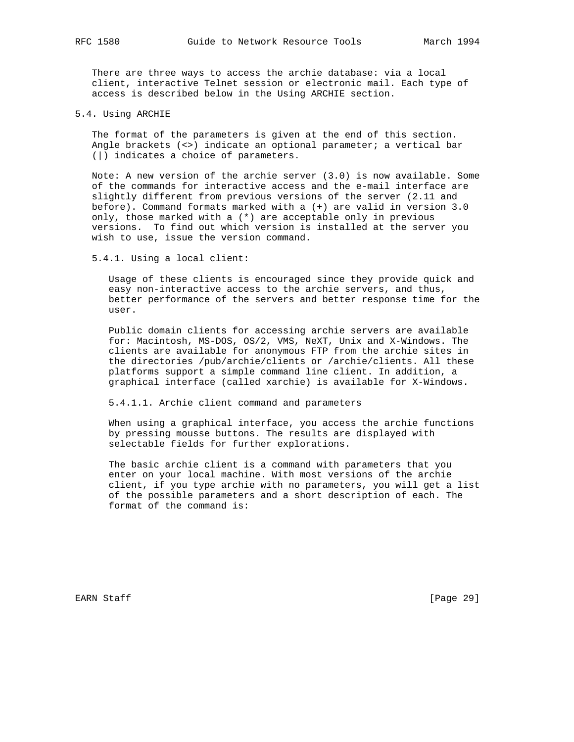There are three ways to access the archie database: via a local client, interactive Telnet session or electronic mail. Each type of access is described below in the Using ARCHIE section.

#### 5.4. Using ARCHIE

 The format of the parameters is given at the end of this section. Angle brackets (<>) indicate an optional parameter; a vertical bar (|) indicates a choice of parameters.

 Note: A new version of the archie server (3.0) is now available. Some of the commands for interactive access and the e-mail interface are slightly different from previous versions of the server (2.11 and before). Command formats marked with a (+) are valid in version 3.0 only, those marked with a (\*) are acceptable only in previous versions. To find out which version is installed at the server you wish to use, issue the version command.

5.4.1. Using a local client:

 Usage of these clients is encouraged since they provide quick and easy non-interactive access to the archie servers, and thus, better performance of the servers and better response time for the user.

 Public domain clients for accessing archie servers are available for: Macintosh, MS-DOS, OS/2, VMS, NeXT, Unix and X-Windows. The clients are available for anonymous FTP from the archie sites in the directories /pub/archie/clients or /archie/clients. All these platforms support a simple command line client. In addition, a graphical interface (called xarchie) is available for X-Windows.

5.4.1.1. Archie client command and parameters

 When using a graphical interface, you access the archie functions by pressing mousse buttons. The results are displayed with selectable fields for further explorations.

 The basic archie client is a command with parameters that you enter on your local machine. With most versions of the archie client, if you type archie with no parameters, you will get a list of the possible parameters and a short description of each. The format of the command is:

EARN Staff [Page 29]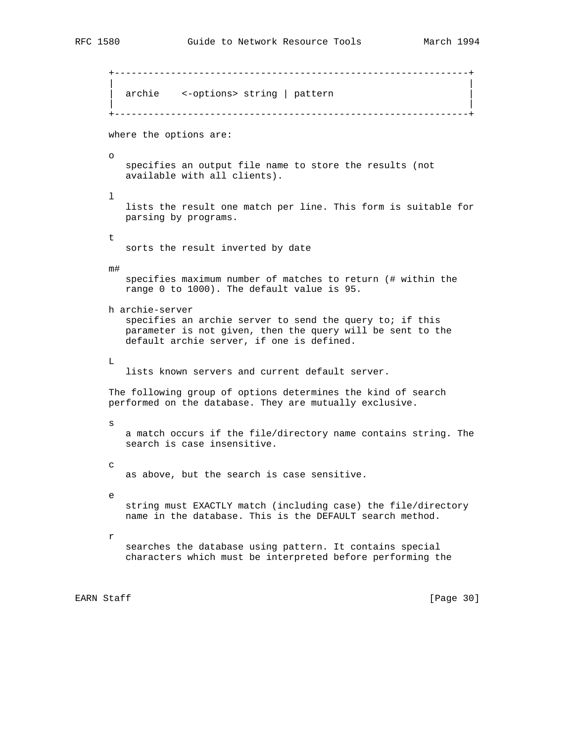```
 +---------------------------------------------------------------+
 | |
      archie <-options> string | pattern
 | |
      +---------------------------------------------------------------+
      where the options are:
      o
         specifies an output file name to store the results (not
        available with all clients).
      l
         lists the result one match per line. This form is suitable for
        parsing by programs.
      t
        sorts the result inverted by date
      m#
         specifies maximum number of matches to return (# within the
        range 0 to 1000). The default value is 95.
      h archie-server
         specifies an archie server to send the query to; if this
         parameter is not given, then the query will be sent to the
         default archie server, if one is defined.
      L
         lists known servers and current default server.
      The following group of options determines the kind of search
      performed on the database. They are mutually exclusive.
      s
         a match occurs if the file/directory name contains string. The
         search is case insensitive.
      c
        as above, but the search is case sensitive.
      e
        string must EXACTLY match (including case) the file/directory
         name in the database. This is the DEFAULT search method.
      r
        searches the database using pattern. It contains special
         characters which must be interpreted before performing the
```
EARN Staff [Page 30]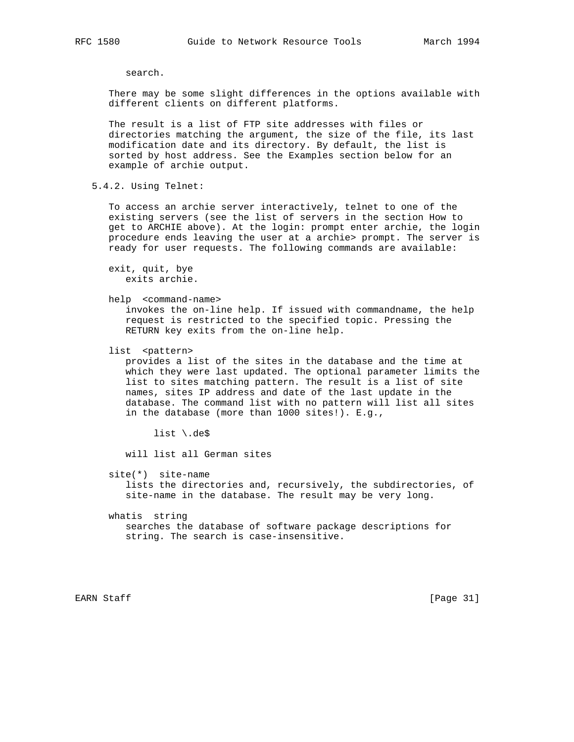search.

 There may be some slight differences in the options available with different clients on different platforms.

 The result is a list of FTP site addresses with files or directories matching the argument, the size of the file, its last modification date and its directory. By default, the list is sorted by host address. See the Examples section below for an example of archie output.

5.4.2. Using Telnet:

 To access an archie server interactively, telnet to one of the existing servers (see the list of servers in the section How to get to ARCHIE above). At the login: prompt enter archie, the login procedure ends leaving the user at a archie> prompt. The server is ready for user requests. The following commands are available:

 exit, quit, bye exits archie.

help <command-name>

 invokes the on-line help. If issued with commandname, the help request is restricted to the specified topic. Pressing the RETURN key exits from the on-line help.

list <pattern>

 provides a list of the sites in the database and the time at which they were last updated. The optional parameter limits the list to sites matching pattern. The result is a list of site names, sites IP address and date of the last update in the database. The command list with no pattern will list all sites in the database (more than 1000 sites!). E.g.,

list \.de\$

will list all German sites

site(\*) site-name

 lists the directories and, recursively, the subdirectories, of site-name in the database. The result may be very long.

 whatis string searches the database of software package descriptions for string. The search is case-insensitive.

EARN Staff [Page 31]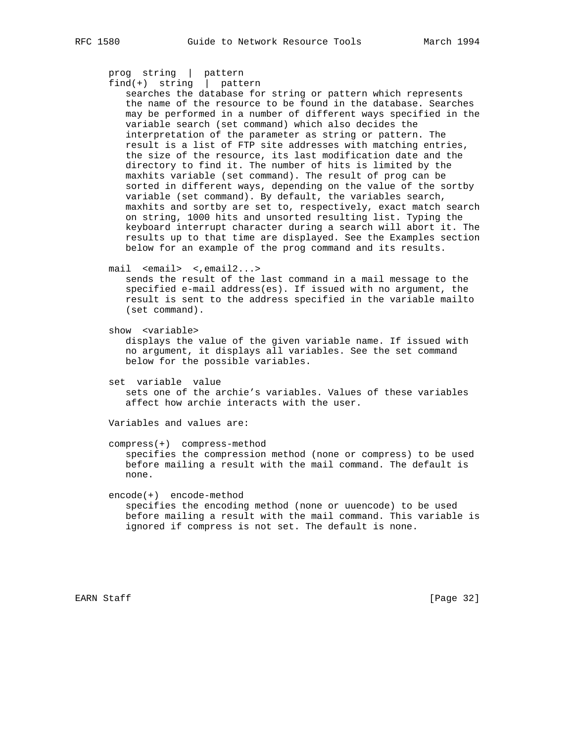```
 prog string | pattern
 find(+) string | pattern
```
 searches the database for string or pattern which represents the name of the resource to be found in the database. Searches may be performed in a number of different ways specified in the variable search (set command) which also decides the interpretation of the parameter as string or pattern. The result is a list of FTP site addresses with matching entries, the size of the resource, its last modification date and the directory to find it. The number of hits is limited by the maxhits variable (set command). The result of prog can be sorted in different ways, depending on the value of the sortby variable (set command). By default, the variables search, maxhits and sortby are set to, respectively, exact match search on string, 1000 hits and unsorted resulting list. Typing the keyboard interrupt character during a search will abort it. The results up to that time are displayed. See the Examples section below for an example of the prog command and its results.

mail <email> <,email2...>

 sends the result of the last command in a mail message to the specified e-mail address(es). If issued with no argument, the result is sent to the address specified in the variable mailto (set command).

show <variable>

 displays the value of the given variable name. If issued with no argument, it displays all variables. See the set command below for the possible variables.

 set variable value sets one of the archie's variables. Values of these variables affect how archie interacts with the user.

Variables and values are:

 compress(+) compress-method specifies the compression method (none or compress) to be used before mailing a result with the mail command. The default is none.

 encode(+) encode-method specifies the encoding method (none or uuencode) to be used before mailing a result with the mail command. This variable is ignored if compress is not set. The default is none.

EARN Staff [Page 32]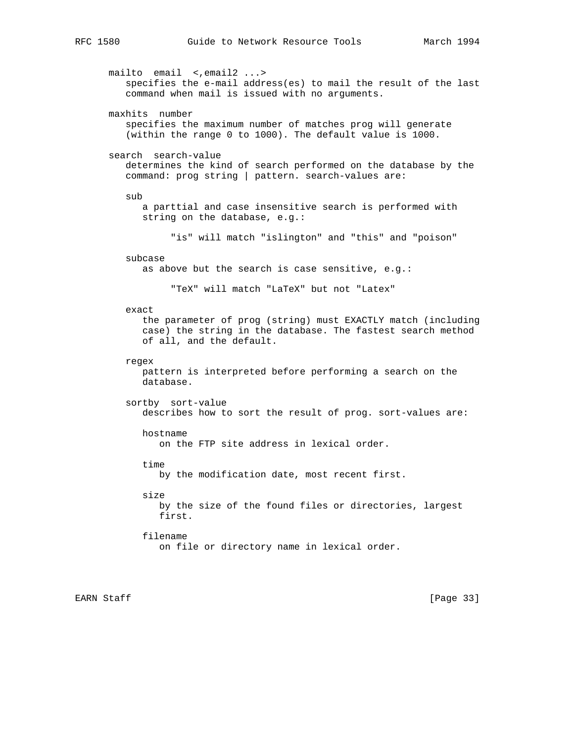mailto email <, email2 ...> specifies the e-mail address(es) to mail the result of the last command when mail is issued with no arguments. maxhits number specifies the maximum number of matches prog will generate (within the range 0 to 1000). The default value is 1000. search search-value determines the kind of search performed on the database by the command: prog string | pattern. search-values are: sub a parttial and case insensitive search is performed with string on the database, e.g.: "is" will match "islington" and "this" and "poison" subcase as above but the search is case sensitive, e.g.: "TeX" will match "LaTeX" but not "Latex" exact the parameter of prog (string) must EXACTLY match (including case) the string in the database. The fastest search method of all, and the default. regex pattern is interpreted before performing a search on the database. sortby sort-value describes how to sort the result of prog. sort-values are: hostname on the FTP site address in lexical order. time by the modification date, most recent first. size by the size of the found files or directories, largest first. filename on file or directory name in lexical order.

EARN Staff [Page 33]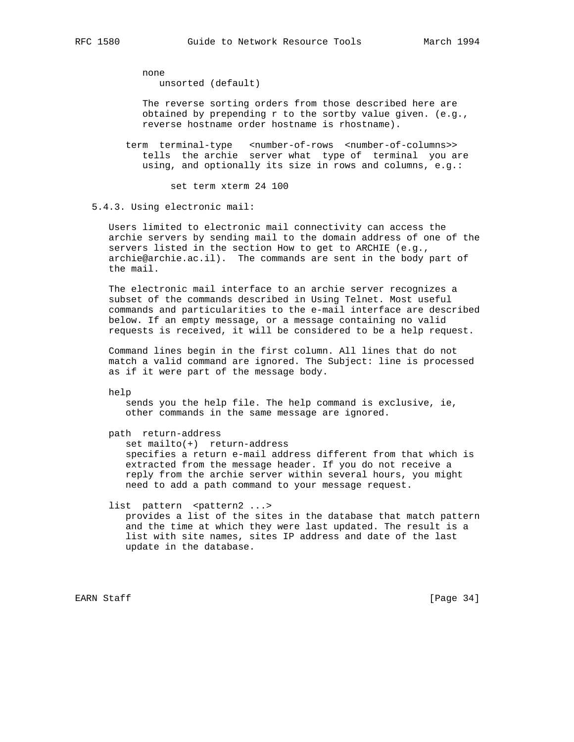none

unsorted (default)

 The reverse sorting orders from those described here are obtained by prepending r to the sortby value given. (e.g., reverse hostname order hostname is rhostname).

term terminal-type <number-of-rows <number-of-columns>> tells the archie server what type of terminal you are using, and optionally its size in rows and columns, e.g.:

set term xterm 24 100

5.4.3. Using electronic mail:

 Users limited to electronic mail connectivity can access the archie servers by sending mail to the domain address of one of the servers listed in the section How to get to ARCHIE (e.g., archie@archie.ac.il). The commands are sent in the body part of the mail.

 The electronic mail interface to an archie server recognizes a subset of the commands described in Using Telnet. Most useful commands and particularities to the e-mail interface are described below. If an empty message, or a message containing no valid requests is received, it will be considered to be a help request.

 Command lines begin in the first column. All lines that do not match a valid command are ignored. The Subject: line is processed as if it were part of the message body.

help

 sends you the help file. The help command is exclusive, ie, other commands in the same message are ignored.

path return-address

 set mailto(+) return-address specifies a return e-mail address different from that which is extracted from the message header. If you do not receive a reply from the archie server within several hours, you might need to add a path command to your message request.

list pattern <pattern2 ...>

 provides a list of the sites in the database that match pattern and the time at which they were last updated. The result is a list with site names, sites IP address and date of the last update in the database.

EARN Staff [Page 34]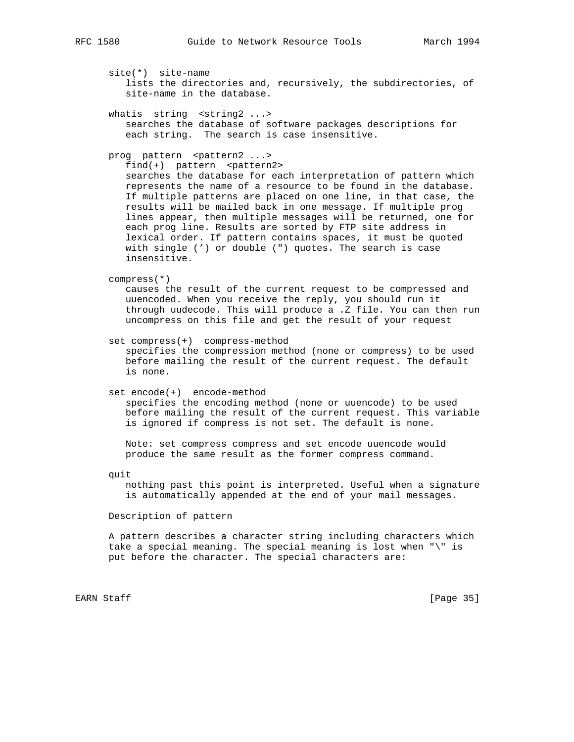site(\*) site-name lists the directories and, recursively, the subdirectories, of site-name in the database.

whatis string <string2 ...> searches the database of software packages descriptions for each string. The search is case insensitive.

## prog pattern <pattern2 ...>

 $find(+)$  pattern <pattern2> searches the database for each interpretation of pattern which represents the name of a resource to be found in the database. If multiple patterns are placed on one line, in that case, the results will be mailed back in one message. If multiple prog lines appear, then multiple messages will be returned, one for each prog line. Results are sorted by FTP site address in lexical order. If pattern contains spaces, it must be quoted with single (') or double (") quotes. The search is case insensitive.

compress(\*)

 causes the result of the current request to be compressed and uuencoded. When you receive the reply, you should run it through uudecode. This will produce a .Z file. You can then run uncompress on this file and get the result of your request

set compress(+) compress-method

 specifies the compression method (none or compress) to be used before mailing the result of the current request. The default is none.

set encode(+) encode-method

 specifies the encoding method (none or uuencode) to be used before mailing the result of the current request. This variable is ignored if compress is not set. The default is none.

 Note: set compress compress and set encode uuencode would produce the same result as the former compress command.

quit

 nothing past this point is interpreted. Useful when a signature is automatically appended at the end of your mail messages.

Description of pattern

 A pattern describes a character string including characters which take a special meaning. The special meaning is lost when "\" is put before the character. The special characters are:

EARN Staff [Page 35]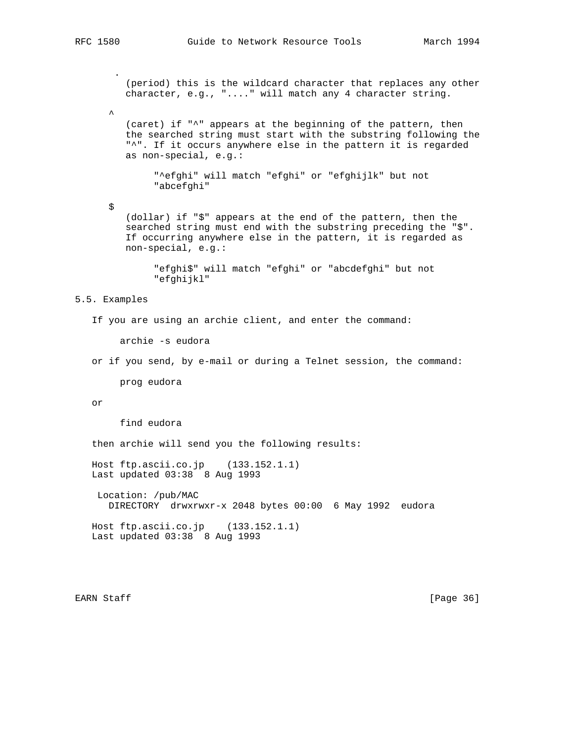(period) this is the wildcard character that replaces any other character, e.g., "...." will match any 4 character string.

 (caret) if "^" appears at the beginning of the pattern, then the searched string must start with the substring following the "^". If it occurs anywhere else in the pattern it is regarded as non-special, e.g.:

 "^efghi" will match "efghi" or "efghijlk" but not "abcefghi"

 (dollar) if "\$" appears at the end of the pattern, then the searched string must end with the substring preceding the "\$". If occurring anywhere else in the pattern, it is regarded as non-special, e.g.:

 "efghi\$" will match "efghi" or "abcdefghi" but not "efghijkl"

## 5.5. Examples

\$

```
 If you are using an archie client, and enter the command:
```
archie -s eudora

or if you send, by e-mail or during a Telnet session, the command:

prog eudora

or

find eudora

then archie will send you the following results:

 Host ftp.ascii.co.jp (133.152.1.1) Last updated 03:38 8 Aug 1993

 Location: /pub/MAC DIRECTORY drwxrwxr-x 2048 bytes 00:00 6 May 1992 eudora

 Host ftp.ascii.co.jp (133.152.1.1) Last updated 03:38 8 Aug 1993

EARN Staff [Page 36]

.

 $\sim$   $\sim$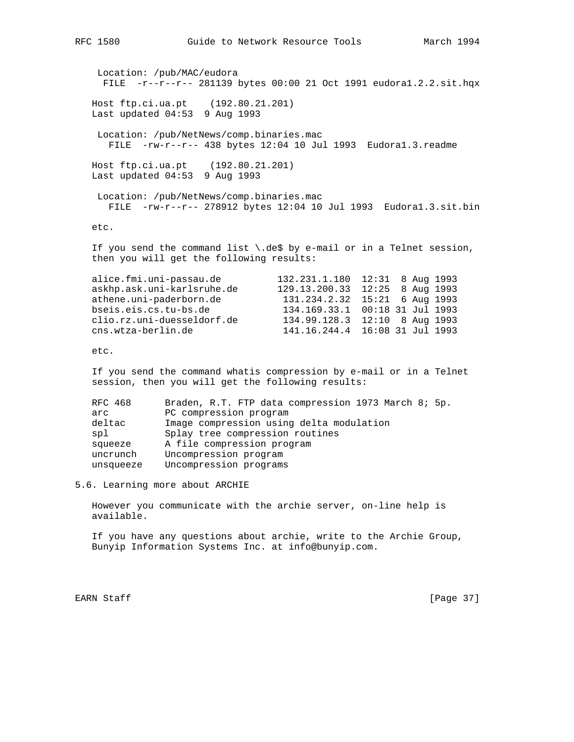```
RFC 1580 Guide to Network Resource Tools March 1994
    Location: /pub/MAC/eudora
     FILE -r--r--r-- 281139 bytes 00:00 21 Oct 1991 eudora1.2.2.sit.hqx
   Host ftp.ci.ua.pt (192.80.21.201)
   Last updated 04:53 9 Aug 1993
    Location: /pub/NetNews/comp.binaries.mac
      FILE -rw-r--r-- 438 bytes 12:04 10 Jul 1993 Eudora1.3.readme
   Host ftp.ci.ua.pt (192.80.21.201)
   Last updated 04:53 9 Aug 1993
    Location: /pub/NetNews/comp.binaries.mac
      FILE -rw-r--r-- 278912 bytes 12:04 10 Jul 1993 Eudora1.3.sit.bin
   etc.
```
If you send the command list  $\cdot$  de\$ by e-mail or in a Telnet session, then you will get the following results:

| alice.fmi.uni-passau.de    | 132.231.1.180  12:31  8 Aug 1993   |  |  |
|----------------------------|------------------------------------|--|--|
| askhp.ask.uni-karlsruhe.de | 129.13.200.33 12:25 8 Aug 1993     |  |  |
| athene.uni-paderborn.de    | 131.234.2.32 15:21 6 Aug 1993      |  |  |
| bseis.eis.cs.tu-bs.de      | 134.169.33.1 00:18 31 Jul 1993     |  |  |
| clio.rz.uni-duesseldorf.de | 134.99.128.3 12:10 8 Aug 1993      |  |  |
| cns.wtza-berlin.de         | 141.16.244.4  16:08  31  Jul  1993 |  |  |
|                            |                                    |  |  |

etc.

 If you send the command whatis compression by e-mail or in a Telnet session, then you will get the following results:

| RFC 468   | Braden, R.T. FTP data compression 1973 March 8; 5p. |  |  |  |  |  |
|-----------|-----------------------------------------------------|--|--|--|--|--|
| arc       | PC compression program                              |  |  |  |  |  |
| deltac    | Image compression using delta modulation            |  |  |  |  |  |
| spl       | Splay tree compression routines                     |  |  |  |  |  |
| squeeze   | A file compression program                          |  |  |  |  |  |
| uncrunch  | Uncompression program                               |  |  |  |  |  |
| unsqueeze | Uncompression programs                              |  |  |  |  |  |
|           |                                                     |  |  |  |  |  |

5.6. Learning more about ARCHIE

 However you communicate with the archie server, on-line help is available.

 If you have any questions about archie, write to the Archie Group, Bunyip Information Systems Inc. at info@bunyip.com.

EARN Staff [Page 37]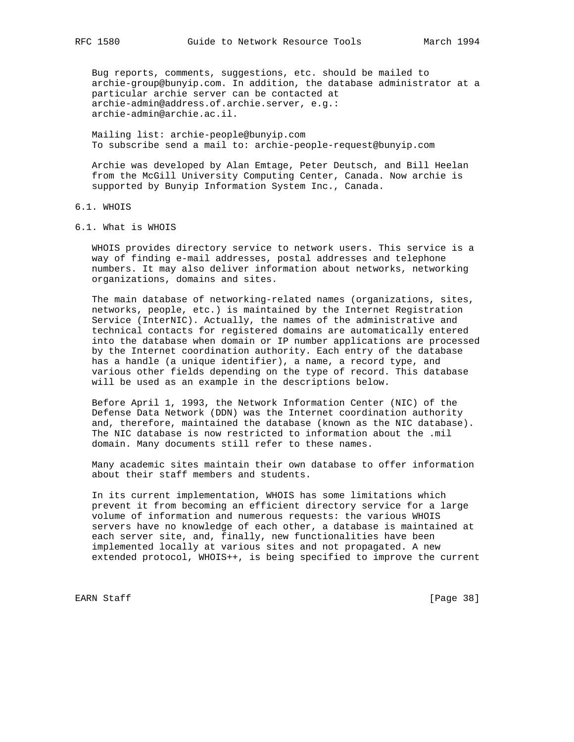Bug reports, comments, suggestions, etc. should be mailed to archie-group@bunyip.com. In addition, the database administrator at a particular archie server can be contacted at archie-admin@address.of.archie.server, e.g.: archie-admin@archie.ac.il.

 Mailing list: archie-people@bunyip.com To subscribe send a mail to: archie-people-request@bunyip.com

 Archie was developed by Alan Emtage, Peter Deutsch, and Bill Heelan from the McGill University Computing Center, Canada. Now archie is supported by Bunyip Information System Inc., Canada.

# 6.1. WHOIS

6.1. What is WHOIS

 WHOIS provides directory service to network users. This service is a way of finding e-mail addresses, postal addresses and telephone numbers. It may also deliver information about networks, networking organizations, domains and sites.

 The main database of networking-related names (organizations, sites, networks, people, etc.) is maintained by the Internet Registration Service (InterNIC). Actually, the names of the administrative and technical contacts for registered domains are automatically entered into the database when domain or IP number applications are processed by the Internet coordination authority. Each entry of the database has a handle (a unique identifier), a name, a record type, and various other fields depending on the type of record. This database will be used as an example in the descriptions below.

 Before April 1, 1993, the Network Information Center (NIC) of the Defense Data Network (DDN) was the Internet coordination authority and, therefore, maintained the database (known as the NIC database). The NIC database is now restricted to information about the .mil domain. Many documents still refer to these names.

 Many academic sites maintain their own database to offer information about their staff members and students.

 In its current implementation, WHOIS has some limitations which prevent it from becoming an efficient directory service for a large volume of information and numerous requests: the various WHOIS servers have no knowledge of each other, a database is maintained at each server site, and, finally, new functionalities have been implemented locally at various sites and not propagated. A new extended protocol, WHOIS++, is being specified to improve the current

EARN Staff [Page 38]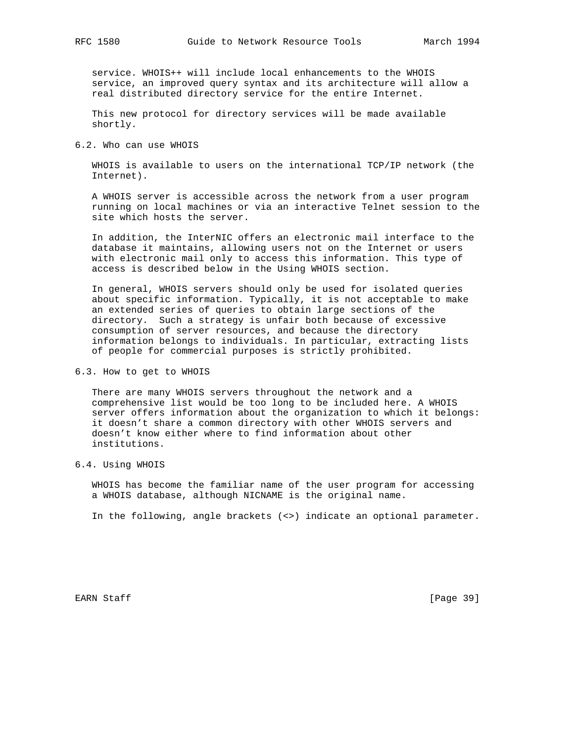service. WHOIS++ will include local enhancements to the WHOIS service, an improved query syntax and its architecture will allow a real distributed directory service for the entire Internet.

 This new protocol for directory services will be made available shortly.

6.2. Who can use WHOIS

 WHOIS is available to users on the international TCP/IP network (the Internet).

 A WHOIS server is accessible across the network from a user program running on local machines or via an interactive Telnet session to the site which hosts the server.

 In addition, the InterNIC offers an electronic mail interface to the database it maintains, allowing users not on the Internet or users with electronic mail only to access this information. This type of access is described below in the Using WHOIS section.

 In general, WHOIS servers should only be used for isolated queries about specific information. Typically, it is not acceptable to make an extended series of queries to obtain large sections of the directory. Such a strategy is unfair both because of excessive consumption of server resources, and because the directory information belongs to individuals. In particular, extracting lists of people for commercial purposes is strictly prohibited.

6.3. How to get to WHOIS

 There are many WHOIS servers throughout the network and a comprehensive list would be too long to be included here. A WHOIS server offers information about the organization to which it belongs: it doesn't share a common directory with other WHOIS servers and doesn't know either where to find information about other institutions.

6.4. Using WHOIS

 WHOIS has become the familiar name of the user program for accessing a WHOIS database, although NICNAME is the original name.

In the following, angle brackets (<>) indicate an optional parameter.

EARN Staff [Page 39]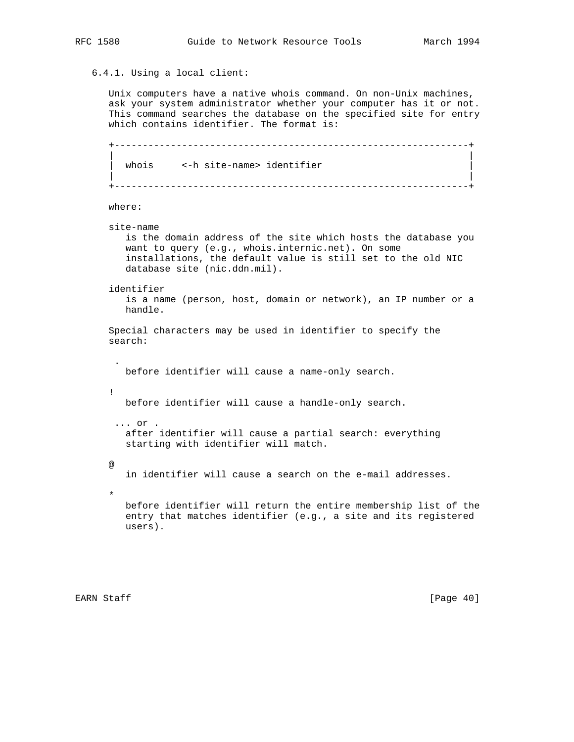6.4.1. Using a local client:

 Unix computers have a native whois command. On non-Unix machines, ask your system administrator whether your computer has it or not. This command searches the database on the specified site for entry which contains identifier. The format is:

```
 +---------------------------------------------------------------+
 | |
    whois <-h site-name> identifier
 | |
    +---------------------------------------------------------------+
```

```
 where:
```
site-name

 is the domain address of the site which hosts the database you want to query (e.g., whois.internic.net). On some installations, the default value is still set to the old NIC database site (nic.ddn.mil).

identifier

 is a name (person, host, domain or network), an IP number or a handle.

```
 Special characters may be used in identifier to specify the
 search:
```
before identifier will cause a name-only search.

before identifier will cause a handle-only search.

 ... or . after identifier will cause a partial search: everything starting with identifier will match.

in identifier will cause a search on the e-mail addresses.

 before identifier will return the entire membership list of the entry that matches identifier (e.g., a site and its registered users).

.

!

@

 $\star$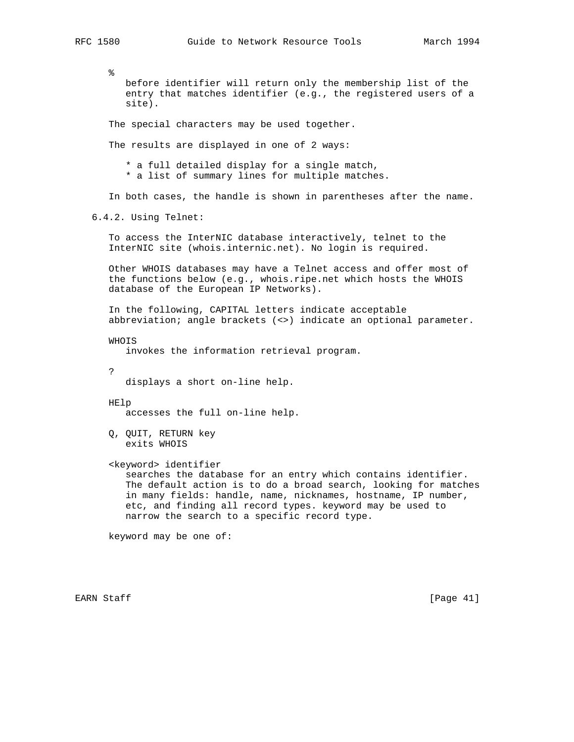% before identifier will return only the membership list of the entry that matches identifier (e.g., the registered users of a site). The special characters may be used together. The results are displayed in one of 2 ways: \* a full detailed display for a single match, \* a list of summary lines for multiple matches. In both cases, the handle is shown in parentheses after the name. 6.4.2. Using Telnet: To access the InterNIC database interactively, telnet to the InterNIC site (whois.internic.net). No login is required. Other WHOIS databases may have a Telnet access and offer most of the functions below (e.g., whois.ripe.net which hosts the WHOIS database of the European IP Networks). In the following, CAPITAL letters indicate acceptable abbreviation; angle brackets (<>) indicate an optional parameter. WHOIS invokes the information retrieval program. ? displays a short on-line help. HElp accesses the full on-line help. Q, QUIT, RETURN key exits WHOIS <keyword> identifier searches the database for an entry which contains identifier. The default action is to do a broad search, looking for matches in many fields: handle, name, nicknames, hostname, IP number, etc, and finding all record types. keyword may be used to narrow the search to a specific record type. keyword may be one of:

EARN Staff [Page 41]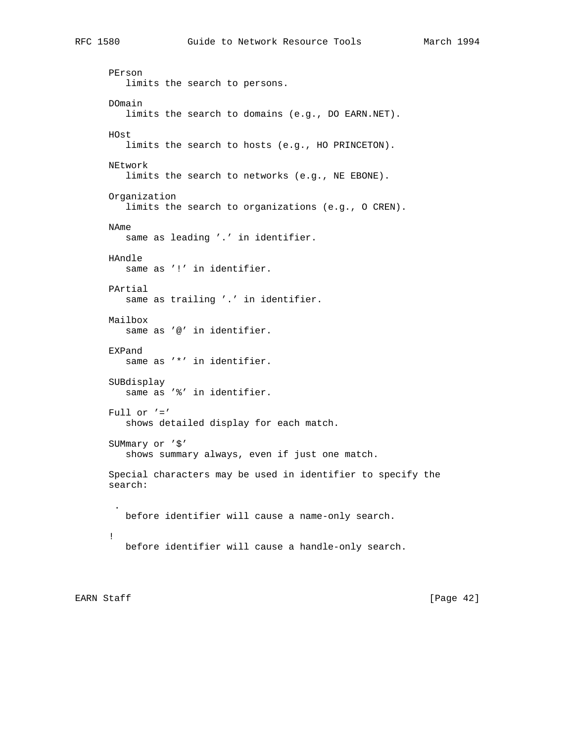PErson limits the search to persons. DOmain limits the search to domains (e.g., DO EARN.NET). HOst limits the search to hosts (e.g., HO PRINCETON). NEtwork limits the search to networks (e.g., NE EBONE). Organization limits the search to organizations (e.g., O CREN). NAme same as leading '.' in identifier. HAndle same as '!' in identifier. PArtial same as trailing '.' in identifier. Mailbox same as '@' in identifier. EXPand same as '\*' in identifier. SUBdisplay same as '%' in identifier. Full or  $'= '$  shows detailed display for each match. SUMmary or '\$' shows summary always, even if just one match. Special characters may be used in identifier to specify the search: . before identifier will cause a name-only search. ! before identifier will cause a handle-only search.

EARN Staff [Page 42]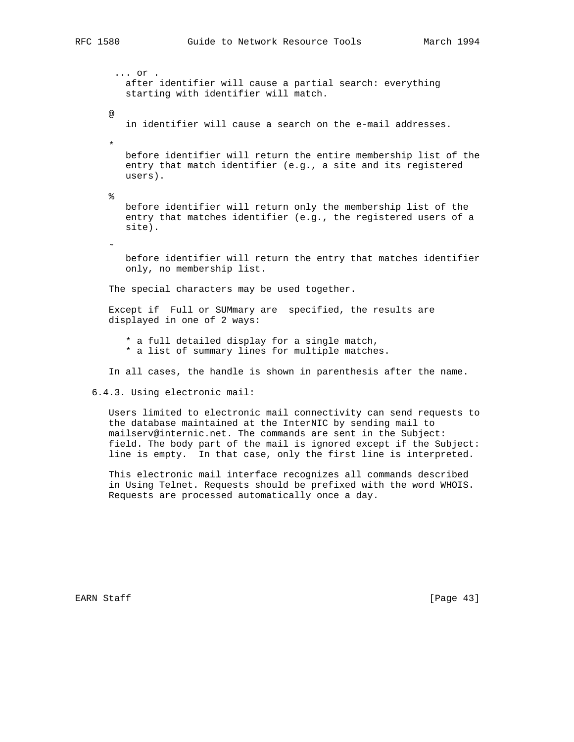... or . after identifier will cause a partial search: everything starting with identifier will match. @ in identifier will cause a search on the e-mail addresses.  $\star$  before identifier will return the entire membership list of the entry that match identifier (e.g., a site and its registered users).  $\epsilon$  before identifier will return only the membership list of the entry that matches identifier (e.g., the registered users of a site).  $\sim$  before identifier will return the entry that matches identifier only, no membership list. The special characters may be used together. Except if Full or SUMmary are specified, the results are displayed in one of 2 ways: \* a full detailed display for a single match, \* a list of summary lines for multiple matches. In all cases, the handle is shown in parenthesis after the name. 6.4.3. Using electronic mail: Users limited to electronic mail connectivity can send requests to

 the database maintained at the InterNIC by sending mail to mailserv@internic.net. The commands are sent in the Subject: field. The body part of the mail is ignored except if the Subject: line is empty. In that case, only the first line is interpreted.

 This electronic mail interface recognizes all commands described in Using Telnet. Requests should be prefixed with the word WHOIS. Requests are processed automatically once a day.

EARN Staff [Page 43]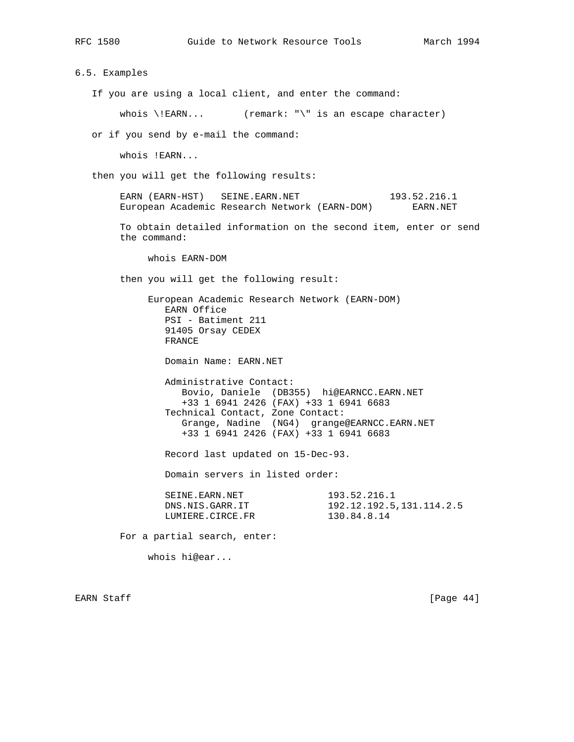6.5. Examples If you are using a local client, and enter the command: whois  $\lvert$  EARN... (remark: " $\lvert$ " is an escape character) or if you send by e-mail the command: whois !EARN... then you will get the following results: EARN (EARN-HST) SEINE.EARN.NET 193.52.216.1 European Academic Research Network (EARN-DOM) EARN.NET To obtain detailed information on the second item, enter or send the command: whois EARN-DOM then you will get the following result: European Academic Research Network (EARN-DOM) EARN Office PSI - Batiment 211 91405 Orsay CEDEX FRANCE Domain Name: EARN.NET Administrative Contact: Bovio, Daniele (DB355) hi@EARNCC.EARN.NET +33 1 6941 2426 (FAX) +33 1 6941 6683 Technical Contact, Zone Contact: Grange, Nadine (NG4) grange@EARNCC.EARN.NET +33 1 6941 2426 (FAX) +33 1 6941 6683 Record last updated on 15-Dec-93. Domain servers in listed order: SEINE.EARN.NET 193.52.216.1<br>DNS.NIS.GARR.IT 192.12.192.5 192.12.192.5,131.114.2.5 LUMIERE.CIRCE.FR 130.84.8.14 For a partial search, enter: whois hi@ear...

EARN Staff [Page 44]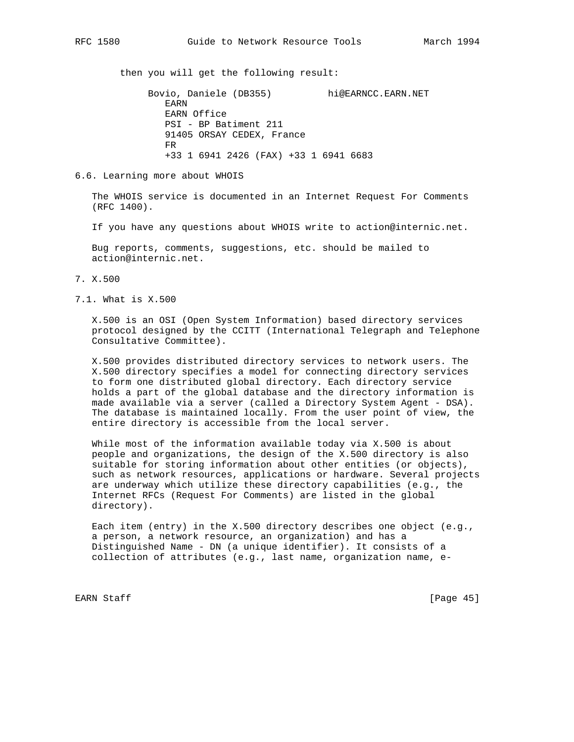then you will get the following result:

 Bovio, Daniele (DB355) hi@EARNCC.EARN.NET EARN EARN Office PSI - BP Batiment 211 91405 ORSAY CEDEX, France **FREQUE STREET STREET IN THE STREET IN THE STREET IN THE STREET IN THE STREET IN** +33 1 6941 2426 (FAX) +33 1 6941 6683

6.6. Learning more about WHOIS

 The WHOIS service is documented in an Internet Request For Comments (RFC 1400).

If you have any questions about WHOIS write to action@internic.net.

 Bug reports, comments, suggestions, etc. should be mailed to action@internic.net.

- 7. X.500
- 7.1. What is X.500

 X.500 is an OSI (Open System Information) based directory services protocol designed by the CCITT (International Telegraph and Telephone Consultative Committee).

 X.500 provides distributed directory services to network users. The X.500 directory specifies a model for connecting directory services to form one distributed global directory. Each directory service holds a part of the global database and the directory information is made available via a server (called a Directory System Agent - DSA). The database is maintained locally. From the user point of view, the entire directory is accessible from the local server.

 While most of the information available today via X.500 is about people and organizations, the design of the X.500 directory is also suitable for storing information about other entities (or objects), such as network resources, applications or hardware. Several projects are underway which utilize these directory capabilities (e.g., the Internet RFCs (Request For Comments) are listed in the global directory).

 Each item (entry) in the X.500 directory describes one object (e.g., a person, a network resource, an organization) and has a Distinguished Name - DN (a unique identifier). It consists of a collection of attributes (e.g., last name, organization name, e-

EARN Staff [Page 45]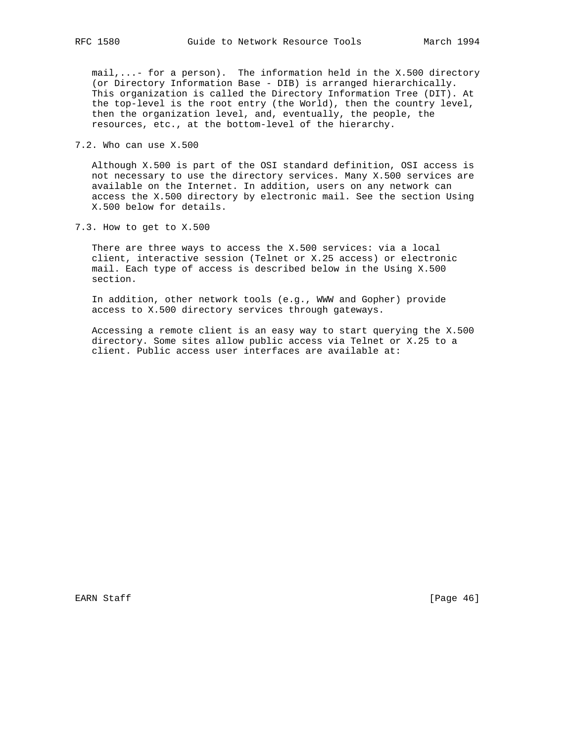mail,...- for a person). The information held in the X.500 directory (or Directory Information Base - DIB) is arranged hierarchically. This organization is called the Directory Information Tree (DIT). At the top-level is the root entry (the World), then the country level, then the organization level, and, eventually, the people, the resources, etc., at the bottom-level of the hierarchy.

7.2. Who can use X.500

 Although X.500 is part of the OSI standard definition, OSI access is not necessary to use the directory services. Many X.500 services are available on the Internet. In addition, users on any network can access the X.500 directory by electronic mail. See the section Using X.500 below for details.

7.3. How to get to X.500

 There are three ways to access the X.500 services: via a local client, interactive session (Telnet or X.25 access) or electronic mail. Each type of access is described below in the Using X.500 section.

 In addition, other network tools (e.g., WWW and Gopher) provide access to X.500 directory services through gateways.

 Accessing a remote client is an easy way to start querying the X.500 directory. Some sites allow public access via Telnet or X.25 to a client. Public access user interfaces are available at: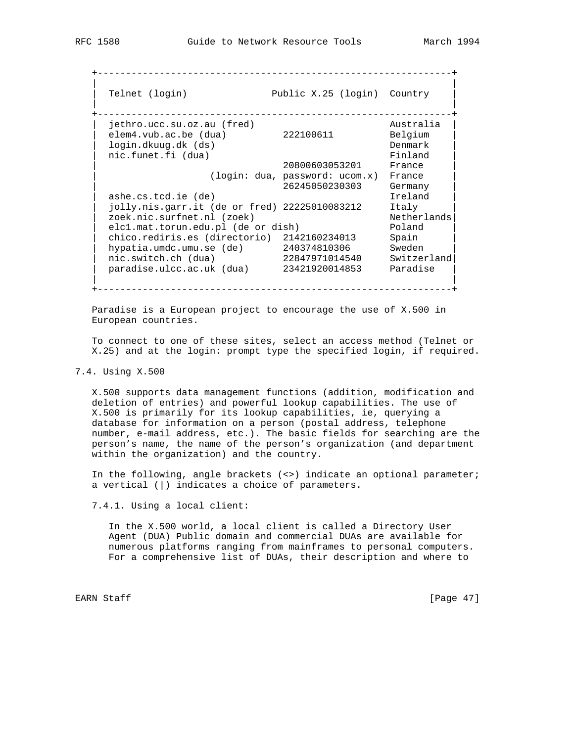+---------------------------------------------------------------+

 | | | Telnet (login) Public X.25 (login) Country | | | +---------------------------------------------------------------+ | jethro.ucc.su.oz.au (fred) Australia | | elem4.vub.ac.be (dua) 222100611 Belgium | | login.dkuug.dk (ds) Denmark | nic.funet.fi (dua) Binland Einland Binland Binland Binland Binland Binland Binland Binland Binland Binland Binland Binland Binland Binland Binland Binland Binland Binland Binland Binland Binland Binland Binland Binland Bin 20800603053201 France | (login: dua, password: ucom.x) France | | 26245050230303 Germany | | ashe.cs.tcd.ie (de) Ireland | | jolly.nis.garr.it (de or fred) 22225010083212 Italy | | zoek.nic.surfnet.nl (zoek) Netherlands| | elc1.mat.torun.edu.pl (de or dish) Poland | | chico.rediris.es (directorio) 2142160234013 Spain | | hypatia.umdc.umu.se (de) 240374810306 Sweden | | nic.switch.ch (dua) 22847971014540 Switzerland| | paradise.ulcc.ac.uk (dua) 23421920014853 Paradise | | | +---------------------------------------------------------------+

 Paradise is a European project to encourage the use of X.500 in European countries.

 To connect to one of these sites, select an access method (Telnet or X.25) and at the login: prompt type the specified login, if required.

## 7.4. Using X.500

 X.500 supports data management functions (addition, modification and deletion of entries) and powerful lookup capabilities. The use of X.500 is primarily for its lookup capabilities, ie, querying a database for information on a person (postal address, telephone number, e-mail address, etc.). The basic fields for searching are the person's name, the name of the person's organization (and department within the organization) and the country.

 In the following, angle brackets (<>) indicate an optional parameter; a vertical (|) indicates a choice of parameters.

7.4.1. Using a local client:

 In the X.500 world, a local client is called a Directory User Agent (DUA) Public domain and commercial DUAs are available for numerous platforms ranging from mainframes to personal computers. For a comprehensive list of DUAs, their description and where to

EARN Staff [Page 47]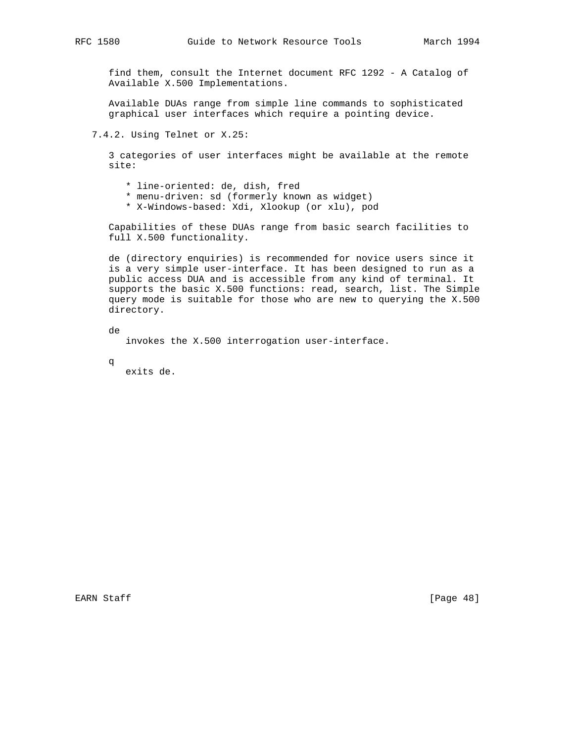find them, consult the Internet document RFC 1292 - A Catalog of Available X.500 Implementations.

 Available DUAs range from simple line commands to sophisticated graphical user interfaces which require a pointing device.

7.4.2. Using Telnet or X.25:

 3 categories of user interfaces might be available at the remote site:

- \* line-oriented: de, dish, fred
- \* menu-driven: sd (formerly known as widget)
- \* X-Windows-based: Xdi, Xlookup (or xlu), pod

 Capabilities of these DUAs range from basic search facilities to full X.500 functionality.

 de (directory enquiries) is recommended for novice users since it is a very simple user-interface. It has been designed to run as a public access DUA and is accessible from any kind of terminal. It supports the basic X.500 functions: read, search, list. The Simple query mode is suitable for those who are new to querying the X.500 directory.

 de invokes the X.500 interrogation user-interface.

q

exits de.

EARN Staff [Page 48]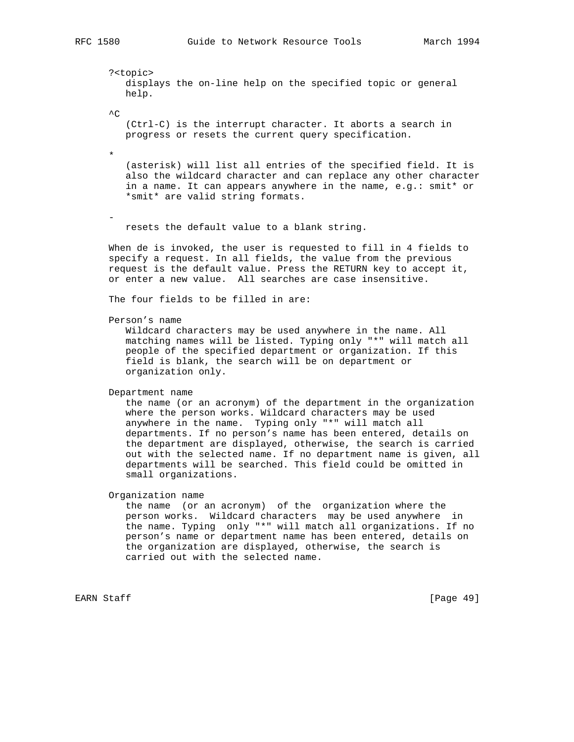?<topic> displays the on-line help on the specified topic or general help.

 $\mathord{\sim} \mathord{\mathbb C}$ 

 (Ctrl-C) is the interrupt character. It aborts a search in progress or resets the current query specification.

 $\star$ 

-

 (asterisk) will list all entries of the specified field. It is also the wildcard character and can replace any other character in a name. It can appears anywhere in the name, e.g.: smit\* or \*smit\* are valid string formats.

resets the default value to a blank string.

 When de is invoked, the user is requested to fill in 4 fields to specify a request. In all fields, the value from the previous request is the default value. Press the RETURN key to accept it, or enter a new value. All searches are case insensitive.

The four fields to be filled in are:

Person's name

 Wildcard characters may be used anywhere in the name. All matching names will be listed. Typing only "\*" will match all people of the specified department or organization. If this field is blank, the search will be on department or organization only.

Department name

 the name (or an acronym) of the department in the organization where the person works. Wildcard characters may be used anywhere in the name. Typing only "\*" will match all departments. If no person's name has been entered, details on the department are displayed, otherwise, the search is carried out with the selected name. If no department name is given, all departments will be searched. This field could be omitted in small organizations.

Organization name

 the name (or an acronym) of the organization where the person works. Wildcard characters may be used anywhere in the name. Typing only "\*" will match all organizations. If no person's name or department name has been entered, details on the organization are displayed, otherwise, the search is carried out with the selected name.

EARN Staff [Page 49]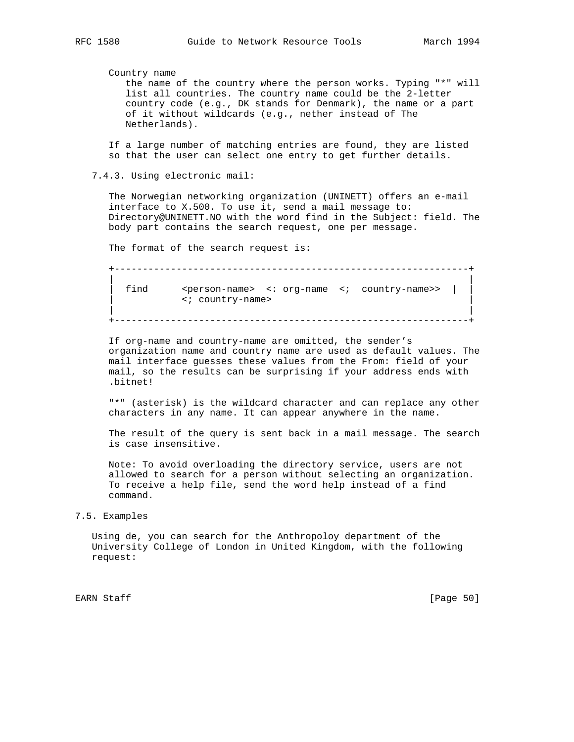Country name

 the name of the country where the person works. Typing "\*" will list all countries. The country name could be the 2-letter country code (e.g., DK stands for Denmark), the name or a part of it without wildcards (e.g., nether instead of The Netherlands).

 If a large number of matching entries are found, they are listed so that the user can select one entry to get further details.

7.4.3. Using electronic mail:

 The Norwegian networking organization (UNINETT) offers an e-mail interface to X.500. To use it, send a mail message to: Directory@UNINETT.NO with the word find in the Subject: field. The body part contains the search request, one per message.

The format of the search request is:

 +---------------------------------------------------------------+ | | | find <person-name> <: org-name <; country-name>> | | | <; country-name> | | | +---------------------------------------------------------------+

 If org-name and country-name are omitted, the sender's organization name and country name are used as default values. The mail interface guesses these values from the From: field of your mail, so the results can be surprising if your address ends with .bitnet!

 "\*" (asterisk) is the wildcard character and can replace any other characters in any name. It can appear anywhere in the name.

 The result of the query is sent back in a mail message. The search is case insensitive.

 Note: To avoid overloading the directory service, users are not allowed to search for a person without selecting an organization. To receive a help file, send the word help instead of a find command.

### 7.5. Examples

 Using de, you can search for the Anthropoloy department of the University College of London in United Kingdom, with the following request:

EARN Staff [Page 50]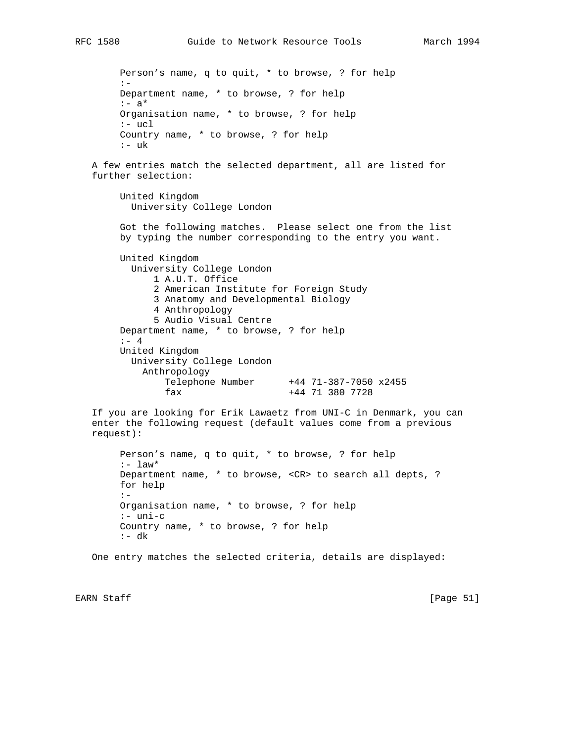Person's name, q to quit, \* to browse, ? for help :- Department name, \* to browse, ? for help  $:- a*$  Organisation name, \* to browse, ? for help :- ucl Country name, \* to browse, ? for help :- uk

 A few entries match the selected department, all are listed for further selection:

 United Kingdom University College London

 Got the following matches. Please select one from the list by typing the number corresponding to the entry you want.

 United Kingdom University College London 1 A.U.T. Office 2 American Institute for Foreign Study 3 Anatomy and Developmental Biology 4 Anthropology 5 Audio Visual Centre Department name, \* to browse, ? for help :- 4 United Kingdom University College London Anthropology Telephone Number +44 71-387-7050 x2455 fax +44 71 380 7728

 If you are looking for Erik Lawaetz from UNI-C in Denmark, you can enter the following request (default values come from a previous request):

```
 Person's name, q to quit, * to browse, ? for help
:- law*
 Department name, * to browse, <CR> to search all depts, ?
 for help
 :-
 Organisation name, * to browse, ? for help
 :- uni-c
 Country name, * to browse, ? for help
:- dk
```
One entry matches the selected criteria, details are displayed:

EARN Staff [Page 51]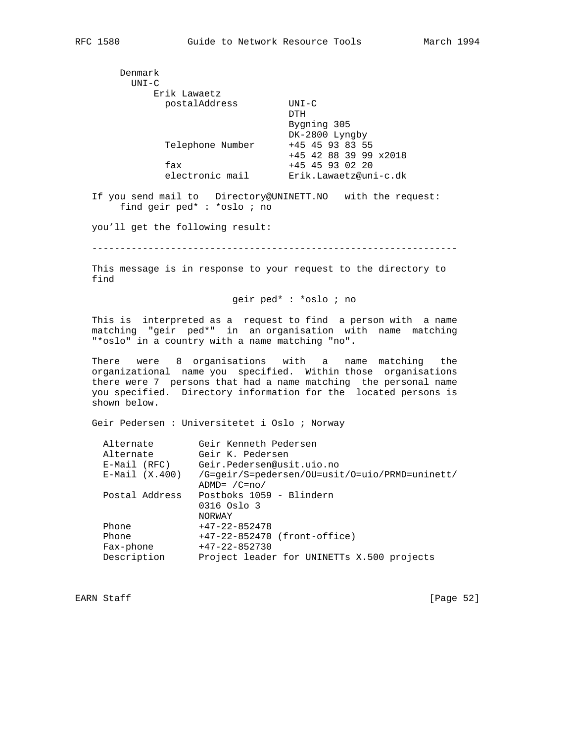Denmark UNI-C Erik Lawaetz postalAddress UNI-C **DTH**  Bygning 305 DK-2800 Lyngby Telephone Number +45 45 93 83 55 +45 42 88 39 99 x2018 fax +45 45 93 02 20 electronic mail Erik.Lawaetz@uni-c.dk If you send mail to Directory@UNINETT.NO with the request: find geir ped\* : \*oslo ; no you'll get the following result: ----------------------------------------------------------------- This message is in response to your request to the directory to find geir ped\* : \*oslo ; no This is interpreted as a request to find a person with a name matching "geir ped\*" in an organisation with name matching "\*oslo" in a country with a name matching "no".

 There were 8 organisations with a name matching the organizational name you specified. Within those organisations there were 7 persons that had a name matching the personal name you specified. Directory information for the located persons is shown below.

Geir Pedersen : Universitetet i Oslo ; Norway

| Alternate        | Geir Kenneth Pedersen                          |  |  |  |  |
|------------------|------------------------------------------------|--|--|--|--|
| Alternate        | Geir K. Pedersen                               |  |  |  |  |
| $E-Mail (RFC)$   | Geir.Pedersen@usit.uio.no                      |  |  |  |  |
| $E-Mail (X.400)$ | /G=geir/S=pedersen/OU=usit/O=uio/PRMD=uninett/ |  |  |  |  |
|                  | $ADMD = /C = no/$                              |  |  |  |  |
| Postal Address   | Postboks 1059 - Blindern                       |  |  |  |  |
|                  | 0316 Oslo 3                                    |  |  |  |  |
|                  | NORWAY                                         |  |  |  |  |
| Phone            | $+47-22-852478$                                |  |  |  |  |
| Phone            | +47-22-852470 (front-office)                   |  |  |  |  |
| Fax-phone        | $+47-22-852730$                                |  |  |  |  |
| Description      | Project leader for UNINETTs X.500 projects     |  |  |  |  |
|                  |                                                |  |  |  |  |

EARN Staff [Page 52]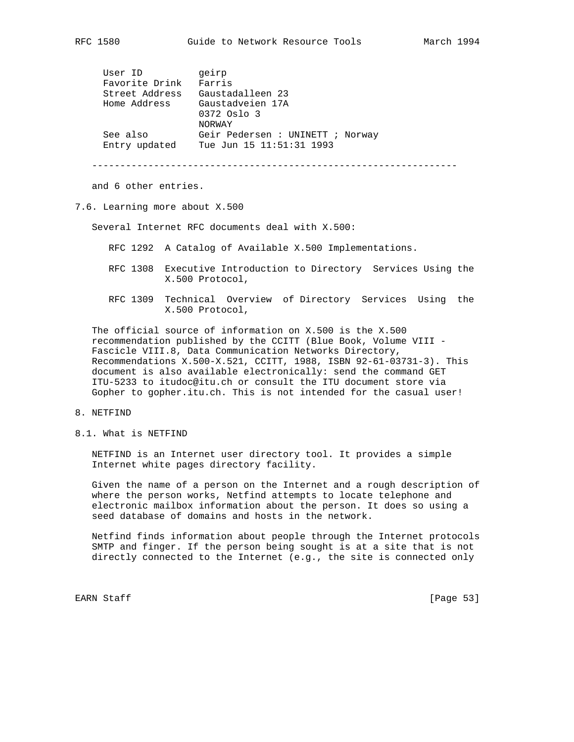| User ID |                | geirp                            |  |
|---------|----------------|----------------------------------|--|
|         | Favorite Drink | Farris                           |  |
|         | Street Address | Gaustadalleen 23                 |  |
|         | Home Address   | Gaustadveien 17A                 |  |
|         |                | 0372 Oslo 3                      |  |
|         |                | NORWAY                           |  |
|         | See also       | Geir Pedersen : UNINETT ; Norway |  |
|         | Entry updated  | Tue Jun 15 11:51:31 1993         |  |

-----------------------------------------------------------------

and 6 other entries.

### 7.6. Learning more about X.500

Several Internet RFC documents deal with X.500:

- RFC 1292 A Catalog of Available X.500 Implementations.
- RFC 1308 Executive Introduction to Directory Services Using the X.500 Protocol,
- RFC 1309 Technical Overview of Directory Services Using the X.500 Protocol,

 The official source of information on X.500 is the X.500 recommendation published by the CCITT (Blue Book, Volume VIII - Fascicle VIII.8, Data Communication Networks Directory, Recommendations X.500-X.521, CCITT, 1988, ISBN 92-61-03731-3). This document is also available electronically: send the command GET ITU-5233 to itudoc@itu.ch or consult the ITU document store via Gopher to gopher.itu.ch. This is not intended for the casual user!

# 8. NETFIND

8.1. What is NETFIND

 NETFIND is an Internet user directory tool. It provides a simple Internet white pages directory facility.

 Given the name of a person on the Internet and a rough description of where the person works, Netfind attempts to locate telephone and electronic mailbox information about the person. It does so using a seed database of domains and hosts in the network.

 Netfind finds information about people through the Internet protocols SMTP and finger. If the person being sought is at a site that is not directly connected to the Internet (e.g., the site is connected only

EARN Staff [Page 53]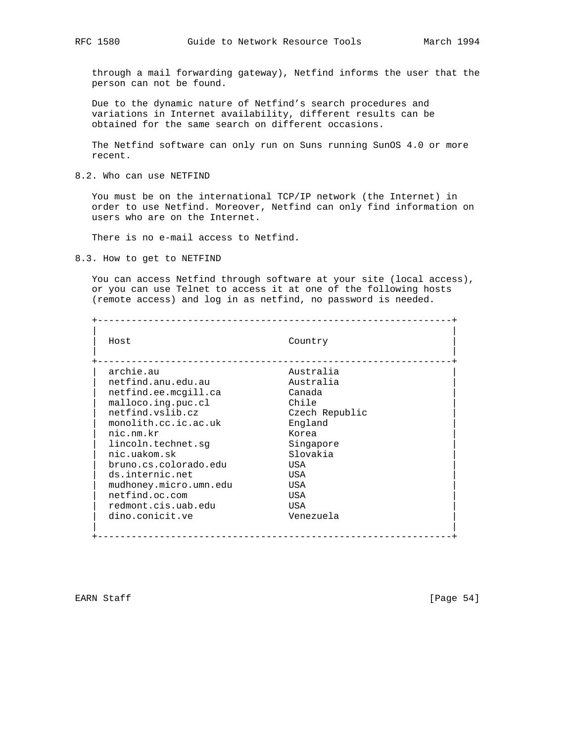through a mail forwarding gateway), Netfind informs the user that the person can not be found.

 Due to the dynamic nature of Netfind's search procedures and variations in Internet availability, different results can be obtained for the same search on different occasions.

 The Netfind software can only run on Suns running SunOS 4.0 or more recent.

8.2. Who can use NETFIND

 You must be on the international TCP/IP network (the Internet) in order to use Netfind. Moreover, Netfind can only find information on users who are on the Internet.

There is no e-mail access to Netfind.

8.3. How to get to NETFIND

 You can access Netfind through software at your site (local access), or you can use Telnet to access it at one of the following hosts (remote access) and log in as netfind, no password is needed.

 +---------------------------------------------------------------+ | | | Host Country | | | +---------------------------------------------------------------+ | archie.au Australia | netfind.anu.edu.au | netfind.ee.mcgill.ca Canada | | malloco.ing.puc.cl Chile | Chile | Chile | Chile | Chile | Chile | Chile | Chile | Chile | Chile | Chile | Chile | Chile | Chile | Chile | Chile | Chile | Chile | Chile | Chile | Chile | Chile | Chile | Chile | Chile | C netfind.vslib.cz Czech Republic monolith.cc.ic.ac.uk England nic.nm.kr Korea  $\begin{tabular}{ll} \texttt{lincoh.technet.sg} & \texttt{Singapore} \\ \texttt{nic.uakom.sk} & \texttt{Slovakia} \end{tabular}$  | nic.uakom.sk Slovakia | | bruno.cs.colorado.edu USA | ds.internic.net USA mudhoney.micro.umn.edu USA netfind.oc.com USA redmont.cis.uab.edu USA dino.conicit.ve Venezuela | | +---------------------------------------------------------------+

EARN Staff [Page 54]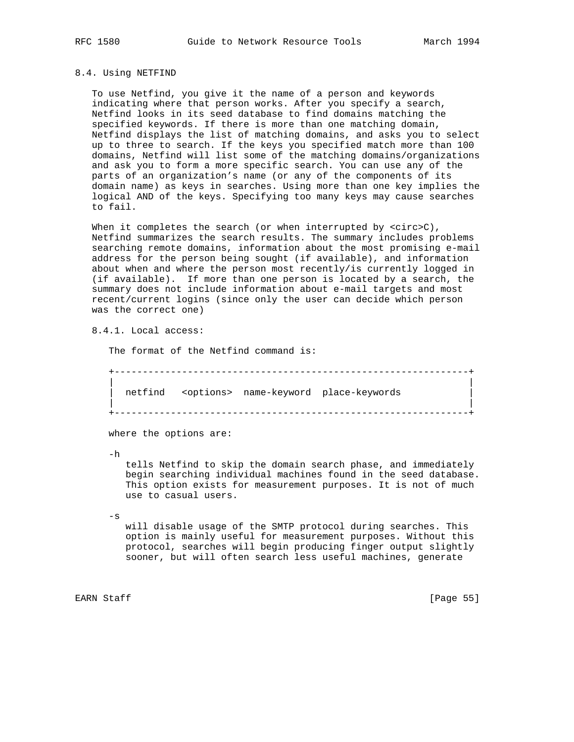### 8.4. Using NETFIND

 To use Netfind, you give it the name of a person and keywords indicating where that person works. After you specify a search, Netfind looks in its seed database to find domains matching the specified keywords. If there is more than one matching domain, Netfind displays the list of matching domains, and asks you to select up to three to search. If the keys you specified match more than 100 domains, Netfind will list some of the matching domains/organizations and ask you to form a more specific search. You can use any of the parts of an organization's name (or any of the components of its domain name) as keys in searches. Using more than one key implies the logical AND of the keys. Specifying too many keys may cause searches to fail.

When it completes the search (or when interrupted by <circ>C), Netfind summarizes the search results. The summary includes problems searching remote domains, information about the most promising e-mail address for the person being sought (if available), and information about when and where the person most recently/is currently logged in (if available). If more than one person is located by a search, the summary does not include information about e-mail targets and most recent/current logins (since only the user can decide which person was the correct one)

8.4.1. Local access:

The format of the Netfind command is:

 +---------------------------------------------------------------+ | | netfind <options> name-keyword place-keywords | | +---------------------------------------------------------------+

where the options are:

-h

 tells Netfind to skip the domain search phase, and immediately begin searching individual machines found in the seed database. This option exists for measurement purposes. It is not of much use to casual users.

 $-\mathbf{s}$ 

 will disable usage of the SMTP protocol during searches. This option is mainly useful for measurement purposes. Without this protocol, searches will begin producing finger output slightly sooner, but will often search less useful machines, generate

EARN Staff [Page 55]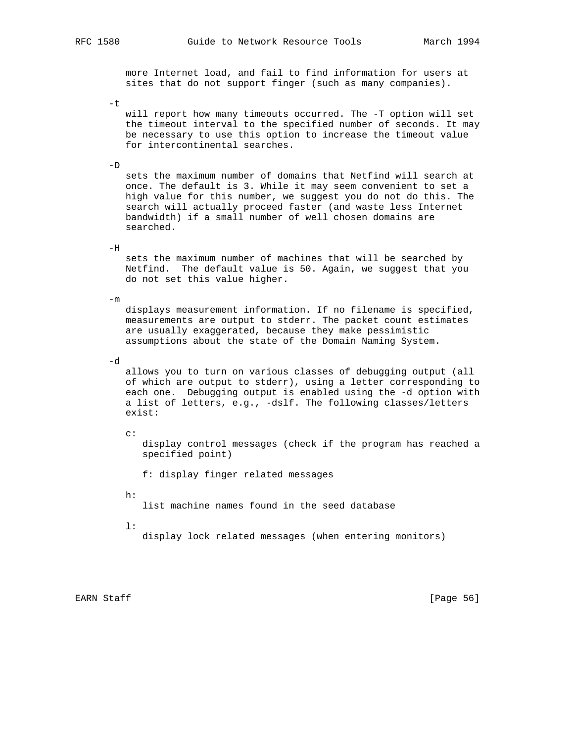more Internet load, and fail to find information for users at sites that do not support finger (such as many companies).

-t

 will report how many timeouts occurred. The -T option will set the timeout interval to the specified number of seconds. It may be necessary to use this option to increase the timeout value for intercontinental searches.

 $-D$ 

 sets the maximum number of domains that Netfind will search at once. The default is 3. While it may seem convenient to set a high value for this number, we suggest you do not do this. The search will actually proceed faster (and waste less Internet bandwidth) if a small number of well chosen domains are searched.

 $-H$ 

 sets the maximum number of machines that will be searched by Netfind. The default value is 50. Again, we suggest that you do not set this value higher.

 $-m$ 

 displays measurement information. If no filename is specified, measurements are output to stderr. The packet count estimates are usually exaggerated, because they make pessimistic assumptions about the state of the Domain Naming System.

-d

 allows you to turn on various classes of debugging output (all of which are output to stderr), using a letter corresponding to each one. Debugging output is enabled using the -d option with a list of letters, e.g., -dslf. The following classes/letters exist:

 $\sim$ :

 display control messages (check if the program has reached a specified point)

f: display finger related messages

h:

list machine names found in the seed database

l:

display lock related messages (when entering monitors)

EARN Staff [Page 56]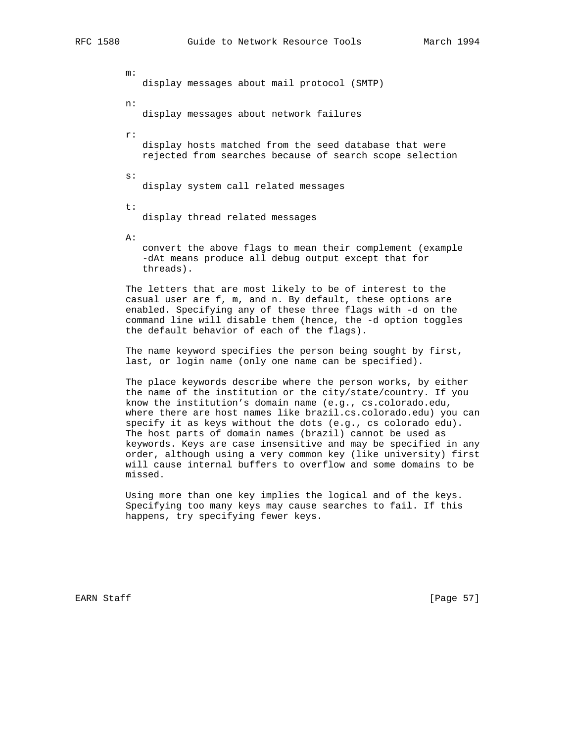m: display messages about mail protocol (SMTP) n: display messages about network failures r: display hosts matched from the seed database that were rejected from searches because of search scope selection s: display system call related messages t: display thread related messages

A:

 convert the above flags to mean their complement (example -dAt means produce all debug output except that for threads).

 The letters that are most likely to be of interest to the casual user are f, m, and n. By default, these options are enabled. Specifying any of these three flags with -d on the command line will disable them (hence, the -d option toggles the default behavior of each of the flags).

 The name keyword specifies the person being sought by first, last, or login name (only one name can be specified).

 The place keywords describe where the person works, by either the name of the institution or the city/state/country. If you know the institution's domain name (e.g., cs.colorado.edu, where there are host names like brazil.cs.colorado.edu) you can specify it as keys without the dots (e.g., cs colorado edu). The host parts of domain names (brazil) cannot be used as keywords. Keys are case insensitive and may be specified in any order, although using a very common key (like university) first will cause internal buffers to overflow and some domains to be missed.

 Using more than one key implies the logical and of the keys. Specifying too many keys may cause searches to fail. If this happens, try specifying fewer keys.

EARN Staff [Page 57]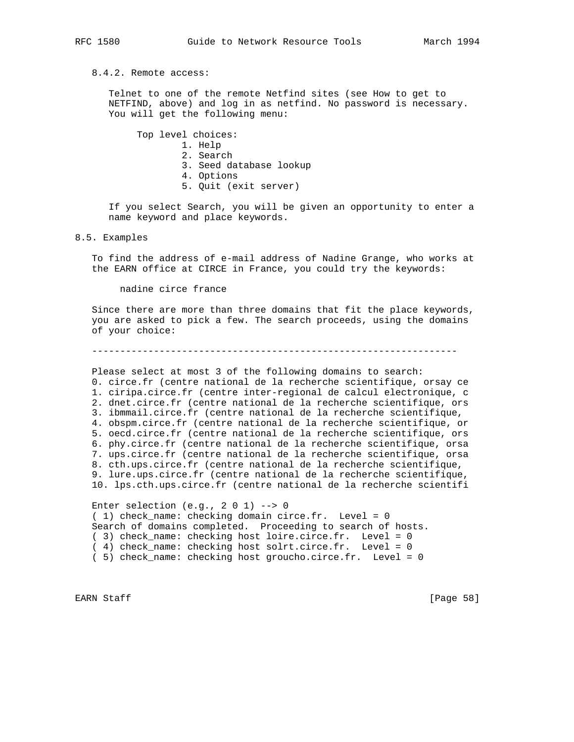8.4.2. Remote access:

 Telnet to one of the remote Netfind sites (see How to get to NETFIND, above) and log in as netfind. No password is necessary. You will get the following menu:

Top level choices:

- 1. Help
- 2. Search
- 3. Seed database lookup
- 4. Options
- 5. Quit (exit server)

 If you select Search, you will be given an opportunity to enter a name keyword and place keywords.

8.5. Examples

 To find the address of e-mail address of Nadine Grange, who works at the EARN office at CIRCE in France, you could try the keywords:

nadine circe france

 Since there are more than three domains that fit the place keywords, you are asked to pick a few. The search proceeds, using the domains of your choice:

-----------------------------------------------------------------

 Please select at most 3 of the following domains to search: 0. circe.fr (centre national de la recherche scientifique, orsay ce 1. ciripa.circe.fr (centre inter-regional de calcul electronique, c 2. dnet.circe.fr (centre national de la recherche scientifique, ors 3. ibmmail.circe.fr (centre national de la recherche scientifique, 4. obspm.circe.fr (centre national de la recherche scientifique, or 5. oecd.circe.fr (centre national de la recherche scientifique, ors 6. phy.circe.fr (centre national de la recherche scientifique, orsa 7. ups.circe.fr (centre national de la recherche scientifique, orsa 8. cth.ups.circe.fr (centre national de la recherche scientifique, 9. lure.ups.circe.fr (centre national de la recherche scientifique, 10. lps.cth.ups.circe.fr (centre national de la recherche scientifi

Enter selection  $(e.g., 2 0 1)$  --> 0 ( 1) check\_name: checking domain circe.fr. Level = 0 Search of domains completed. Proceeding to search of hosts. ( 3) check\_name: checking host loire.circe.fr. Level = 0 ( 4) check\_name: checking host solrt.circe.fr. Level = 0 ( 5) check\_name: checking host groucho.circe.fr. Level = 0

EARN Staff [Page 58]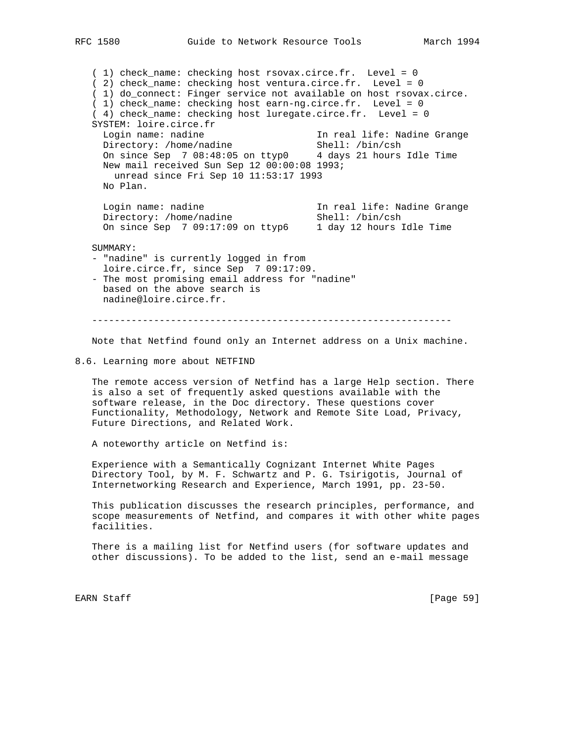( 1) check\_name: checking host rsovax.circe.fr. Level = 0 ( 2) check\_name: checking host ventura.circe.fr. Level = 0 ( 1) do\_connect: Finger service not available on host rsovax.circe. ( 1) check\_name: checking host earn-ng.circe.fr. Level = 0 ( 4) check\_name: checking host luregate.circe.fr. Level = 0 SYSTEM: loire.circe.fr Login name: nadine 11 m In real life: Nadine Grange<br>Directory: /home/nadine 11 m Shell: /bin/csh Directory: /home/nadine Shell: /bin/csh On since Sep 7 08:48:05 on ttyp0 4 days 21 hours Idle Time New mail received Sun Sep 12 00:00:08 1993; unread since Fri Sep 10 11:53:17 1993 No Plan. Login name: nadine In real life: Nadine Grange Directory: /home/nadine Shell: /bin/csh On since Sep 7 09:17:09 on ttyp6 1 day 12 hours Idle Time SUMMARY: - "nadine" is currently logged in from loire.circe.fr, since Sep 7 09:17:09. - The most promising email address for "nadine" based on the above search is nadine@loire.circe.fr. ----------------------------------------------------------------

Note that Netfind found only an Internet address on a Unix machine.

8.6. Learning more about NETFIND

 The remote access version of Netfind has a large Help section. There is also a set of frequently asked questions available with the software release, in the Doc directory. These questions cover Functionality, Methodology, Network and Remote Site Load, Privacy, Future Directions, and Related Work.

A noteworthy article on Netfind is:

 Experience with a Semantically Cognizant Internet White Pages Directory Tool, by M. F. Schwartz and P. G. Tsirigotis, Journal of Internetworking Research and Experience, March 1991, pp. 23-50.

 This publication discusses the research principles, performance, and scope measurements of Netfind, and compares it with other white pages facilities.

 There is a mailing list for Netfind users (for software updates and other discussions). To be added to the list, send an e-mail message

EARN Staff [Page 59]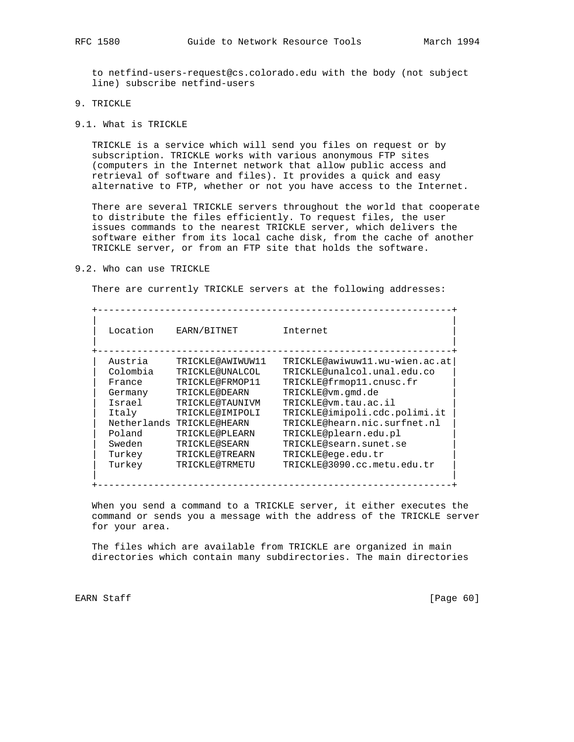to netfind-users-request@cs.colorado.edu with the body (not subject line) subscribe netfind-users

- 9. TRICKLE
- 9.1. What is TRICKLE

 TRICKLE is a service which will send you files on request or by subscription. TRICKLE works with various anonymous FTP sites (computers in the Internet network that allow public access and retrieval of software and files). It provides a quick and easy alternative to FTP, whether or not you have access to the Internet.

 There are several TRICKLE servers throughout the world that cooperate to distribute the files efficiently. To request files, the user issues commands to the nearest TRICKLE server, which delivers the software either from its local cache disk, from the cache of another TRICKLE server, or from an FTP site that holds the software.

#### 9.2. Who can use TRICKLE

There are currently TRICKLE servers at the following addresses:

| Location | EARN/BITNET               | Internet                       |
|----------|---------------------------|--------------------------------|
| Austria  | TRICKLE@AWIWUW11          | TRICKLE@awiwuw11.wu-wien.ac.at |
| Colombia | TRICKLE@UNALCOL           | TRICKLE@unalcol.unal.edu.co    |
| France   | TRICKLE@FRMOP11           | TRICKLE@frmop11.cnusc.fr       |
| Germany  | TRICKLE@DEARN             | TRICKLE@vm.qmd.de              |
| Israel   | TRICKLE@TAUNIVM           | TRICKLE@vm.tau.ac.il           |
| Italy    | TRICKLE@IMIPOLI           | TRICKLE@imipoli.cdc.polimi.it  |
|          | Netherlands TRICKLE@HEARN | TRICKLE@hearn.nic.surfnet.nl   |
| Poland   | TRICKLE@PLEARN            | TRICKLE@plearn.edu.pl          |
| Sweden   | TRICKLE@SEARN             | TRICKLE@searn.sunet.se         |
| Turkey   | TRICKLE@TREARN            | TRICKLE@eqe.edu.tr             |
| Turkey   | TRICKLE@TRMETU            | TRICKLE@3090.cc.metu.edu.tr    |

 When you send a command to a TRICKLE server, it either executes the command or sends you a message with the address of the TRICKLE server for your area.

 The files which are available from TRICKLE are organized in main directories which contain many subdirectories. The main directories

EARN Staff [Page 60]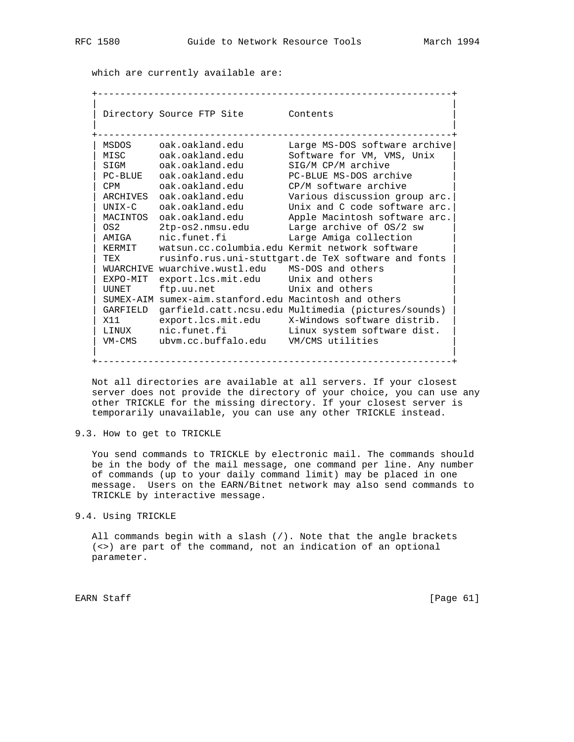which are currently available are:

 +---------------------------------------------------------------+ | | Directory Source FTP Site Contents | | +---------------------------------------------------------------+ | MSDOS oak.oakland.edu Large MS-DOS software archive| | MISC oak.oakland.edu Software for VM, VMS, Unix | | SIGM oak.oakland.edu SIG/M CP/M archive | | PC-BLUE oak.oakland.edu PC-BLUE MS-DOS archive | | CPM oak.oakland.edu CP/M software archive | | ARCHIVES oak.oakland.edu Various discussion group arc.| | UNIX-C oak.oakland.edu Unix and C code software arc.| | MACINTOS oak.oakland.edu Apple Macintosh software arc.| | OS2 2tp-os2.nmsu.edu Large archive of OS/2 sw | | AMIGA nic.funet.fi Large Amiga collection | | KERMIT watsun.cc.columbia.edu Kermit network software | | TEX rusinfo.rus.uni-stuttgart.de TeX software and fonts | | WUARCHIVE wuarchive.wustl.edu MS-DOS and others | | EXPO-MIT export.lcs.mit.edu Unix and others | | UUNET ftp.uu.net Unix and others | | SUMEX-AIM sumex-aim.stanford.edu Macintosh and others | | GARFIELD garfield.catt.ncsu.edu Multimedia (pictures/sounds) | | X11 export.lcs.mit.edu X-Windows software distrib. | | LINUX nic.funet.fi Linux system software dist. | | VM-CMS ubvm.cc.buffalo.edu VM/CMS utilities | | | +---------------------------------------------------------------+

 Not all directories are available at all servers. If your closest server does not provide the directory of your choice, you can use any other TRICKLE for the missing directory. If your closest server is temporarily unavailable, you can use any other TRICKLE instead.

9.3. How to get to TRICKLE

 You send commands to TRICKLE by electronic mail. The commands should be in the body of the mail message, one command per line. Any number of commands (up to your daily command limit) may be placed in one message. Users on the EARN/Bitnet network may also send commands to TRICKLE by interactive message.

### 9.4. Using TRICKLE

 All commands begin with a slash (/). Note that the angle brackets (<>) are part of the command, not an indication of an optional parameter.

EARN Staff [Page 61]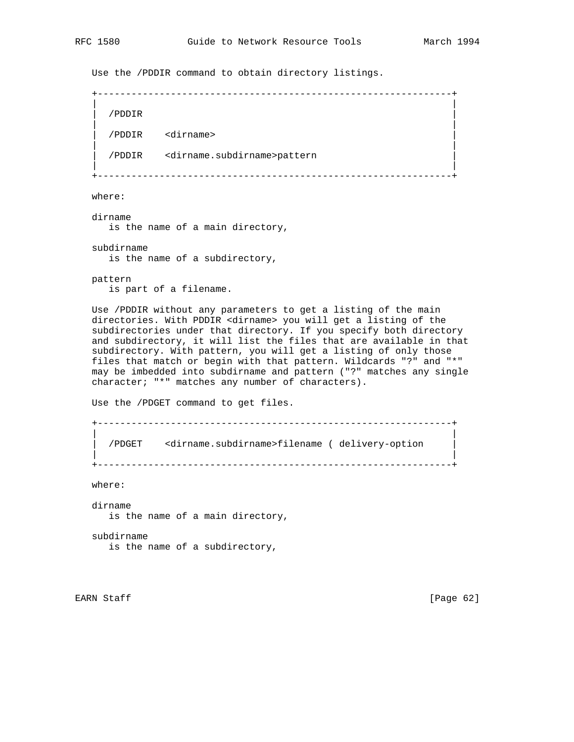Use the /PDDIR command to obtain directory listings.

 +---------------------------------------------------------------+ | | | /PDDIR | | | | /PDDIR <dirname> | | | | /PDDIR <dirname.subdirname>pattern | | |

+---------------------------------------------------------------+

where:

 dirname is the name of a main directory,

 subdirname is the name of a subdirectory,

 pattern is part of a filename.

 Use /PDDIR without any parameters to get a listing of the main directories. With PDDIR <dirname> you will get a listing of the subdirectories under that directory. If you specify both directory and subdirectory, it will list the files that are available in that subdirectory. With pattern, you will get a listing of only those files that match or begin with that pattern. Wildcards "?" and "\*" may be imbedded into subdirname and pattern ("?" matches any single character; "\*" matches any number of characters).

Use the /PDGET command to get files.

 +---------------------------------------------------------------+ | | | /PDGET <dirname.subdirname>filename ( delivery-option | | | +---------------------------------------------------------------+

where:

 dirname is the name of a main directory,

 subdirname is the name of a subdirectory,

EARN Staff [Page 62]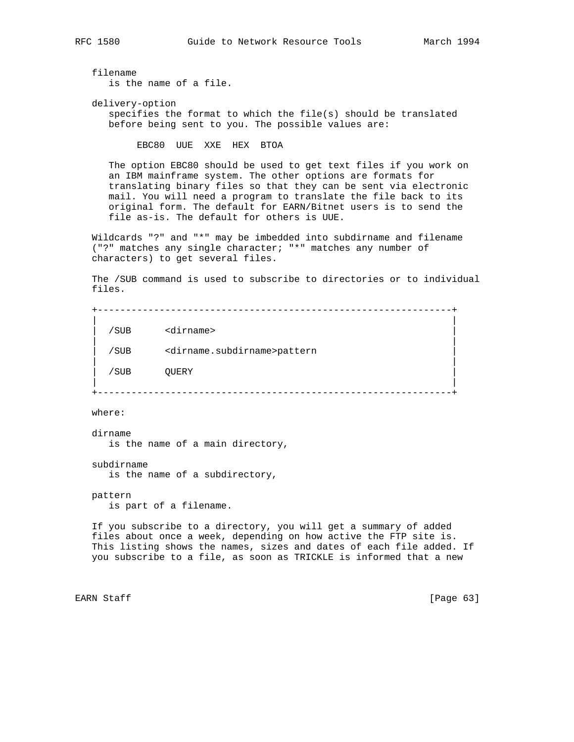filename

is the name of a file.

 delivery-option specifies the format to which the file(s) should be translated before being sent to you. The possible values are:

EBC80 UUE XXE HEX BTOA

 The option EBC80 should be used to get text files if you work on an IBM mainframe system. The other options are formats for translating binary files so that they can be sent via electronic mail. You will need a program to translate the file back to its original form. The default for EARN/Bitnet users is to send the file as-is. The default for others is UUE.

 Wildcards "?" and "\*" may be imbedded into subdirname and filename ("?" matches any single character; "\*" matches any number of characters) to get several files.

 The /SUB command is used to subscribe to directories or to individual files.

 +---------------------------------------------------------------+ | | | /SUB <dirname> | | | | /SUB <dirname.subdirname>pattern | | | | /SUB QUERY | | | +---------------------------------------------------------------+

where:

 dirname is the name of a main directory,

 subdirname is the name of a subdirectory,

 pattern is part of a filename.

 If you subscribe to a directory, you will get a summary of added files about once a week, depending on how active the FTP site is. This listing shows the names, sizes and dates of each file added. If you subscribe to a file, as soon as TRICKLE is informed that a new

EARN Staff [Page 63]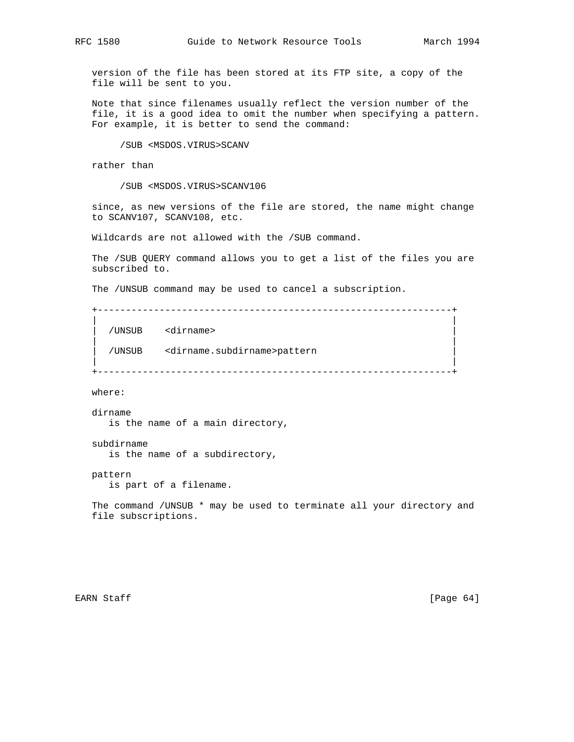version of the file has been stored at its FTP site, a copy of the file will be sent to you.

 Note that since filenames usually reflect the version number of the file, it is a good idea to omit the number when specifying a pattern. For example, it is better to send the command:

/SUB <MSDOS.VIRUS>SCANV

rather than

/SUB <MSDOS.VIRUS>SCANV106

 since, as new versions of the file are stored, the name might change to SCANV107, SCANV108, etc.

Wildcards are not allowed with the /SUB command.

 The /SUB QUERY command allows you to get a list of the files you are subscribed to.

The /UNSUB command may be used to cancel a subscription.

 +---------------------------------------------------------------+ | |

| |

| |

| /UNSUB <dirname> |

| /UNSUB <dirname.subdirname>pattern |

+---------------------------------------------------------------+

where:

 dirname is the name of a main directory,

subdirname

is the name of a subdirectory,

pattern

is part of a filename.

 The command /UNSUB \* may be used to terminate all your directory and file subscriptions.

EARN Staff [Page 64]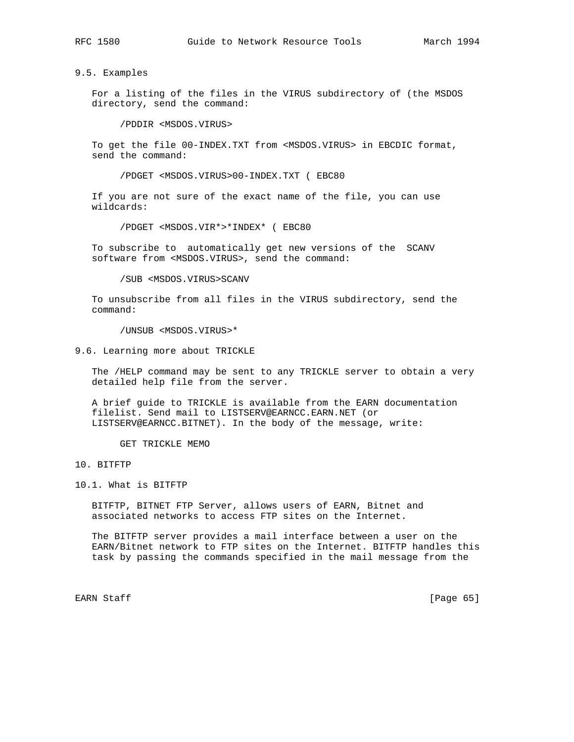9.5. Examples

 For a listing of the files in the VIRUS subdirectory of (the MSDOS directory, send the command:

/PDDIR <MSDOS.VIRUS>

 To get the file 00-INDEX.TXT from <MSDOS.VIRUS> in EBCDIC format, send the command:

/PDGET <MSDOS.VIRUS>00-INDEX.TXT ( EBC80

 If you are not sure of the exact name of the file, you can use wildcards:

/PDGET <MSDOS.VIR\*>\*INDEX\* ( EBC80

 To subscribe to automatically get new versions of the SCANV software from <MSDOS.VIRUS>, send the command:

/SUB <MSDOS.VIRUS>SCANV

 To unsubscribe from all files in the VIRUS subdirectory, send the command:

/UNSUB <MSDOS.VIRUS>\*

9.6. Learning more about TRICKLE

 The /HELP command may be sent to any TRICKLE server to obtain a very detailed help file from the server.

 A brief guide to TRICKLE is available from the EARN documentation filelist. Send mail to LISTSERV@EARNCC.EARN.NET (or LISTSERV@EARNCC.BITNET). In the body of the message, write:

GET TRICKLE MEMO

10. BITFTP

10.1. What is BITFTP

 BITFTP, BITNET FTP Server, allows users of EARN, Bitnet and associated networks to access FTP sites on the Internet.

 The BITFTP server provides a mail interface between a user on the EARN/Bitnet network to FTP sites on the Internet. BITFTP handles this task by passing the commands specified in the mail message from the

EARN Staff [Page 65]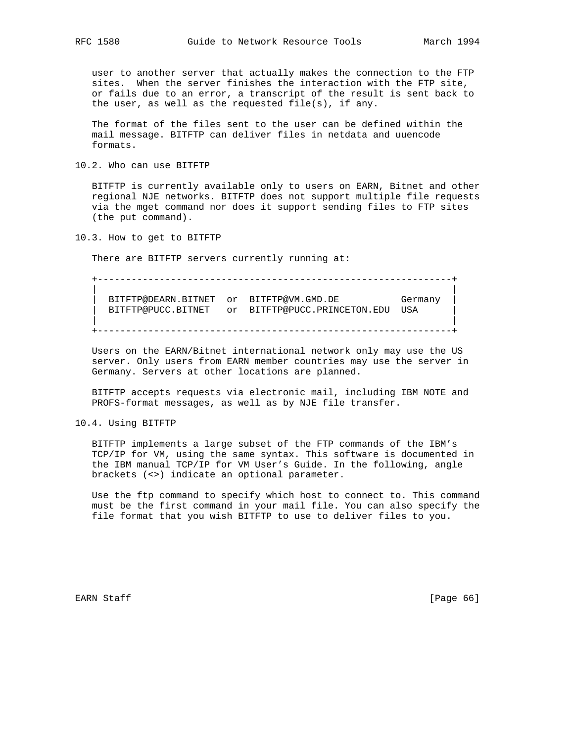user to another server that actually makes the connection to the FTP sites. When the server finishes the interaction with the FTP site, or fails due to an error, a transcript of the result is sent back to the user, as well as the requested file(s), if any.

 The format of the files sent to the user can be defined within the mail message. BITFTP can deliver files in netdata and uuencode formats.

10.2. Who can use BITFTP

 BITFTP is currently available only to users on EARN, Bitnet and other regional NJE networks. BITFTP does not support multiple file requests via the mget command nor does it support sending files to FTP sites (the put command).

10.3. How to get to BITFTP

There are BITFTP servers currently running at:

 +---------------------------------------------------------------+ | | BITFTP@DEARN.BITNET or BITFTP@VM.GMD.DE Germany BITFTP@PUCC.BITNET or BITFTP@PUCC.PRINCETON.EDU USA | | +---------------------------------------------------------------+

 Users on the EARN/Bitnet international network only may use the US server. Only users from EARN member countries may use the server in Germany. Servers at other locations are planned.

 BITFTP accepts requests via electronic mail, including IBM NOTE and PROFS-format messages, as well as by NJE file transfer.

10.4. Using BITFTP

 BITFTP implements a large subset of the FTP commands of the IBM's TCP/IP for VM, using the same syntax. This software is documented in the IBM manual TCP/IP for VM User's Guide. In the following, angle brackets (<>) indicate an optional parameter.

 Use the ftp command to specify which host to connect to. This command must be the first command in your mail file. You can also specify the file format that you wish BITFTP to use to deliver files to you.

EARN Staff [Page 66]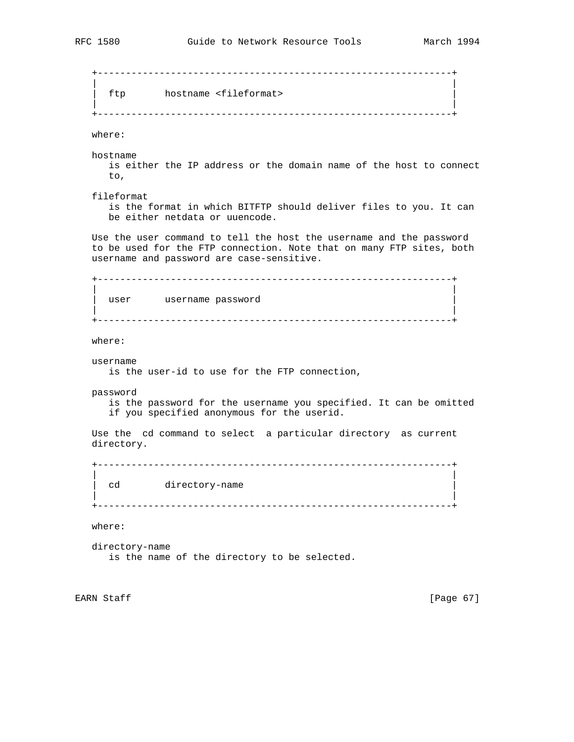+---------------------------------------------------------------+ | | | ftp hostname <fileformat> | | | +---------------------------------------------------------------+ where: hostname is either the IP address or the domain name of the host to connect to, fileformat is the format in which BITFTP should deliver files to you. It can be either netdata or uuencode. Use the user command to tell the host the username and the password to be used for the FTP connection. Note that on many FTP sites, both username and password are case-sensitive. +---------------------------------------------------------------+ | | user username password | | +---------------------------------------------------------------+ where: username is the user-id to use for the FTP connection, password is the password for the username you specified. It can be omitted if you specified anonymous for the userid. Use the cd command to select a particular directory as current directory. +---------------------------------------------------------------+ | | cd directory-name | | +---------------------------------------------------------------+ where: directory-name is the name of the directory to be selected.

EARN Staff [Page 67]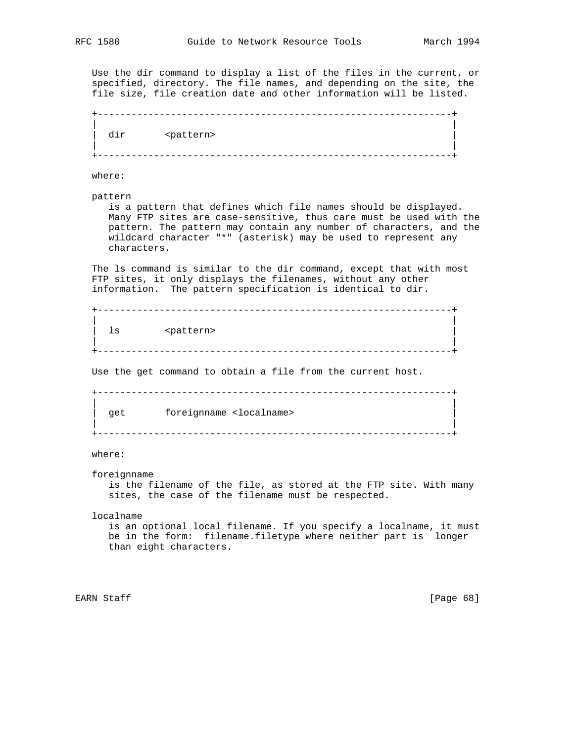Use the dir command to display a list of the files in the current, or specified, directory. The file names, and depending on the site, the file size, file creation date and other information will be listed. +---------------------------------------------------------------+ | | dir <pattern> | |

+---------------------------------------------------------------+

where:

pattern

 is a pattern that defines which file names should be displayed. Many FTP sites are case-sensitive, thus care must be used with the pattern. The pattern may contain any number of characters, and the wildcard character "\*" (asterisk) may be used to represent any characters.

 The ls command is similar to the dir command, except that with most FTP sites, it only displays the filenames, without any other information. The pattern specification is identical to dir.

 +---------------------------------------------------------------+ | | ls <pattern> | | +---------------------------------------------------------------+

Use the get command to obtain a file from the current host.

 +---------------------------------------------------------------+ | | get foreignname <localname> | |

+---------------------------------------------------------------+

# where:

foreignname

 is the filename of the file, as stored at the FTP site. With many sites, the case of the filename must be respected.

localname

 is an optional local filename. If you specify a localname, it must be in the form: filename.filetype where neither part is longer than eight characters.

EARN Staff [Page 68]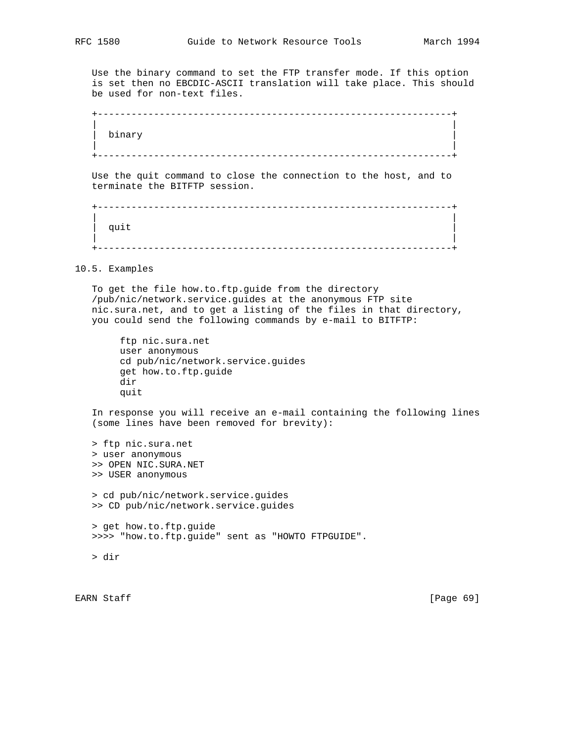Use the binary command to set the FTP transfer mode. If this option is set then no EBCDIC-ASCII translation will take place. This should be used for non-text files.

 +---------------------------------------------------------------+ | | | binary | | | +---------------------------------------------------------------+

 Use the quit command to close the connection to the host, and to terminate the BITFTP session.

 +---------------------------------------------------------------+ | |  $\left| \begin{array}{ccc} \text{quit} & \text{[} & \text{[} & \text{[} & \text{[} & \text{[} & \text{[} & \text{[} & \text{[} & \text{[} & \text{[} & \text{[} & \text{[} & \text{[} & \text{[} & \text{[} & \text{[} & \text{[} & \text{[} & \text{[} & \text{[} & \text{[} & \text{[} & \text{[} & \text{[} & \text{[} & \text{[} & \text{[} & \text{[} & \text{[} & \text{[} & \text{[} & \text{[} & \text{[} & \text{[} &$  | | +---------------------------------------------------------------+

10.5. Examples

 To get the file how.to.ftp.guide from the directory /pub/nic/network.service.guides at the anonymous FTP site nic.sura.net, and to get a listing of the files in that directory, you could send the following commands by e-mail to BITFTP:

 ftp nic.sura.net user anonymous cd pub/nic/network.service.guides get how.to.ftp.guide dir quit

 In response you will receive an e-mail containing the following lines (some lines have been removed for brevity):

 > ftp nic.sura.net > user anonymous >> OPEN NIC.SURA.NET >> USER anonymous > cd pub/nic/network.service.guides >> CD pub/nic/network.service.guides > get how.to.ftp.guide >>>> "how.to.ftp.guide" sent as "HOWTO FTPGUIDE".

> dir

EARN Staff [Page 69]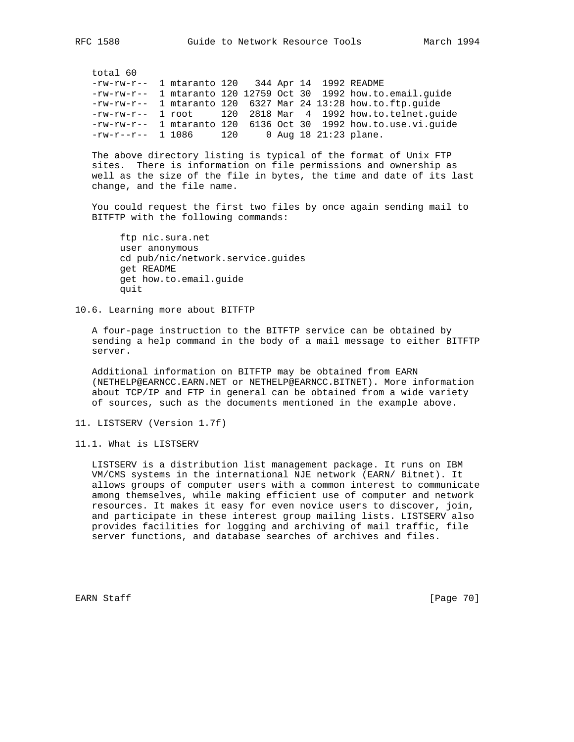total 60

| $-rw-rw-r--$ 1 mtaranto 120 344 Apr 14 1992 README |  |  |  |                                                                  |
|----------------------------------------------------|--|--|--|------------------------------------------------------------------|
|                                                    |  |  |  | $-rw-rw-r--$ 1 mtaranto 120 12759 Oct 30 1992 how.to.email.guide |
|                                                    |  |  |  | $-rw-rw-r--$ 1 mtaranto 120 6327 Mar 24 13:28 how.to.ftp.guide   |
|                                                    |  |  |  | $-rw-rw-r--$ 1 root 120 2818 Mar 4 1992 how.to.telnet.quide      |
|                                                    |  |  |  | $-rw-rw-r--$ 1 mtaranto 120 6136 Oct 30 1992 how.to.use.vi.quide |
| $-rw-r--r--$ 1 1086 120 0 Aug 18 21:23 plane.      |  |  |  |                                                                  |

 The above directory listing is typical of the format of Unix FTP sites. There is information on file permissions and ownership as well as the size of the file in bytes, the time and date of its last change, and the file name.

 You could request the first two files by once again sending mail to BITFTP with the following commands:

 ftp nic.sura.net user anonymous cd pub/nic/network.service.guides get README get how.to.email.guide quit

10.6. Learning more about BITFTP

 A four-page instruction to the BITFTP service can be obtained by sending a help command in the body of a mail message to either BITFTP server.

 Additional information on BITFTP may be obtained from EARN (NETHELP@EARNCC.EARN.NET or NETHELP@EARNCC.BITNET). More information about TCP/IP and FTP in general can be obtained from a wide variety of sources, such as the documents mentioned in the example above.

11. LISTSERV (Version 1.7f)

11.1. What is LISTSERV

 LISTSERV is a distribution list management package. It runs on IBM VM/CMS systems in the international NJE network (EARN/ Bitnet). It allows groups of computer users with a common interest to communicate among themselves, while making efficient use of computer and network resources. It makes it easy for even novice users to discover, join, and participate in these interest group mailing lists. LISTSERV also provides facilities for logging and archiving of mail traffic, file server functions, and database searches of archives and files.

EARN Staff [Page 70]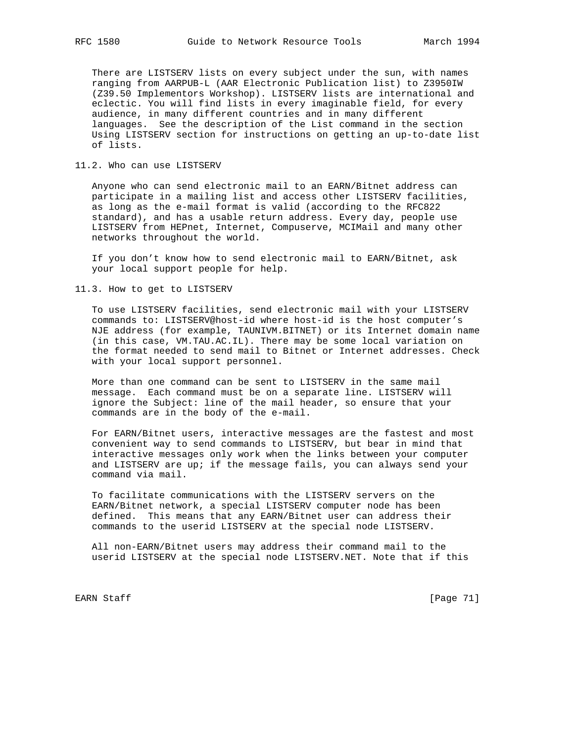There are LISTSERV lists on every subject under the sun, with names ranging from AARPUB-L (AAR Electronic Publication list) to Z3950IW (Z39.50 Implementors Workshop). LISTSERV lists are international and eclectic. You will find lists in every imaginable field, for every audience, in many different countries and in many different languages. See the description of the List command in the section Using LISTSERV section for instructions on getting an up-to-date list of lists.

11.2. Who can use LISTSERV

 Anyone who can send electronic mail to an EARN/Bitnet address can participate in a mailing list and access other LISTSERV facilities, as long as the e-mail format is valid (according to the RFC822 standard), and has a usable return address. Every day, people use LISTSERV from HEPnet, Internet, Compuserve, MCIMail and many other networks throughout the world.

 If you don't know how to send electronic mail to EARN/Bitnet, ask your local support people for help.

11.3. How to get to LISTSERV

 To use LISTSERV facilities, send electronic mail with your LISTSERV commands to: LISTSERV@host-id where host-id is the host computer's NJE address (for example, TAUNIVM.BITNET) or its Internet domain name (in this case, VM.TAU.AC.IL). There may be some local variation on the format needed to send mail to Bitnet or Internet addresses. Check with your local support personnel.

 More than one command can be sent to LISTSERV in the same mail message. Each command must be on a separate line. LISTSERV will ignore the Subject: line of the mail header, so ensure that your commands are in the body of the e-mail.

 For EARN/Bitnet users, interactive messages are the fastest and most convenient way to send commands to LISTSERV, but bear in mind that interactive messages only work when the links between your computer and LISTSERV are up; if the message fails, you can always send your command via mail.

 To facilitate communications with the LISTSERV servers on the EARN/Bitnet network, a special LISTSERV computer node has been defined. This means that any EARN/Bitnet user can address their commands to the userid LISTSERV at the special node LISTSERV.

 All non-EARN/Bitnet users may address their command mail to the userid LISTSERV at the special node LISTSERV.NET. Note that if this

EARN Staff [Page 71]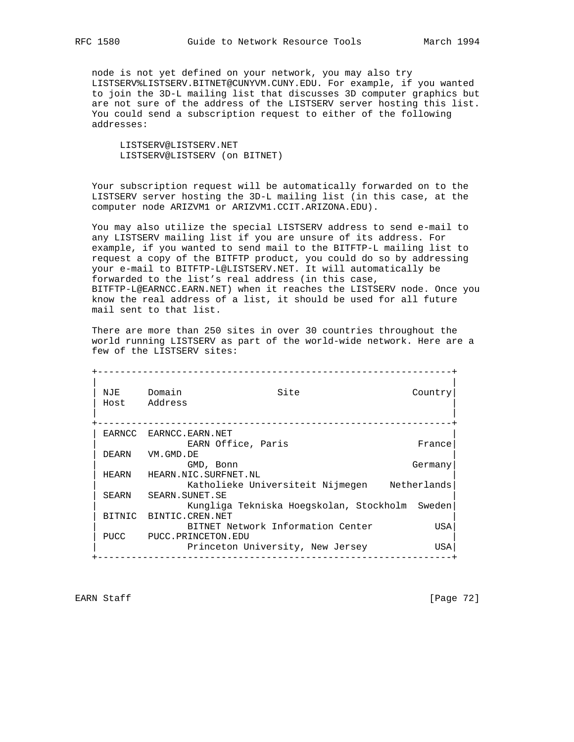node is not yet defined on your network, you may also try LISTSERV%LISTSERV.BITNET@CUNYVM.CUNY.EDU. For example, if you wanted to join the 3D-L mailing list that discusses 3D computer graphics but are not sure of the address of the LISTSERV server hosting this list. You could send a subscription request to either of the following addresses:

 LISTSERV@LISTSERV.NET LISTSERV@LISTSERV (on BITNET)

 Your subscription request will be automatically forwarded on to the LISTSERV server hosting the 3D-L mailing list (in this case, at the computer node ARIZVM1 or ARIZVM1.CCIT.ARIZONA.EDU).

 You may also utilize the special LISTSERV address to send e-mail to any LISTSERV mailing list if you are unsure of its address. For example, if you wanted to send mail to the BITFTP-L mailing list to request a copy of the BITFTP product, you could do so by addressing your e-mail to BITFTP-L@LISTSERV.NET. It will automatically be forwarded to the list's real address (in this case, BITFTP-L@EARNCC.EARN.NET) when it reaches the LISTSERV node. Once you know the real address of a list, it should be used for all future mail sent to that list.

 There are more than 250 sites in over 30 countries throughout the world running LISTSERV as part of the world-wide network. Here are a few of the LISTSERV sites:

 +---------------------------------------------------------------+ | | NJE Domain Site Site Country | Host Address | | | +---------------------------------------------------------------+ EARNCC EARNCC.EARN.NET EARN Office, Paris France DEARN VM.GMD.DE | GMD, Bonn Germany| HEARN HEARN.NIC.SURFNET.NL Katholieke Universiteit Nijmegen Metherlands SEARN SEARN.SUNET.SE Kungliga Tekniska Hoegskolan, Stockholm Sweden BITNIC BINTIC.CREN.NET BITNET Network Information Center GAS PUCC PUCC.PRINCETON.EDU Princeton University, New Jersey  $USA$ +---------------------------------------------------------------+

EARN Staff [Page 72]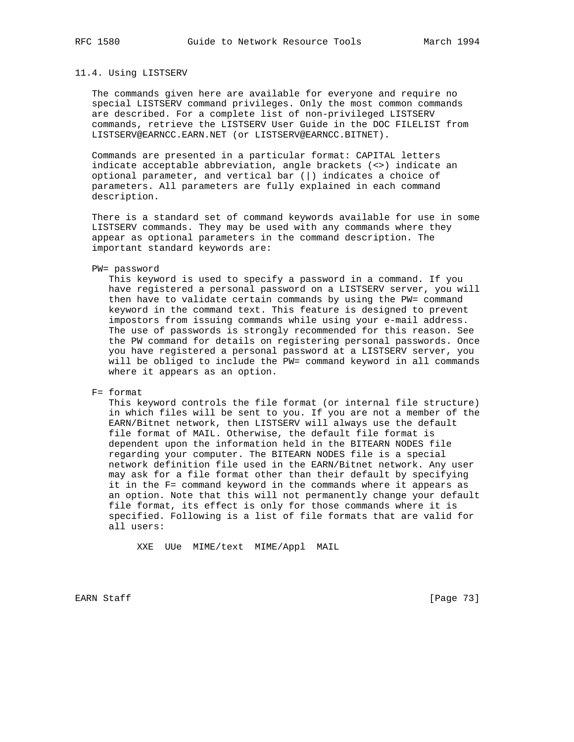#### 11.4. Using LISTSERV

 The commands given here are available for everyone and require no special LISTSERV command privileges. Only the most common commands are described. For a complete list of non-privileged LISTSERV commands, retrieve the LISTSERV User Guide in the DOC FILELIST from LISTSERV@EARNCC.EARN.NET (or LISTSERV@EARNCC.BITNET).

 Commands are presented in a particular format: CAPITAL letters indicate acceptable abbreviation, angle brackets (<>) indicate an optional parameter, and vertical bar (|) indicates a choice of parameters. All parameters are fully explained in each command description.

 There is a standard set of command keywords available for use in some LISTSERV commands. They may be used with any commands where they appear as optional parameters in the command description. The important standard keywords are:

#### PW= password

 This keyword is used to specify a password in a command. If you have registered a personal password on a LISTSERV server, you will then have to validate certain commands by using the PW= command keyword in the command text. This feature is designed to prevent impostors from issuing commands while using your e-mail address. The use of passwords is strongly recommended for this reason. See the PW command for details on registering personal passwords. Once you have registered a personal password at a LISTSERV server, you will be obliged to include the PW= command keyword in all commands where it appears as an option.

#### F= format

 This keyword controls the file format (or internal file structure) in which files will be sent to you. If you are not a member of the EARN/Bitnet network, then LISTSERV will always use the default file format of MAIL. Otherwise, the default file format is dependent upon the information held in the BITEARN NODES file regarding your computer. The BITEARN NODES file is a special network definition file used in the EARN/Bitnet network. Any user may ask for a file format other than their default by specifying it in the F= command keyword in the commands where it appears as an option. Note that this will not permanently change your default file format, its effect is only for those commands where it is specified. Following is a list of file formats that are valid for all users:

XXE UUe MIME/text MIME/Appl MAIL

EARN Staff [Page 73]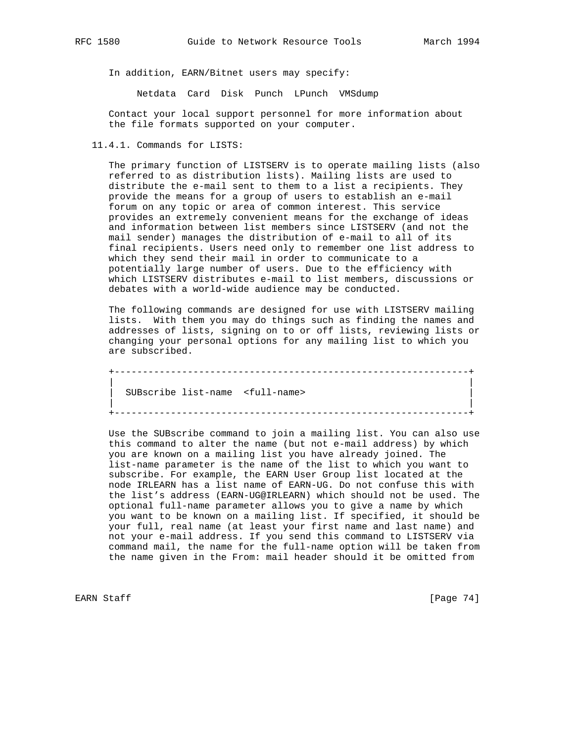In addition, EARN/Bitnet users may specify:

Netdata Card Disk Punch LPunch VMSdump

 Contact your local support personnel for more information about the file formats supported on your computer.

11.4.1. Commands for LISTS:

 The primary function of LISTSERV is to operate mailing lists (also referred to as distribution lists). Mailing lists are used to distribute the e-mail sent to them to a list a recipients. They provide the means for a group of users to establish an e-mail forum on any topic or area of common interest. This service provides an extremely convenient means for the exchange of ideas and information between list members since LISTSERV (and not the mail sender) manages the distribution of e-mail to all of its final recipients. Users need only to remember one list address to which they send their mail in order to communicate to a potentially large number of users. Due to the efficiency with which LISTSERV distributes e-mail to list members, discussions or debates with a world-wide audience may be conducted.

 The following commands are designed for use with LISTSERV mailing lists. With them you may do things such as finding the names and addresses of lists, signing on to or off lists, reviewing lists or changing your personal options for any mailing list to which you are subscribed.

 +---------------------------------------------------------------+ | | | SUBscribe list-name <full-name> | | | +---------------------------------------------------------------+

 Use the SUBscribe command to join a mailing list. You can also use this command to alter the name (but not e-mail address) by which you are known on a mailing list you have already joined. The list-name parameter is the name of the list to which you want to subscribe. For example, the EARN User Group list located at the node IRLEARN has a list name of EARN-UG. Do not confuse this with the list's address (EARN-UG@IRLEARN) which should not be used. The optional full-name parameter allows you to give a name by which you want to be known on a mailing list. If specified, it should be your full, real name (at least your first name and last name) and not your e-mail address. If you send this command to LISTSERV via command mail, the name for the full-name option will be taken from the name given in the From: mail header should it be omitted from

EARN Staff [Page 74]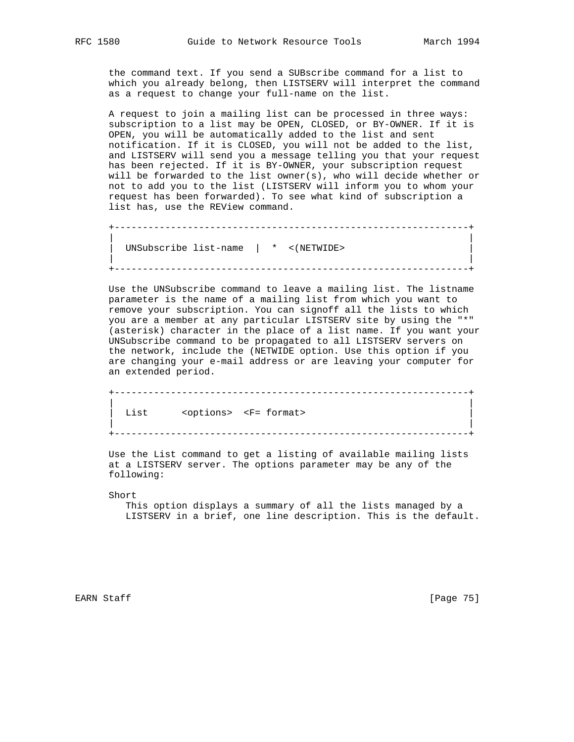the command text. If you send a SUBscribe command for a list to which you already belong, then LISTSERV will interpret the command as a request to change your full-name on the list.

 A request to join a mailing list can be processed in three ways: subscription to a list may be OPEN, CLOSED, or BY-OWNER. If it is OPEN, you will be automatically added to the list and sent notification. If it is CLOSED, you will not be added to the list, and LISTSERV will send you a message telling you that your request has been rejected. If it is BY-OWNER, your subscription request will be forwarded to the list owner(s), who will decide whether or not to add you to the list (LISTSERV will inform you to whom your request has been forwarded). To see what kind of subscription a list has, use the REView command.

 +---------------------------------------------------------------+ | | | UNSubscribe list-name | \* <(NETWIDE> | | | +---------------------------------------------------------------+

 Use the UNSubscribe command to leave a mailing list. The listname parameter is the name of a mailing list from which you want to remove your subscription. You can signoff all the lists to which you are a member at any particular LISTSERV site by using the "\*" (asterisk) character in the place of a list name. If you want your UNSubscribe command to be propagated to all LISTSERV servers on the network, include the (NETWIDE option. Use this option if you are changing your e-mail address or are leaving your computer for an extended period.

 +---------------------------------------------------------------+ | | List <options> <F= format> | | +---------------------------------------------------------------+

 Use the List command to get a listing of available mailing lists at a LISTSERV server. The options parameter may be any of the following:

Short

 This option displays a summary of all the lists managed by a LISTSERV in a brief, one line description. This is the default.

EARN Staff [Page 75]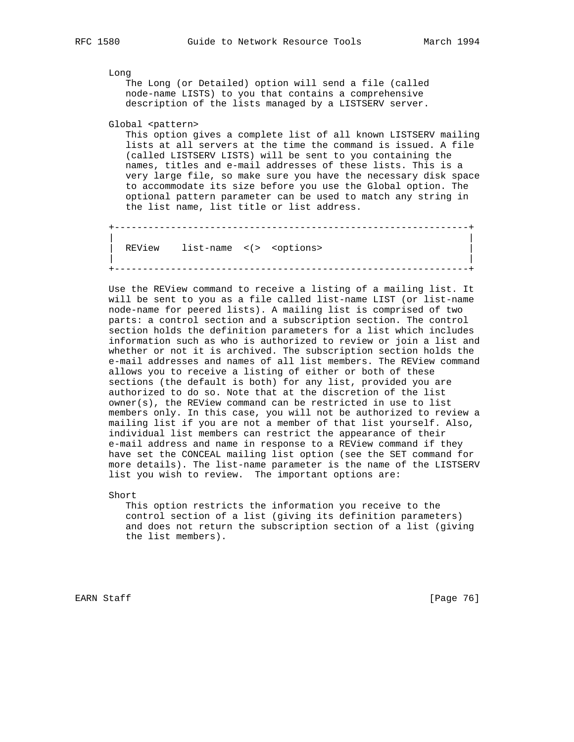Long

 The Long (or Detailed) option will send a file (called node-name LISTS) to you that contains a comprehensive description of the lists managed by a LISTSERV server.

Global <pattern>

 This option gives a complete list of all known LISTSERV mailing lists at all servers at the time the command is issued. A file (called LISTSERV LISTS) will be sent to you containing the names, titles and e-mail addresses of these lists. This is a very large file, so make sure you have the necessary disk space to accommodate its size before you use the Global option. The optional pattern parameter can be used to match any string in the list name, list title or list address.

 +---------------------------------------------------------------+ | | REView list-name <(> <options> | | +---------------------------------------------------------------+

 Use the REView command to receive a listing of a mailing list. It will be sent to you as a file called list-name LIST (or list-name node-name for peered lists). A mailing list is comprised of two parts: a control section and a subscription section. The control section holds the definition parameters for a list which includes information such as who is authorized to review or join a list and whether or not it is archived. The subscription section holds the e-mail addresses and names of all list members. The REView command allows you to receive a listing of either or both of these sections (the default is both) for any list, provided you are authorized to do so. Note that at the discretion of the list owner(s), the REView command can be restricted in use to list members only. In this case, you will not be authorized to review a mailing list if you are not a member of that list yourself. Also, individual list members can restrict the appearance of their e-mail address and name in response to a REView command if they have set the CONCEAL mailing list option (see the SET command for more details). The list-name parameter is the name of the LISTSERV list you wish to review. The important options are:

Short

 This option restricts the information you receive to the control section of a list (giving its definition parameters) and does not return the subscription section of a list (giving the list members).

EARN Staff [Page 76]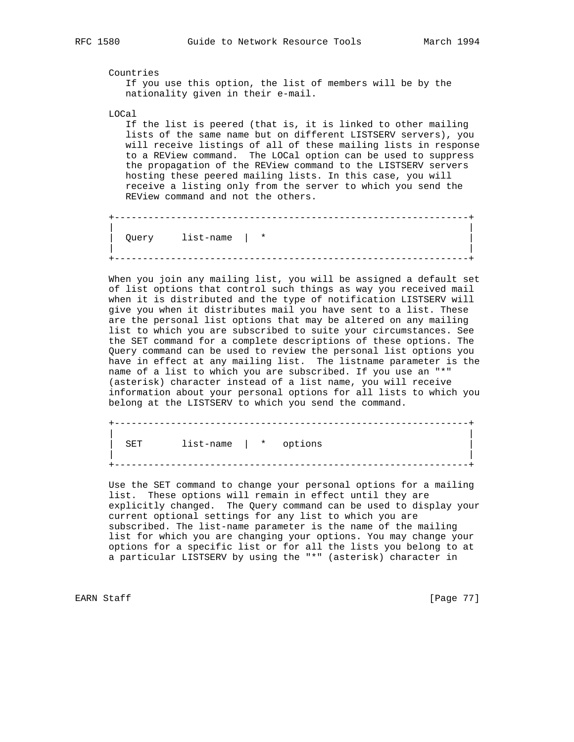Countries If you use this option, the list of members will be by the nationality given in their e-mail.

LOCal

 If the list is peered (that is, it is linked to other mailing lists of the same name but on different LISTSERV servers), you will receive listings of all of these mailing lists in response to a REView command. The LOCal option can be used to suppress the propagation of the REView command to the LISTSERV servers hosting these peered mailing lists. In this case, you will receive a listing only from the server to which you send the REView command and not the others.

 +---------------------------------------------------------------+ | | | Query list-name | \* | | | +---------------------------------------------------------------+

 When you join any mailing list, you will be assigned a default set of list options that control such things as way you received mail when it is distributed and the type of notification LISTSERV will give you when it distributes mail you have sent to a list. These are the personal list options that may be altered on any mailing list to which you are subscribed to suite your circumstances. See the SET command for a complete descriptions of these options. The Query command can be used to review the personal list options you have in effect at any mailing list. The listname parameter is the name of a list to which you are subscribed. If you use an "\*" (asterisk) character instead of a list name, you will receive information about your personal options for all lists to which you belong at the LISTSERV to which you send the command.

 +---------------------------------------------------------------+ | | SET list-name | \* options | | +---------------------------------------------------------------+

 Use the SET command to change your personal options for a mailing list. These options will remain in effect until they are explicitly changed. The Query command can be used to display your current optional settings for any list to which you are subscribed. The list-name parameter is the name of the mailing list for which you are changing your options. You may change your options for a specific list or for all the lists you belong to at a particular LISTSERV by using the "\*" (asterisk) character in

EARN Staff [Page 77]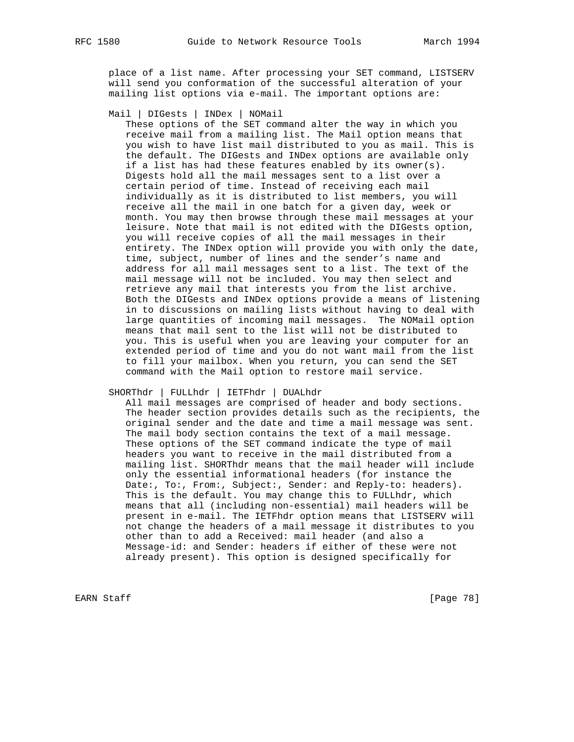place of a list name. After processing your SET command, LISTSERV will send you conformation of the successful alteration of your mailing list options via e-mail. The important options are:

Mail | DIGests | INDex | NOMail

 These options of the SET command alter the way in which you receive mail from a mailing list. The Mail option means that you wish to have list mail distributed to you as mail. This is the default. The DIGests and INDex options are available only if a list has had these features enabled by its owner(s). Digests hold all the mail messages sent to a list over a certain period of time. Instead of receiving each mail individually as it is distributed to list members, you will receive all the mail in one batch for a given day, week or month. You may then browse through these mail messages at your leisure. Note that mail is not edited with the DIGests option, you will receive copies of all the mail messages in their entirety. The INDex option will provide you with only the date, time, subject, number of lines and the sender's name and address for all mail messages sent to a list. The text of the mail message will not be included. You may then select and retrieve any mail that interests you from the list archive. Both the DIGests and INDex options provide a means of listening in to discussions on mailing lists without having to deal with large quantities of incoming mail messages. The NOMail option means that mail sent to the list will not be distributed to you. This is useful when you are leaving your computer for an extended period of time and you do not want mail from the list to fill your mailbox. When you return, you can send the SET command with the Mail option to restore mail service.

#### SHORThdr | FULLhdr | IETFhdr | DUALhdr

 All mail messages are comprised of header and body sections. The header section provides details such as the recipients, the original sender and the date and time a mail message was sent. The mail body section contains the text of a mail message. These options of the SET command indicate the type of mail headers you want to receive in the mail distributed from a mailing list. SHORThdr means that the mail header will include only the essential informational headers (for instance the Date:, To:, From:, Subject:, Sender: and Reply-to: headers). This is the default. You may change this to FULLhdr, which means that all (including non-essential) mail headers will be present in e-mail. The IETFhdr option means that LISTSERV will not change the headers of a mail message it distributes to you other than to add a Received: mail header (and also a Message-id: and Sender: headers if either of these were not already present). This option is designed specifically for

EARN Staff [Page 78]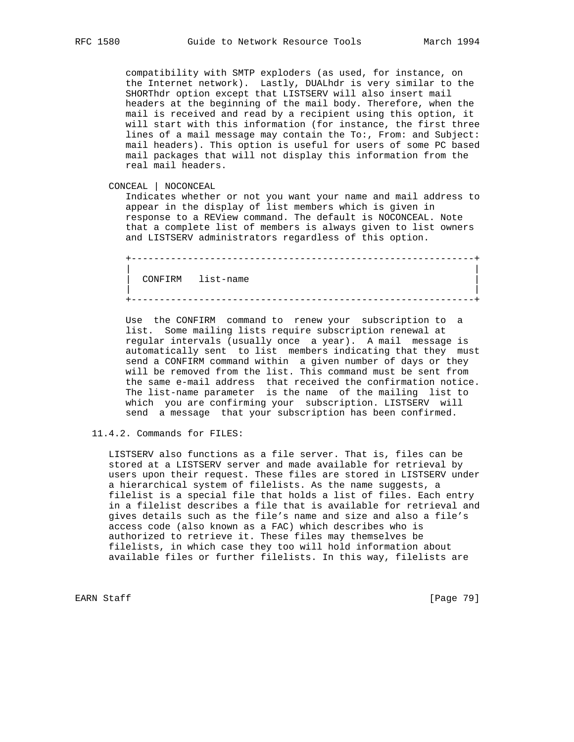compatibility with SMTP exploders (as used, for instance, on the Internet network). Lastly, DUALhdr is very similar to the SHORThdr option except that LISTSERV will also insert mail headers at the beginning of the mail body. Therefore, when the mail is received and read by a recipient using this option, it will start with this information (for instance, the first three lines of a mail message may contain the To:, From: and Subject: mail headers). This option is useful for users of some PC based mail packages that will not display this information from the real mail headers.

CONCEAL | NOCONCEAL

 Indicates whether or not you want your name and mail address to appear in the display of list members which is given in response to a REView command. The default is NOCONCEAL. Note that a complete list of members is always given to list owners and LISTSERV administrators regardless of this option.

+-------------------------------------------------------------+

+-------------------------------------------------------------+

 | | | CONFIRM list-name | | |

 Use the CONFIRM command to renew your subscription to a list. Some mailing lists require subscription renewal at regular intervals (usually once a year). A mail message is automatically sent to list members indicating that they must send a CONFIRM command within a given number of days or they will be removed from the list. This command must be sent from the same e-mail address that received the confirmation notice. The list-name parameter is the name of the mailing list to which you are confirming your subscription. LISTSERV will send a message that your subscription has been confirmed.

11.4.2. Commands for FILES:

 LISTSERV also functions as a file server. That is, files can be stored at a LISTSERV server and made available for retrieval by users upon their request. These files are stored in LISTSERV under a hierarchical system of filelists. As the name suggests, a filelist is a special file that holds a list of files. Each entry in a filelist describes a file that is available for retrieval and gives details such as the file's name and size and also a file's access code (also known as a FAC) which describes who is authorized to retrieve it. These files may themselves be filelists, in which case they too will hold information about available files or further filelists. In this way, filelists are

EARN Staff [Page 79]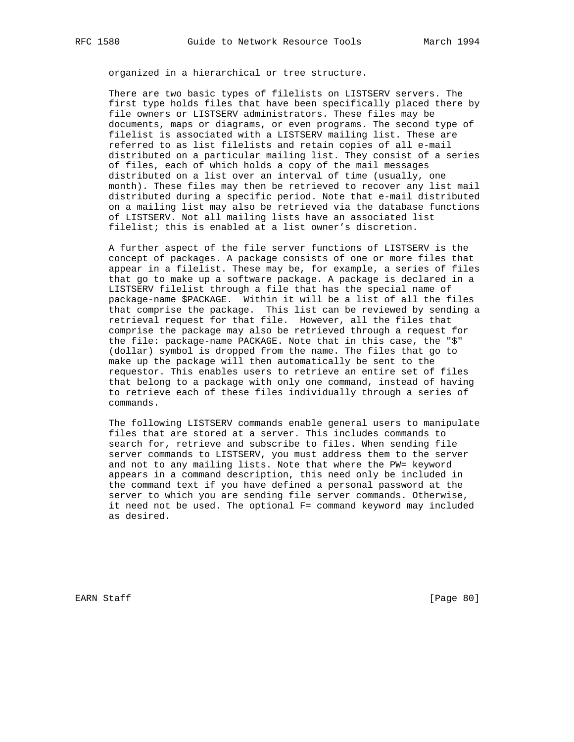organized in a hierarchical or tree structure.

 There are two basic types of filelists on LISTSERV servers. The first type holds files that have been specifically placed there by file owners or LISTSERV administrators. These files may be documents, maps or diagrams, or even programs. The second type of filelist is associated with a LISTSERV mailing list. These are referred to as list filelists and retain copies of all e-mail distributed on a particular mailing list. They consist of a series of files, each of which holds a copy of the mail messages distributed on a list over an interval of time (usually, one month). These files may then be retrieved to recover any list mail distributed during a specific period. Note that e-mail distributed on a mailing list may also be retrieved via the database functions of LISTSERV. Not all mailing lists have an associated list filelist; this is enabled at a list owner's discretion.

 A further aspect of the file server functions of LISTSERV is the concept of packages. A package consists of one or more files that appear in a filelist. These may be, for example, a series of files that go to make up a software package. A package is declared in a LISTSERV filelist through a file that has the special name of package-name \$PACKAGE. Within it will be a list of all the files that comprise the package. This list can be reviewed by sending a retrieval request for that file. However, all the files that comprise the package may also be retrieved through a request for the file: package-name PACKAGE. Note that in this case, the "\$" (dollar) symbol is dropped from the name. The files that go to make up the package will then automatically be sent to the requestor. This enables users to retrieve an entire set of files that belong to a package with only one command, instead of having to retrieve each of these files individually through a series of commands.

 The following LISTSERV commands enable general users to manipulate files that are stored at a server. This includes commands to search for, retrieve and subscribe to files. When sending file server commands to LISTSERV, you must address them to the server and not to any mailing lists. Note that where the PW= keyword appears in a command description, this need only be included in the command text if you have defined a personal password at the server to which you are sending file server commands. Otherwise, it need not be used. The optional F= command keyword may included as desired.

EARN Staff [Page 80]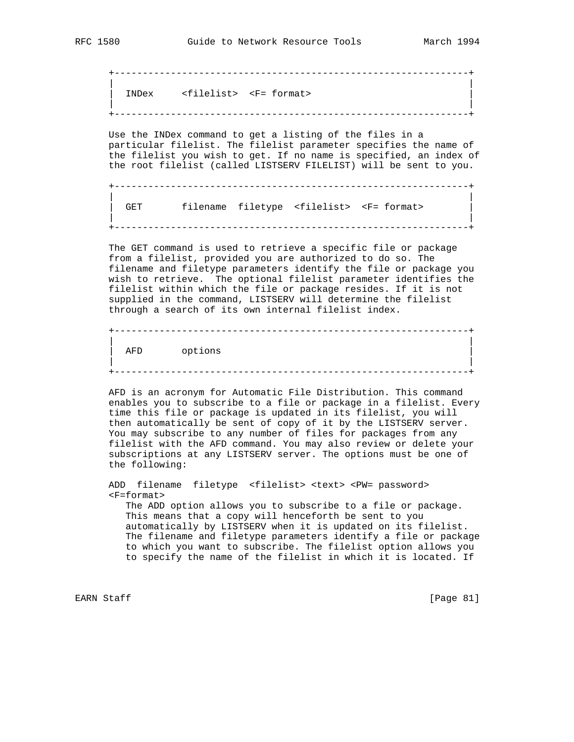+---------------------------------------------------------------+ | | | INDex <filelist> <F= format> | | | +---------------------------------------------------------------+

 Use the INDex command to get a listing of the files in a particular filelist. The filelist parameter specifies the name of the filelist you wish to get. If no name is specified, an index of the root filelist (called LISTSERV FILELIST) will be sent to you.

 +---------------------------------------------------------------+ | | GET filename filetype <filelist> <F= format> | | +---------------------------------------------------------------+

 The GET command is used to retrieve a specific file or package from a filelist, provided you are authorized to do so. The filename and filetype parameters identify the file or package you wish to retrieve. The optional filelist parameter identifies the filelist within which the file or package resides. If it is not supplied in the command, LISTSERV will determine the filelist through a search of its own internal filelist index.

 +---------------------------------------------------------------+ | | AFD options | | +---------------------------------------------------------------+

 AFD is an acronym for Automatic File Distribution. This command enables you to subscribe to a file or package in a filelist. Every time this file or package is updated in its filelist, you will then automatically be sent of copy of it by the LISTSERV server. You may subscribe to any number of files for packages from any filelist with the AFD command. You may also review or delete your subscriptions at any LISTSERV server. The options must be one of the following:

 ADD filename filetype <filelist> <text> <PW= password> <F=format> The ADD option allows you to subscribe to a file or package. This means that a copy will henceforth be sent to you automatically by LISTSERV when it is updated on its filelist. The filename and filetype parameters identify a file or package to which you want to subscribe. The filelist option allows you to specify the name of the filelist in which it is located. If

EARN Staff [Page 81]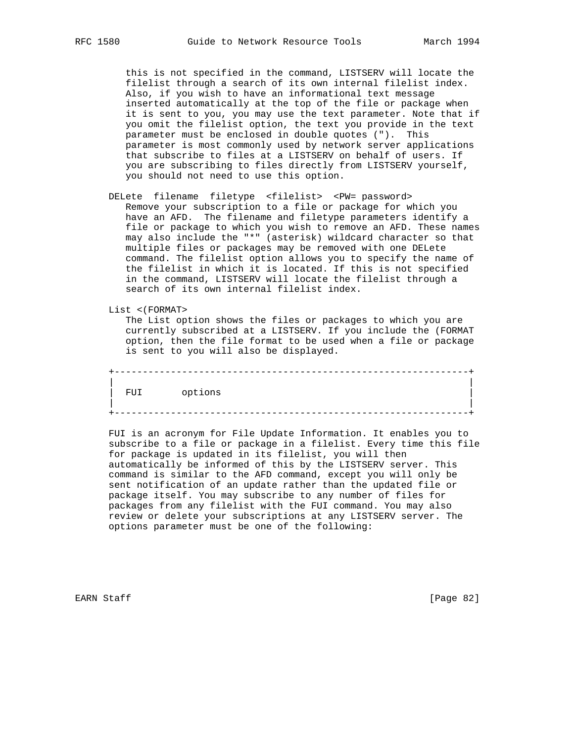this is not specified in the command, LISTSERV will locate the filelist through a search of its own internal filelist index. Also, if you wish to have an informational text message inserted automatically at the top of the file or package when it is sent to you, you may use the text parameter. Note that if you omit the filelist option, the text you provide in the text parameter must be enclosed in double quotes ("). This parameter is most commonly used by network server applications that subscribe to files at a LISTSERV on behalf of users. If you are subscribing to files directly from LISTSERV yourself, you should not need to use this option.

 DELete filename filetype <filelist> <PW= password> Remove your subscription to a file or package for which you have an AFD. The filename and filetype parameters identify a file or package to which you wish to remove an AFD. These names may also include the "\*" (asterisk) wildcard character so that multiple files or packages may be removed with one DELete command. The filelist option allows you to specify the name of the filelist in which it is located. If this is not specified in the command, LISTSERV will locate the filelist through a search of its own internal filelist index.

List <(FORMAT>

 The List option shows the files or packages to which you are currently subscribed at a LISTSERV. If you include the (FORMAT option, then the file format to be used when a file or package is sent to you will also be displayed.

 +---------------------------------------------------------------+ | | FUI options | | +---------------------------------------------------------------+

 FUI is an acronym for File Update Information. It enables you to subscribe to a file or package in a filelist. Every time this file for package is updated in its filelist, you will then automatically be informed of this by the LISTSERV server. This command is similar to the AFD command, except you will only be sent notification of an update rather than the updated file or package itself. You may subscribe to any number of files for packages from any filelist with the FUI command. You may also review or delete your subscriptions at any LISTSERV server. The options parameter must be one of the following:

EARN Staff [Page 82]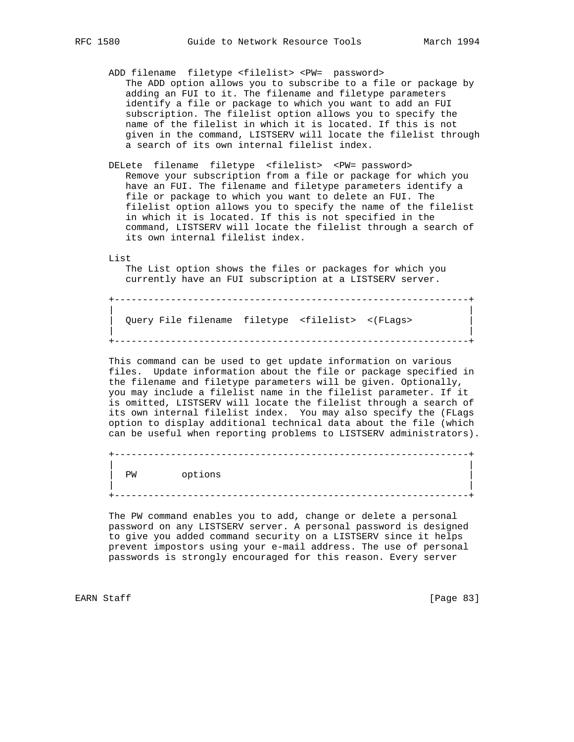- ADD filename filetype <filelist> <PW= password> The ADD option allows you to subscribe to a file or package by adding an FUI to it. The filename and filetype parameters identify a file or package to which you want to add an FUI subscription. The filelist option allows you to specify the name of the filelist in which it is located. If this is not given in the command, LISTSERV will locate the filelist through a search of its own internal filelist index.
- DELete filename filetype <filelist> <PW= password> Remove your subscription from a file or package for which you have an FUI. The filename and filetype parameters identify a file or package to which you want to delete an FUI. The filelist option allows you to specify the name of the filelist in which it is located. If this is not specified in the command, LISTSERV will locate the filelist through a search of its own internal filelist index.

List

 The List option shows the files or packages for which you currently have an FUI subscription at a LISTSERV server.

+---------------------------------------------------------------+

 | | | Query File filename filetype <filelist> <(FLags> | | | +---------------------------------------------------------------+

 This command can be used to get update information on various files. Update information about the file or package specified in the filename and filetype parameters will be given. Optionally, you may include a filelist name in the filelist parameter. If it is omitted, LISTSERV will locate the filelist through a search of its own internal filelist index. You may also specify the (FLags option to display additional technical data about the file (which can be useful when reporting problems to LISTSERV administrators).

 +---------------------------------------------------------------+ | | PW options | | +---------------------------------------------------------------+

 The PW command enables you to add, change or delete a personal password on any LISTSERV server. A personal password is designed to give you added command security on a LISTSERV since it helps prevent impostors using your e-mail address. The use of personal passwords is strongly encouraged for this reason. Every server

EARN Staff [Page 83]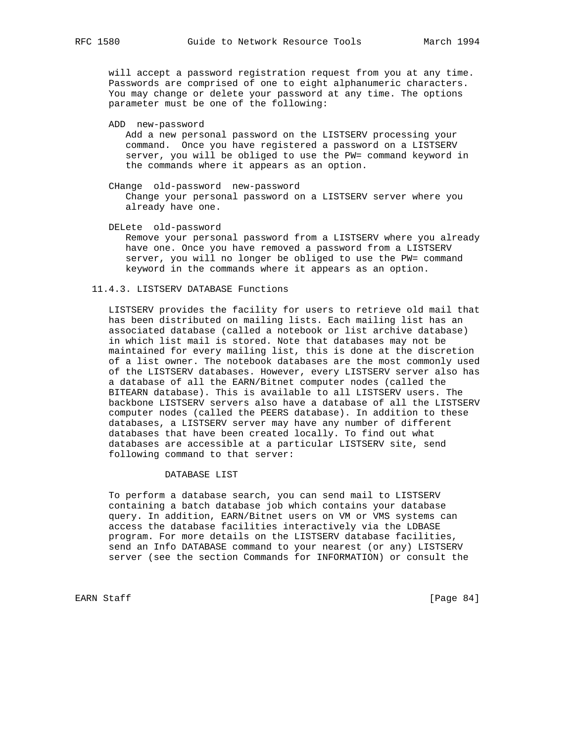will accept a password registration request from you at any time. Passwords are comprised of one to eight alphanumeric characters. You may change or delete your password at any time. The options parameter must be one of the following:

ADD new-password

 Add a new personal password on the LISTSERV processing your command. Once you have registered a password on a LISTSERV server, you will be obliged to use the PW= command keyword in the commands where it appears as an option.

 CHange old-password new-password Change your personal password on a LISTSERV server where you already have one.

 DELete old-password Remove your personal password from a LISTSERV where you already have one. Once you have removed a password from a LISTSERV server, you will no longer be obliged to use the PW= command

keyword in the commands where it appears as an option.

#### 11.4.3. LISTSERV DATABASE Functions

 LISTSERV provides the facility for users to retrieve old mail that has been distributed on mailing lists. Each mailing list has an associated database (called a notebook or list archive database) in which list mail is stored. Note that databases may not be maintained for every mailing list, this is done at the discretion of a list owner. The notebook databases are the most commonly used of the LISTSERV databases. However, every LISTSERV server also has a database of all the EARN/Bitnet computer nodes (called the BITEARN database). This is available to all LISTSERV users. The backbone LISTSERV servers also have a database of all the LISTSERV computer nodes (called the PEERS database). In addition to these databases, a LISTSERV server may have any number of different databases that have been created locally. To find out what databases are accessible at a particular LISTSERV site, send following command to that server:

## DATABASE LIST

 To perform a database search, you can send mail to LISTSERV containing a batch database job which contains your database query. In addition, EARN/Bitnet users on VM or VMS systems can access the database facilities interactively via the LDBASE program. For more details on the LISTSERV database facilities, send an Info DATABASE command to your nearest (or any) LISTSERV server (see the section Commands for INFORMATION) or consult the

EARN Staff [Page 84]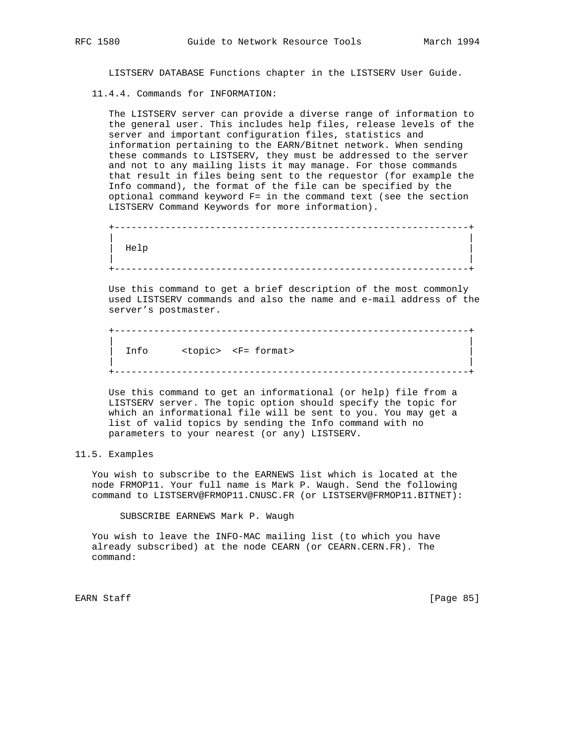LISTSERV DATABASE Functions chapter in the LISTSERV User Guide.

11.4.4. Commands for INFORMATION:

 The LISTSERV server can provide a diverse range of information to the general user. This includes help files, release levels of the server and important configuration files, statistics and information pertaining to the EARN/Bitnet network. When sending these commands to LISTSERV, they must be addressed to the server and not to any mailing lists it may manage. For those commands that result in files being sent to the requestor (for example the Info command), the format of the file can be specified by the optional command keyword F= in the command text (see the section LISTSERV Command Keywords for more information).

```
 +---------------------------------------------------------------+
 | |
\vert Help \vert | |
   +---------------------------------------------------------------+
```
 Use this command to get a brief description of the most commonly used LISTSERV commands and also the name and e-mail address of the server's postmaster.

```
 +---------------------------------------------------------------+
 | |
    Info <topic> <F= format>
 | |
    +---------------------------------------------------------------+
```
 Use this command to get an informational (or help) file from a LISTSERV server. The topic option should specify the topic for which an informational file will be sent to you. You may get a list of valid topics by sending the Info command with no parameters to your nearest (or any) LISTSERV.

11.5. Examples

 You wish to subscribe to the EARNEWS list which is located at the node FRMOP11. Your full name is Mark P. Waugh. Send the following command to LISTSERV@FRMOP11.CNUSC.FR (or LISTSERV@FRMOP11.BITNET):

SUBSCRIBE EARNEWS Mark P. Waugh

 You wish to leave the INFO-MAC mailing list (to which you have already subscribed) at the node CEARN (or CEARN.CERN.FR). The command:

EARN Staff [Page 85]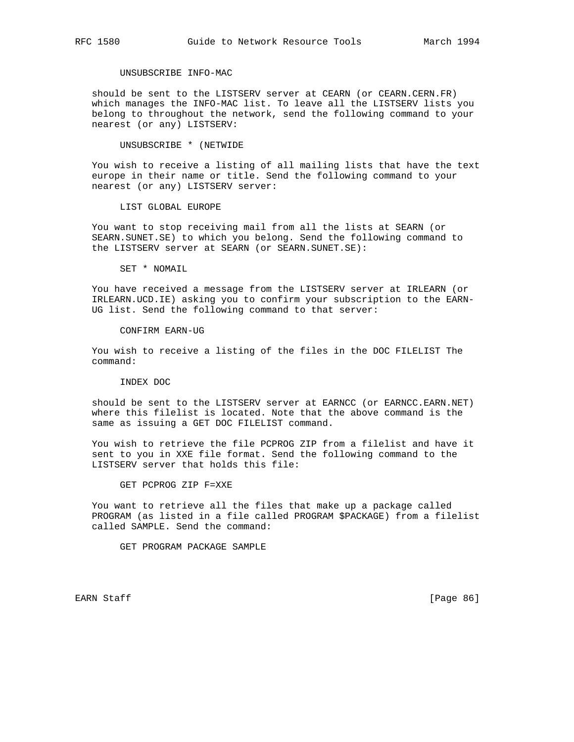## UNSUBSCRIBE INFO-MAC

 should be sent to the LISTSERV server at CEARN (or CEARN.CERN.FR) which manages the INFO-MAC list. To leave all the LISTSERV lists you belong to throughout the network, send the following command to your nearest (or any) LISTSERV:

UNSUBSCRIBE \* (NETWIDE

 You wish to receive a listing of all mailing lists that have the text europe in their name or title. Send the following command to your nearest (or any) LISTSERV server:

LIST GLOBAL EUROPE

 You want to stop receiving mail from all the lists at SEARN (or SEARN.SUNET.SE) to which you belong. Send the following command to the LISTSERV server at SEARN (or SEARN.SUNET.SE):

SET \* NOMAIL

 You have received a message from the LISTSERV server at IRLEARN (or IRLEARN.UCD.IE) asking you to confirm your subscription to the EARN- UG list. Send the following command to that server:

CONFIRM EARN-UG

 You wish to receive a listing of the files in the DOC FILELIST The command:

INDEX DOC

 should be sent to the LISTSERV server at EARNCC (or EARNCC.EARN.NET) where this filelist is located. Note that the above command is the same as issuing a GET DOC FILELIST command.

 You wish to retrieve the file PCPROG ZIP from a filelist and have it sent to you in XXE file format. Send the following command to the LISTSERV server that holds this file:

GET PCPROG ZIP F=XXE

 You want to retrieve all the files that make up a package called PROGRAM (as listed in a file called PROGRAM \$PACKAGE) from a filelist called SAMPLE. Send the command:

GET PROGRAM PACKAGE SAMPLE

EARN Staff [Page 86]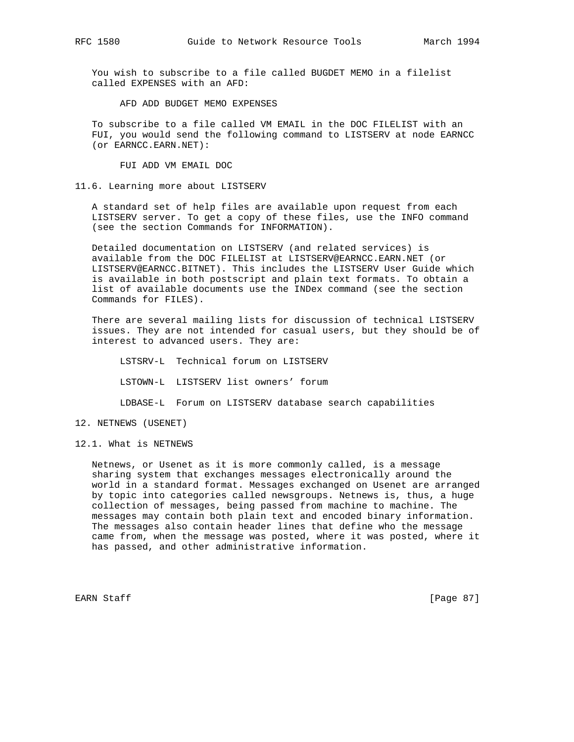You wish to subscribe to a file called BUGDET MEMO in a filelist called EXPENSES with an AFD:

AFD ADD BUDGET MEMO EXPENSES

 To subscribe to a file called VM EMAIL in the DOC FILELIST with an FUI, you would send the following command to LISTSERV at node EARNCC (or EARNCC.EARN.NET):

FUI ADD VM EMAIL DOC

#### 11.6. Learning more about LISTSERV

 A standard set of help files are available upon request from each LISTSERV server. To get a copy of these files, use the INFO command (see the section Commands for INFORMATION).

 Detailed documentation on LISTSERV (and related services) is available from the DOC FILELIST at LISTSERV@EARNCC.EARN.NET (or LISTSERV@EARNCC.BITNET). This includes the LISTSERV User Guide which is available in both postscript and plain text formats. To obtain a list of available documents use the INDex command (see the section Commands for FILES).

 There are several mailing lists for discussion of technical LISTSERV issues. They are not intended for casual users, but they should be of interest to advanced users. They are:

 LSTSRV-L Technical forum on LISTSERV LSTOWN-L LISTSERV list owners' forum LDBASE-L Forum on LISTSERV database search capabilities

## 12. NETNEWS (USENET)

12.1. What is NETNEWS

 Netnews, or Usenet as it is more commonly called, is a message sharing system that exchanges messages electronically around the world in a standard format. Messages exchanged on Usenet are arranged by topic into categories called newsgroups. Netnews is, thus, a huge collection of messages, being passed from machine to machine. The messages may contain both plain text and encoded binary information. The messages also contain header lines that define who the message came from, when the message was posted, where it was posted, where it has passed, and other administrative information.

EARN Staff [Page 87]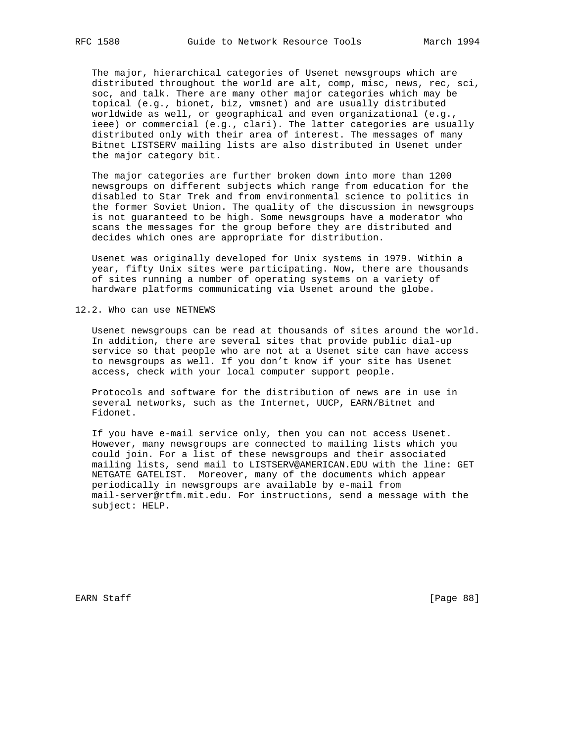The major, hierarchical categories of Usenet newsgroups which are distributed throughout the world are alt, comp, misc, news, rec, sci, soc, and talk. There are many other major categories which may be topical (e.g., bionet, biz, vmsnet) and are usually distributed worldwide as well, or geographical and even organizational (e.g., ieee) or commercial (e.g., clari). The latter categories are usually distributed only with their area of interest. The messages of many Bitnet LISTSERV mailing lists are also distributed in Usenet under the major category bit.

 The major categories are further broken down into more than 1200 newsgroups on different subjects which range from education for the disabled to Star Trek and from environmental science to politics in the former Soviet Union. The quality of the discussion in newsgroups is not guaranteed to be high. Some newsgroups have a moderator who scans the messages for the group before they are distributed and decides which ones are appropriate for distribution.

 Usenet was originally developed for Unix systems in 1979. Within a year, fifty Unix sites were participating. Now, there are thousands of sites running a number of operating systems on a variety of hardware platforms communicating via Usenet around the globe.

### 12.2. Who can use NETNEWS

 Usenet newsgroups can be read at thousands of sites around the world. In addition, there are several sites that provide public dial-up service so that people who are not at a Usenet site can have access to newsgroups as well. If you don't know if your site has Usenet access, check with your local computer support people.

 Protocols and software for the distribution of news are in use in several networks, such as the Internet, UUCP, EARN/Bitnet and Fidonet.

 If you have e-mail service only, then you can not access Usenet. However, many newsgroups are connected to mailing lists which you could join. For a list of these newsgroups and their associated mailing lists, send mail to LISTSERV@AMERICAN.EDU with the line: GET NETGATE GATELIST. Moreover, many of the documents which appear periodically in newsgroups are available by e-mail from mail-server@rtfm.mit.edu. For instructions, send a message with the subject: HELP.

EARN Staff [Page 88]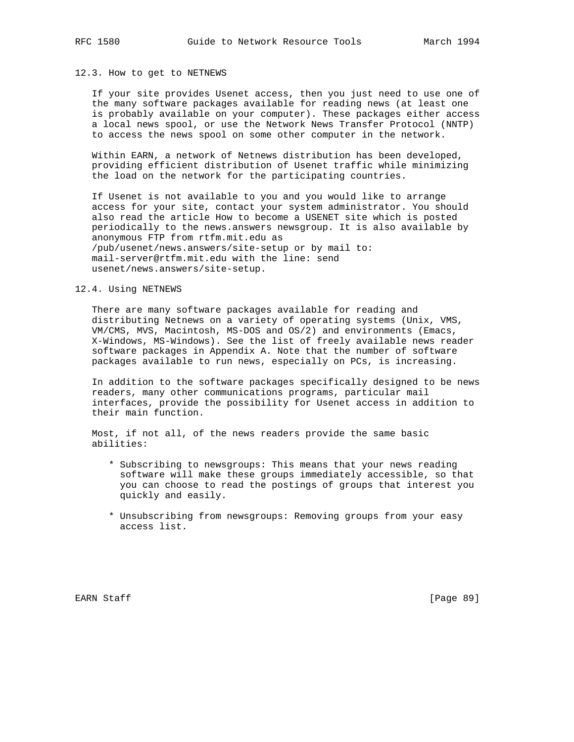#### 12.3. How to get to NETNEWS

 If your site provides Usenet access, then you just need to use one of the many software packages available for reading news (at least one is probably available on your computer). These packages either access a local news spool, or use the Network News Transfer Protocol (NNTP) to access the news spool on some other computer in the network.

 Within EARN, a network of Netnews distribution has been developed, providing efficient distribution of Usenet traffic while minimizing the load on the network for the participating countries.

 If Usenet is not available to you and you would like to arrange access for your site, contact your system administrator. You should also read the article How to become a USENET site which is posted periodically to the news.answers newsgroup. It is also available by anonymous FTP from rtfm.mit.edu as /pub/usenet/news.answers/site-setup or by mail to: mail-server@rtfm.mit.edu with the line: send usenet/news.answers/site-setup.

## 12.4. Using NETNEWS

 There are many software packages available for reading and distributing Netnews on a variety of operating systems (Unix, VMS, VM/CMS, MVS, Macintosh, MS-DOS and OS/2) and environments (Emacs, X-Windows, MS-Windows). See the list of freely available news reader software packages in Appendix A. Note that the number of software packages available to run news, especially on PCs, is increasing.

 In addition to the software packages specifically designed to be news readers, many other communications programs, particular mail interfaces, provide the possibility for Usenet access in addition to their main function.

 Most, if not all, of the news readers provide the same basic abilities:

- \* Subscribing to newsgroups: This means that your news reading software will make these groups immediately accessible, so that you can choose to read the postings of groups that interest you quickly and easily.
- \* Unsubscribing from newsgroups: Removing groups from your easy access list.

EARN Staff [Page 89]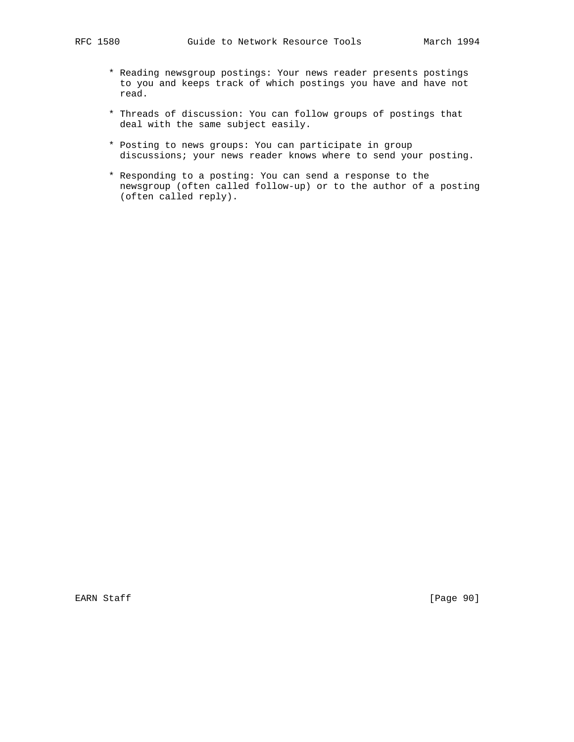- \* Reading newsgroup postings: Your news reader presents postings to you and keeps track of which postings you have and have not read.
- \* Threads of discussion: You can follow groups of postings that deal with the same subject easily.
- \* Posting to news groups: You can participate in group discussions; your news reader knows where to send your posting.
- \* Responding to a posting: You can send a response to the newsgroup (often called follow-up) or to the author of a posting (often called reply).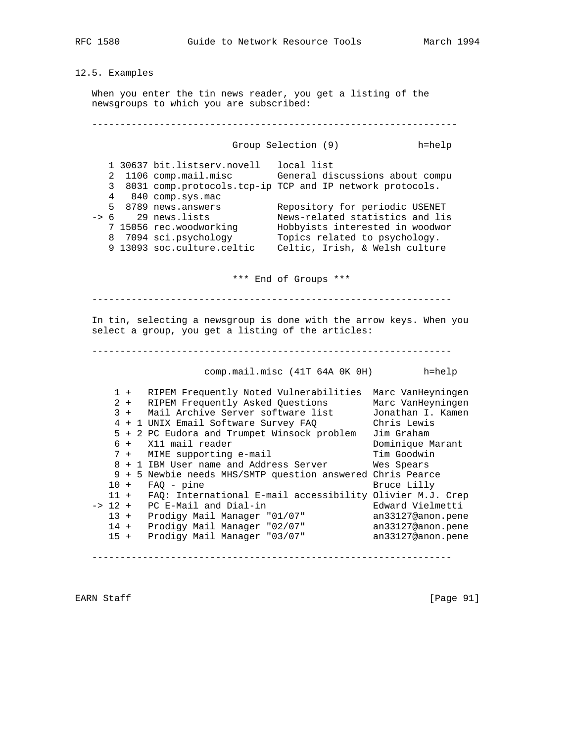## 12.5. Examples

 When you enter the tin news reader, you get a listing of the newsgroups to which you are subscribed:

 ----------------------------------------------------------------- Group Selection (9) h=help 1 30637 bit.listserv.novell local list 2 1106 comp.mail.misc General discussions about compu 3 8031 comp.protocols.tcp-ip TCP and IP network protocols. 4 840 comp.sys.mac 5 8789 news.answers Repository for periodic USENET -> 6 29 news.lists News-related statistics and lis 7 15056 rec.woodworking Hobbyists interested in woodwor 8 7094 sci.psychology Topics related to psychology. 9 13093 soc.culture.celtic Celtic, Irish, & Welsh culture \*\*\* End of Groups \*\*\* ---------------------------------------------------------------- In tin, selecting a newsgroup is done with the arrow keys. When you select a group, you get a listing of the articles: --------------------------------------------------------------- comp.mail.misc (41T 64A 0K 0H) h=help 1 + RIPEM Frequently Noted Vulnerabilities Marc VanHeyningen 2 + RIPEM Frequently Asked Questions Marc VanHeyningen 3 + Mail Archive Server software list Jonathan I. Kamen 4 + 1 UNIX Email Software Survey FAQ Chris Lewis 5 + 2 PC Eudora and Trumpet Winsock problem Jim Graham 6 + X11 mail reader Dominique Marant 7 + MIME supporting e-mail Tim Goodwin 8 + 1 IBM User name and Address Server Wes Spears 9 + 5 Newbie needs MHS/SMTP question answered Chris Pearce 10 + FAQ - pine Bruce Lilly 11 + FAQ: International E-mail accessibility Olivier M.J. Crep -> 12 + PC E-Mail and Dial-in Fig. Edward Vielmetti 13 + Prodigy Mail Manager "01/07" an33127@anon.pene 14 + Prodigy Mail Manager "02/07" an33127@anon.pene 15 + Prodigy Mail Manager "03/07" an33127@anon.pene

----------------------------------------------------------------

EARN Staff [Page 91]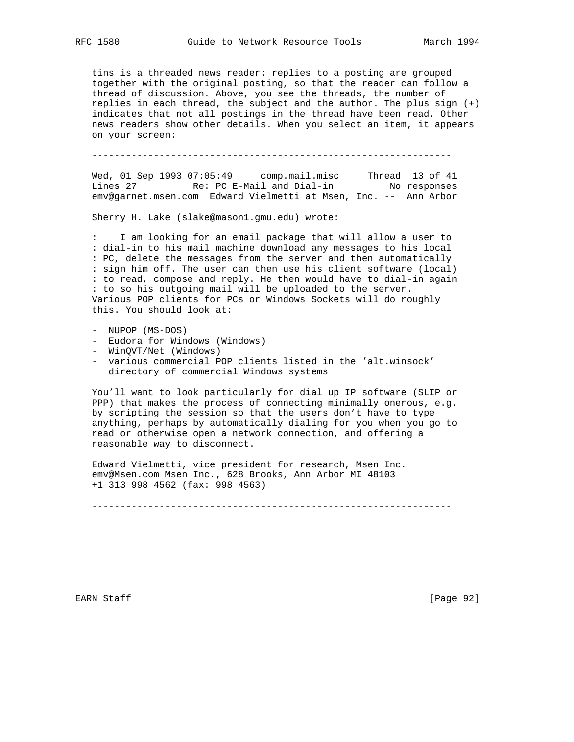tins is a threaded news reader: replies to a posting are grouped together with the original posting, so that the reader can follow a thread of discussion. Above, you see the threads, the number of replies in each thread, the subject and the author. The plus sign (+) indicates that not all postings in the thread have been read. Other news readers show other details. When you select an item, it appears on your screen:

----------------------------------------------------------------

 Wed, 01 Sep 1993 07:05:49 comp.mail.misc Thread 13 of 41 Lines 27 Re: PC E-Mail and Dial-in No responses emv@garnet.msen.com Edward Vielmetti at Msen, Inc. -- Ann Arbor

Sherry H. Lake (slake@mason1.gmu.edu) wrote:

 : I am looking for an email package that will allow a user to : dial-in to his mail machine download any messages to his local : PC, delete the messages from the server and then automatically : sign him off. The user can then use his client software (local) : to read, compose and reply. He then would have to dial-in again : to so his outgoing mail will be uploaded to the server. Various POP clients for PCs or Windows Sockets will do roughly this. You should look at:

- NUPOP (MS-DOS)
- Eudora for Windows (Windows)
- WinQVT/Net (Windows)
- various commercial POP clients listed in the 'alt.winsock' directory of commercial Windows systems

 You'll want to look particularly for dial up IP software (SLIP or PPP) that makes the process of connecting minimally onerous, e.g. by scripting the session so that the users don't have to type anything, perhaps by automatically dialing for you when you go to read or otherwise open a network connection, and offering a reasonable way to disconnect.

 Edward Vielmetti, vice president for research, Msen Inc. emv@Msen.com Msen Inc., 628 Brooks, Ann Arbor MI 48103 +1 313 998 4562 (fax: 998 4563)

----------------------------------------------------------------

EARN Staff [Page 92]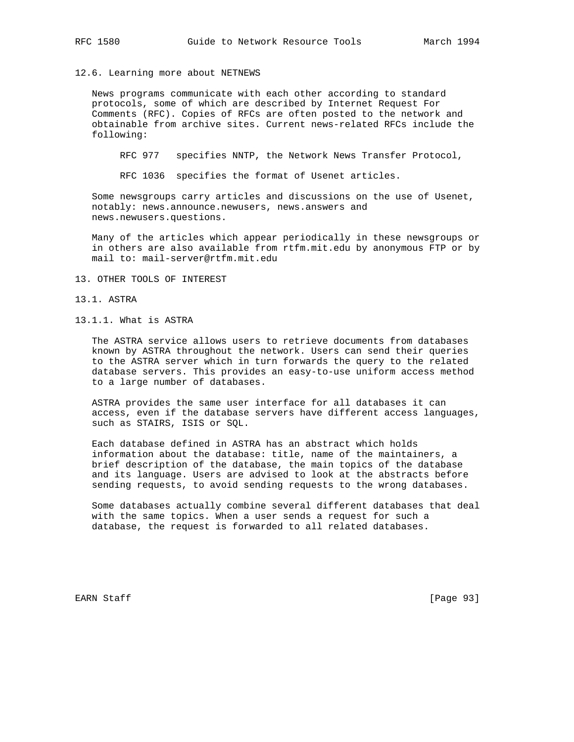12.6. Learning more about NETNEWS

 News programs communicate with each other according to standard protocols, some of which are described by Internet Request For Comments (RFC). Copies of RFCs are often posted to the network and obtainable from archive sites. Current news-related RFCs include the following:

RFC 977 specifies NNTP, the Network News Transfer Protocol,

RFC 1036 specifies the format of Usenet articles.

 Some newsgroups carry articles and discussions on the use of Usenet, notably: news.announce.newusers, news.answers and news.newusers.questions.

 Many of the articles which appear periodically in these newsgroups or in others are also available from rtfm.mit.edu by anonymous FTP or by mail to: mail-server@rtfm.mit.edu

- 13. OTHER TOOLS OF INTEREST
- 13.1. ASTRA
- 13.1.1. What is ASTRA

 The ASTRA service allows users to retrieve documents from databases known by ASTRA throughout the network. Users can send their queries to the ASTRA server which in turn forwards the query to the related database servers. This provides an easy-to-use uniform access method to a large number of databases.

 ASTRA provides the same user interface for all databases it can access, even if the database servers have different access languages, such as STAIRS, ISIS or SQL.

 Each database defined in ASTRA has an abstract which holds information about the database: title, name of the maintainers, a brief description of the database, the main topics of the database and its language. Users are advised to look at the abstracts before sending requests, to avoid sending requests to the wrong databases.

 Some databases actually combine several different databases that deal with the same topics. When a user sends a request for such a database, the request is forwarded to all related databases.

EARN Staff [Page 93]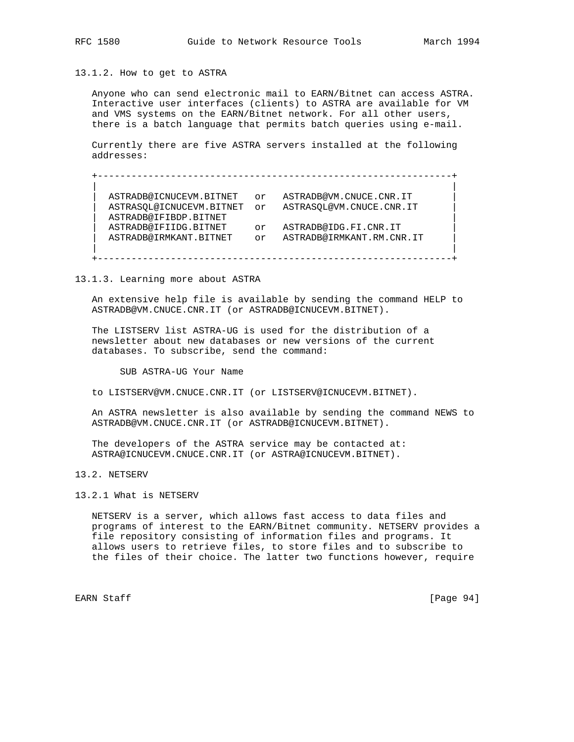13.1.2. How to get to ASTRA

 Anyone who can send electronic mail to EARN/Bitnet can access ASTRA. Interactive user interfaces (clients) to ASTRA are available for VM and VMS systems on the EARN/Bitnet network. For all other users, there is a batch language that permits batch queries using e-mail.

 Currently there are five ASTRA servers installed at the following addresses:

 +---------------------------------------------------------------+ | | ASTRADB@ICNUCEVM.BITNET or ASTRADB@VM.CNUCE.CNR.IT | ASTRASQL@ICNUCEVM.BITNET or ASTRASQL@VM.CNUCE.CNR.IT | | ASTRADB@IFIBDP.BITNET | | ASTRADB@IFIIDG.BITNET or ASTRADB@IDG.FI.CNR.IT | | ASTRADB@IRMKANT.BITNET or ASTRADB@IRMKANT.RM.CNR.IT | | | +---------------------------------------------------------------+

13.1.3. Learning more about ASTRA

 An extensive help file is available by sending the command HELP to ASTRADB@VM.CNUCE.CNR.IT (or ASTRADB@ICNUCEVM.BITNET).

 The LISTSERV list ASTRA-UG is used for the distribution of a newsletter about new databases or new versions of the current databases. To subscribe, send the command:

SUB ASTRA-UG Your Name

to LISTSERV@VM.CNUCE.CNR.IT (or LISTSERV@ICNUCEVM.BITNET).

 An ASTRA newsletter is also available by sending the command NEWS to ASTRADB@VM.CNUCE.CNR.IT (or ASTRADB@ICNUCEVM.BITNET).

The developers of the ASTRA service may be contacted at: ASTRA@ICNUCEVM.CNUCE.CNR.IT (or ASTRA@ICNUCEVM.BITNET).

13.2. NETSERV

13.2.1 What is NETSERV

 NETSERV is a server, which allows fast access to data files and programs of interest to the EARN/Bitnet community. NETSERV provides a file repository consisting of information files and programs. It allows users to retrieve files, to store files and to subscribe to the files of their choice. The latter two functions however, require

EARN Staff [Page 94]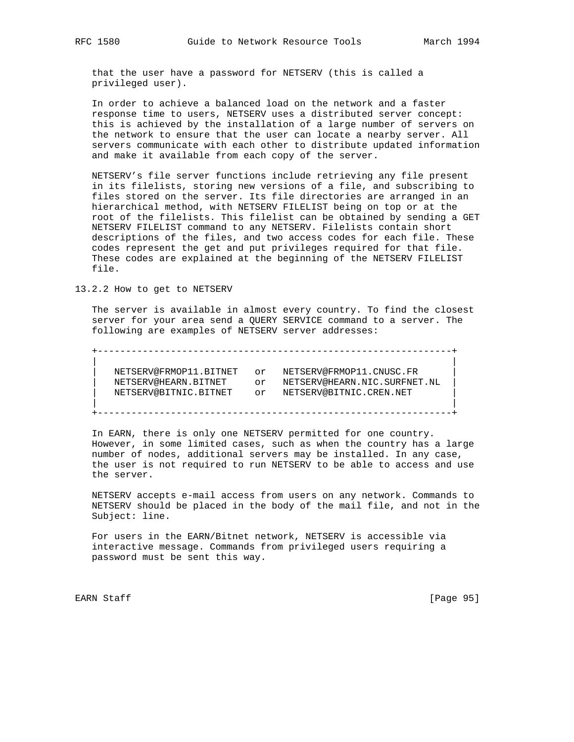that the user have a password for NETSERV (this is called a privileged user).

 In order to achieve a balanced load on the network and a faster response time to users, NETSERV uses a distributed server concept: this is achieved by the installation of a large number of servers on the network to ensure that the user can locate a nearby server. All servers communicate with each other to distribute updated information and make it available from each copy of the server.

 NETSERV's file server functions include retrieving any file present in its filelists, storing new versions of a file, and subscribing to files stored on the server. Its file directories are arranged in an hierarchical method, with NETSERV FILELIST being on top or at the root of the filelists. This filelist can be obtained by sending a GET NETSERV FILELIST command to any NETSERV. Filelists contain short descriptions of the files, and two access codes for each file. These codes represent the get and put privileges required for that file. These codes are explained at the beginning of the NETSERV FILELIST file.

13.2.2 How to get to NETSERV

 The server is available in almost every country. To find the closest server for your area send a QUERY SERVICE command to a server. The following are examples of NETSERV server addresses:

 +---------------------------------------------------------------+ | | NETSERV@FRMOP11.BITNET or NETSERV@FRMOP11.CNUSC.FR NETSERV@HEARN.BITNET or NETSERV@HEARN.NIC.SURFNET.NL | NETSERV@BITNIC.BITNET or NETSERV@BITNIC.CREN.NET | | | +---------------------------------------------------------------+

 In EARN, there is only one NETSERV permitted for one country. However, in some limited cases, such as when the country has a large number of nodes, additional servers may be installed. In any case, the user is not required to run NETSERV to be able to access and use the server.

 NETSERV accepts e-mail access from users on any network. Commands to NETSERV should be placed in the body of the mail file, and not in the Subject: line.

 For users in the EARN/Bitnet network, NETSERV is accessible via interactive message. Commands from privileged users requiring a password must be sent this way.

EARN Staff [Page 95]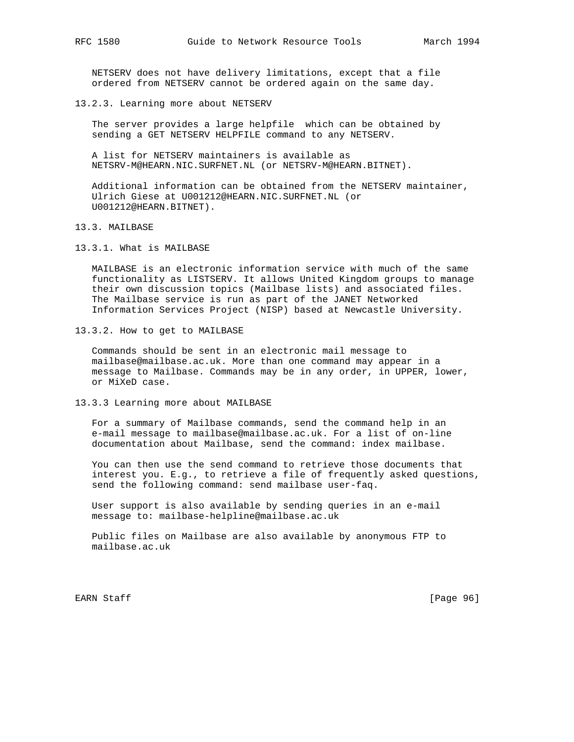NETSERV does not have delivery limitations, except that a file ordered from NETSERV cannot be ordered again on the same day.

13.2.3. Learning more about NETSERV

 The server provides a large helpfile which can be obtained by sending a GET NETSERV HELPFILE command to any NETSERV.

 A list for NETSERV maintainers is available as NETSRV-M@HEARN.NIC.SURFNET.NL (or NETSRV-M@HEARN.BITNET).

 Additional information can be obtained from the NETSERV maintainer, Ulrich Giese at U001212@HEARN.NIC.SURFNET.NL (or U001212@HEARN.BITNET).

13.3. MAILBASE

13.3.1. What is MAILBASE

 MAILBASE is an electronic information service with much of the same functionality as LISTSERV. It allows United Kingdom groups to manage their own discussion topics (Mailbase lists) and associated files. The Mailbase service is run as part of the JANET Networked Information Services Project (NISP) based at Newcastle University.

13.3.2. How to get to MAILBASE

 Commands should be sent in an electronic mail message to mailbase@mailbase.ac.uk. More than one command may appear in a message to Mailbase. Commands may be in any order, in UPPER, lower, or MiXeD case.

13.3.3 Learning more about MAILBASE

 For a summary of Mailbase commands, send the command help in an e-mail message to mailbase@mailbase.ac.uk. For a list of on-line documentation about Mailbase, send the command: index mailbase.

 You can then use the send command to retrieve those documents that interest you. E.g., to retrieve a file of frequently asked questions, send the following command: send mailbase user-faq.

 User support is also available by sending queries in an e-mail message to: mailbase-helpline@mailbase.ac.uk

 Public files on Mailbase are also available by anonymous FTP to mailbase.ac.uk

EARN Staff [Page 96]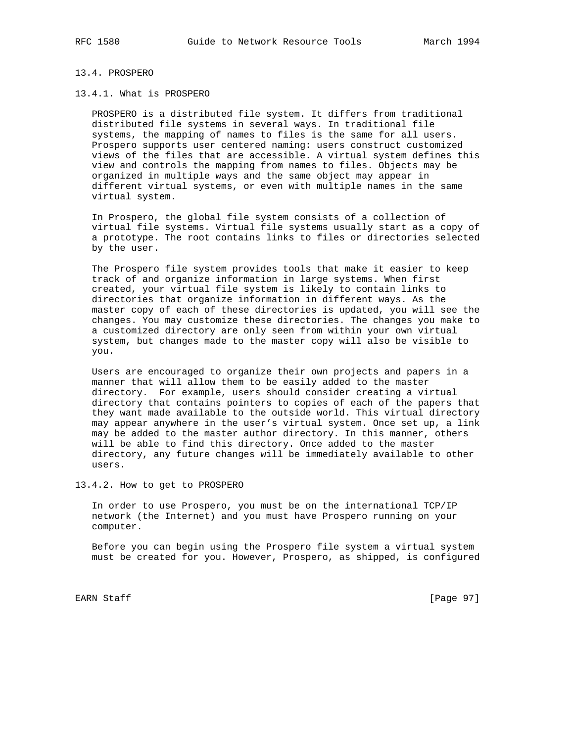# 13.4. PROSPERO

## 13.4.1. What is PROSPERO

 PROSPERO is a distributed file system. It differs from traditional distributed file systems in several ways. In traditional file systems, the mapping of names to files is the same for all users. Prospero supports user centered naming: users construct customized views of the files that are accessible. A virtual system defines this view and controls the mapping from names to files. Objects may be organized in multiple ways and the same object may appear in different virtual systems, or even with multiple names in the same virtual system.

 In Prospero, the global file system consists of a collection of virtual file systems. Virtual file systems usually start as a copy of a prototype. The root contains links to files or directories selected by the user.

 The Prospero file system provides tools that make it easier to keep track of and organize information in large systems. When first created, your virtual file system is likely to contain links to directories that organize information in different ways. As the master copy of each of these directories is updated, you will see the changes. You may customize these directories. The changes you make to a customized directory are only seen from within your own virtual system, but changes made to the master copy will also be visible to you.

 Users are encouraged to organize their own projects and papers in a manner that will allow them to be easily added to the master directory. For example, users should consider creating a virtual directory that contains pointers to copies of each of the papers that they want made available to the outside world. This virtual directory may appear anywhere in the user's virtual system. Once set up, a link may be added to the master author directory. In this manner, others will be able to find this directory. Once added to the master directory, any future changes will be immediately available to other users.

13.4.2. How to get to PROSPERO

 In order to use Prospero, you must be on the international TCP/IP network (the Internet) and you must have Prospero running on your computer.

 Before you can begin using the Prospero file system a virtual system must be created for you. However, Prospero, as shipped, is configured

EARN Staff [Page 97]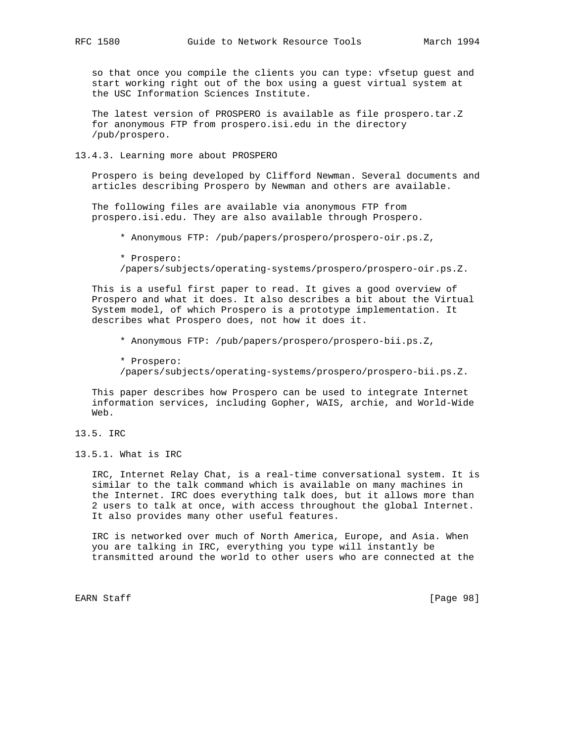so that once you compile the clients you can type: vfsetup guest and start working right out of the box using a guest virtual system at the USC Information Sciences Institute.

 The latest version of PROSPERO is available as file prospero.tar.Z for anonymous FTP from prospero.isi.edu in the directory /pub/prospero.

### 13.4.3. Learning more about PROSPERO

 Prospero is being developed by Clifford Newman. Several documents and articles describing Prospero by Newman and others are available.

 The following files are available via anonymous FTP from prospero.isi.edu. They are also available through Prospero.

\* Anonymous FTP: /pub/papers/prospero/prospero-oir.ps.Z,

 \* Prospero: /papers/subjects/operating-systems/prospero/prospero-oir.ps.Z.

 This is a useful first paper to read. It gives a good overview of Prospero and what it does. It also describes a bit about the Virtual System model, of which Prospero is a prototype implementation. It describes what Prospero does, not how it does it.

\* Anonymous FTP: /pub/papers/prospero/prospero-bii.ps.Z,

 \* Prospero: /papers/subjects/operating-systems/prospero/prospero-bii.ps.Z.

 This paper describes how Prospero can be used to integrate Internet information services, including Gopher, WAIS, archie, and World-Wide Web.

13.5. IRC

13.5.1. What is IRC

 IRC, Internet Relay Chat, is a real-time conversational system. It is similar to the talk command which is available on many machines in the Internet. IRC does everything talk does, but it allows more than 2 users to talk at once, with access throughout the global Internet. It also provides many other useful features.

 IRC is networked over much of North America, Europe, and Asia. When you are talking in IRC, everything you type will instantly be transmitted around the world to other users who are connected at the

EARN Staff [Page 98]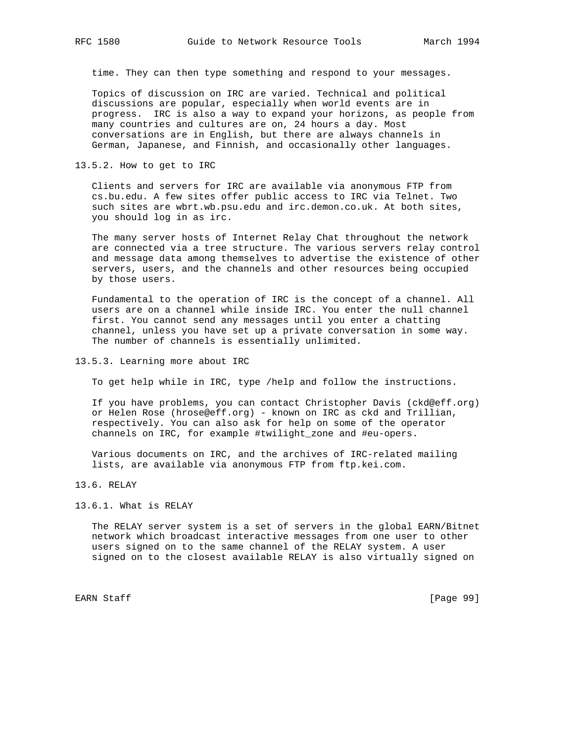time. They can then type something and respond to your messages.

 Topics of discussion on IRC are varied. Technical and political discussions are popular, especially when world events are in progress. IRC is also a way to expand your horizons, as people from many countries and cultures are on, 24 hours a day. Most conversations are in English, but there are always channels in German, Japanese, and Finnish, and occasionally other languages.

13.5.2. How to get to IRC

 Clients and servers for IRC are available via anonymous FTP from cs.bu.edu. A few sites offer public access to IRC via Telnet. Two such sites are wbrt.wb.psu.edu and irc.demon.co.uk. At both sites, you should log in as irc.

 The many server hosts of Internet Relay Chat throughout the network are connected via a tree structure. The various servers relay control and message data among themselves to advertise the existence of other servers, users, and the channels and other resources being occupied by those users.

 Fundamental to the operation of IRC is the concept of a channel. All users are on a channel while inside IRC. You enter the null channel first. You cannot send any messages until you enter a chatting channel, unless you have set up a private conversation in some way. The number of channels is essentially unlimited.

13.5.3. Learning more about IRC

To get help while in IRC, type /help and follow the instructions.

 If you have problems, you can contact Christopher Davis (ckd@eff.org) or Helen Rose (hrose@eff.org) - known on IRC as ckd and Trillian, respectively. You can also ask for help on some of the operator channels on IRC, for example #twilight\_zone and #eu-opers.

 Various documents on IRC, and the archives of IRC-related mailing lists, are available via anonymous FTP from ftp.kei.com.

## 13.6. RELAY

## 13.6.1. What is RELAY

 The RELAY server system is a set of servers in the global EARN/Bitnet network which broadcast interactive messages from one user to other users signed on to the same channel of the RELAY system. A user signed on to the closest available RELAY is also virtually signed on

EARN Staff [Page 99]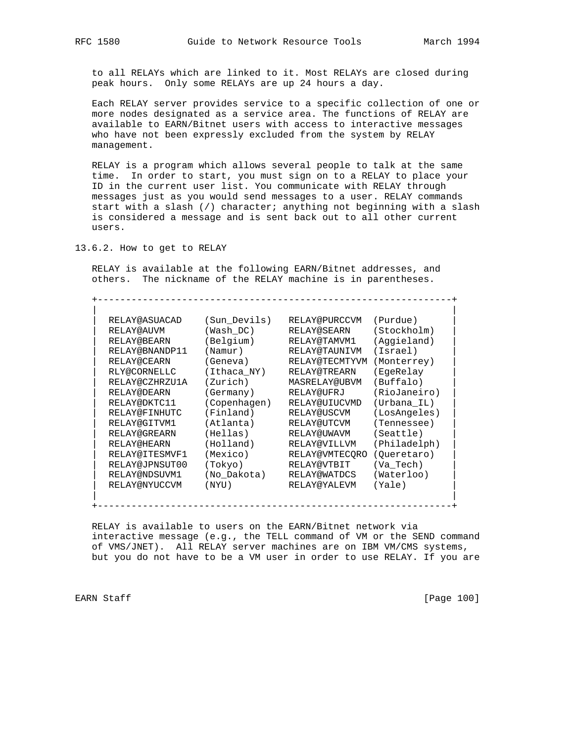to all RELAYs which are linked to it. Most RELAYs are closed during peak hours. Only some RELAYs are up 24 hours a day.

 Each RELAY server provides service to a specific collection of one or more nodes designated as a service area. The functions of RELAY are available to EARN/Bitnet users with access to interactive messages who have not been expressly excluded from the system by RELAY management.

 RELAY is a program which allows several people to talk at the same time. In order to start, you must sign on to a RELAY to place your ID in the current user list. You communicate with RELAY through messages just as you would send messages to a user. RELAY commands start with a slash (/) character; anything not beginning with a slash is considered a message and is sent back out to all other current users.

13.6.2. How to get to RELAY

 RELAY is available at the following EARN/Bitnet addresses, and others. The nickname of the RELAY machine is in parentheses.

+---------------------------------------------------------------+

| RELAY@ASUACAD      | (Sun Devils) | RELAY@PURCCVM        | (Purdue)     |
|--------------------|--------------|----------------------|--------------|
| RELAY@AUVM         | (Wash DC)    | RELAY@SEARN          | (Stockholm)  |
| RELAY@BEARN        | (Belgium)    | RELAY@TAMVM1         | (Aggieland)  |
| RELAY@BNANDP11     | (Namur)      | RELAY@TAUNIVM        | (Israel)     |
| RELAY@CEARN        | (Geneva)     | RELAY@TECMTYVM       | (Monterrey)  |
| RLY@CORNELLC       | (Ithaca_NY)  | RELAY@TREARN         | (EgeRelay    |
| RELAY@CZHRZU1A     | (Zurich)     | <b>MASRELAY@UBVM</b> | (Buffalo)    |
| RELAY@DEARN        | (Germany)    | RELAY@UFRJ           | (RioJaneiro) |
| RELAY@DKTC11       | (Copenhagen) | RELAY@UIUCVMD        | (Urbana IL)  |
| RELAY@FINHUTC      | (Finland)    | RELAY@USCVM          | (LosAngeles) |
| RELAY@GITVM1       | (Atlanta)    | RELAY@UTCVM          | (Tennessee)  |
| RELAY@GREARN       | (Hellas)     | RELAY@UWAVM          | (Seattle)    |
| <b>RELAY@HEARN</b> | (Holland)    | RELAY@VILLVM         | (Philadelph) |
| RELAY@ITESMVF1     | (Mexico)     | RELAY@VMTECORO       | (Oueretaro)  |
| RELAY@JPNSUT00     | (Tokyo)      | RELAY@VTBIT          | (Va Tech)    |
| RELAY@NDSUVM1      | (No Dakota)  | RELAY@WATDCS         | (Waterloo)   |
| RELAY@NYUCCVM      | (NYU)        | RELAY@YALEVM         | (Yale)       |

 RELAY is available to users on the EARN/Bitnet network via interactive message (e.g., the TELL command of VM or the SEND command of VMS/JNET). All RELAY server machines are on IBM VM/CMS systems, but you do not have to be a VM user in order to use RELAY. If you are

EARN Staff [Page 100]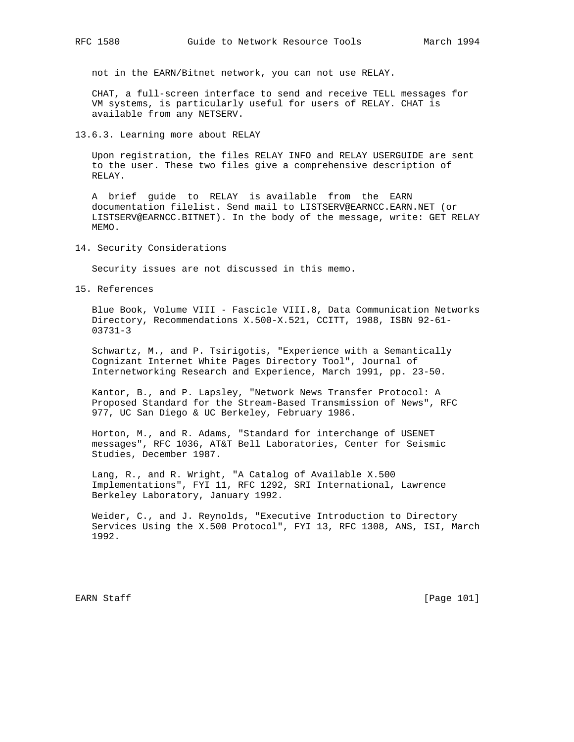not in the EARN/Bitnet network, you can not use RELAY.

 CHAT, a full-screen interface to send and receive TELL messages for VM systems, is particularly useful for users of RELAY. CHAT is available from any NETSERV.

13.6.3. Learning more about RELAY

 Upon registration, the files RELAY INFO and RELAY USERGUIDE are sent to the user. These two files give a comprehensive description of RELAY.

 A brief guide to RELAY is available from the EARN documentation filelist. Send mail to LISTSERV@EARNCC.EARN.NET (or LISTSERV@EARNCC.BITNET). In the body of the message, write: GET RELAY MEMO.

14. Security Considerations

Security issues are not discussed in this memo.

15. References

 Blue Book, Volume VIII - Fascicle VIII.8, Data Communication Networks Directory, Recommendations X.500-X.521, CCITT, 1988, ISBN 92-61- 03731-3

 Schwartz, M., and P. Tsirigotis, "Experience with a Semantically Cognizant Internet White Pages Directory Tool", Journal of Internetworking Research and Experience, March 1991, pp. 23-50.

 Kantor, B., and P. Lapsley, "Network News Transfer Protocol: A Proposed Standard for the Stream-Based Transmission of News", RFC 977, UC San Diego & UC Berkeley, February 1986.

 Horton, M., and R. Adams, "Standard for interchange of USENET messages", RFC 1036, AT&T Bell Laboratories, Center for Seismic Studies, December 1987.

 Lang, R., and R. Wright, "A Catalog of Available X.500 Implementations", FYI 11, RFC 1292, SRI International, Lawrence Berkeley Laboratory, January 1992.

 Weider, C., and J. Reynolds, "Executive Introduction to Directory Services Using the X.500 Protocol", FYI 13, RFC 1308, ANS, ISI, March 1992.

EARN Staff [Page 101]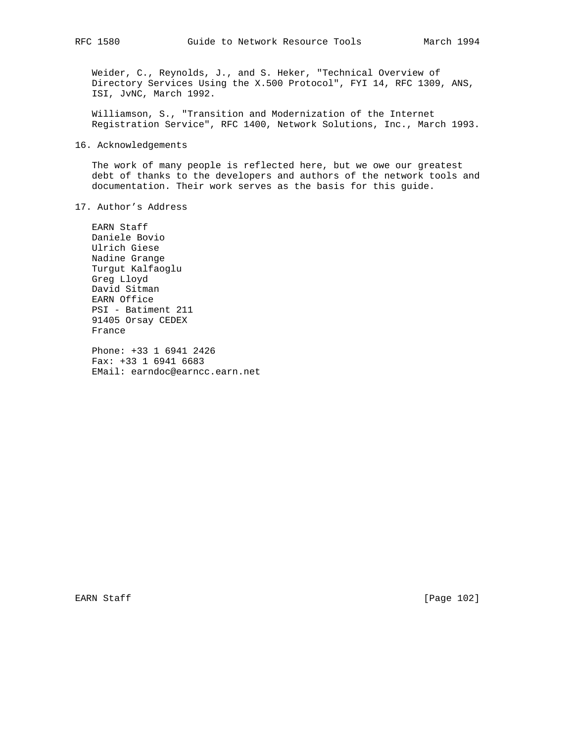Weider, C., Reynolds, J., and S. Heker, "Technical Overview of Directory Services Using the X.500 Protocol", FYI 14, RFC 1309, ANS, ISI, JvNC, March 1992.

 Williamson, S., "Transition and Modernization of the Internet Registration Service", RFC 1400, Network Solutions, Inc., March 1993.

## 16. Acknowledgements

 The work of many people is reflected here, but we owe our greatest debt of thanks to the developers and authors of the network tools and documentation. Their work serves as the basis for this guide.

17. Author's Address

 EARN Staff Daniele Bovio Ulrich Giese Nadine Grange Turgut Kalfaoglu Greg Lloyd David Sitman EARN Office PSI - Batiment 211 91405 Orsay CEDEX France

 Phone: +33 1 6941 2426 Fax: +33 1 6941 6683 EMail: earndoc@earncc.earn.net

EARN Staff [Page 102]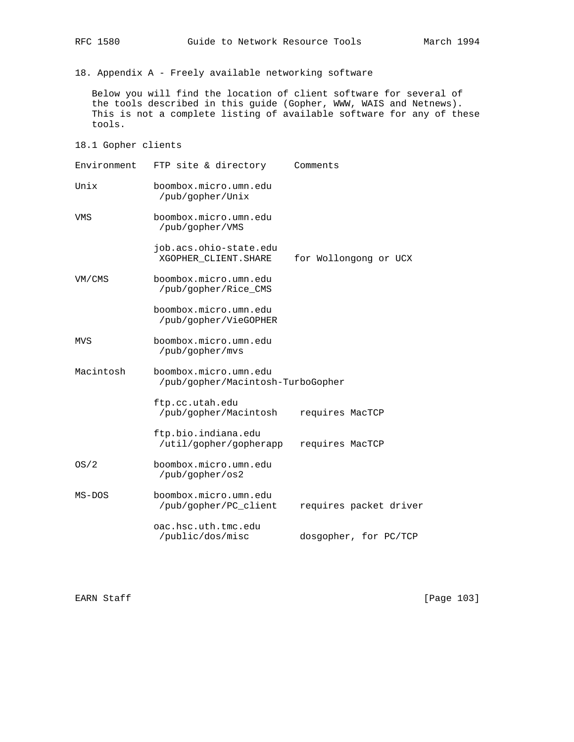18. Appendix A - Freely available networking software

 Below you will find the location of client software for several of the tools described in this guide (Gopher, WWW, WAIS and Netnews). This is not a complete listing of available software for any of these tools.

18.1 Gopher clients

| Environment | FTP site & directory                                       | Comments               |  |  |  |
|-------------|------------------------------------------------------------|------------------------|--|--|--|
| Unix        | boombox.micro.umn.edu<br>/pub/gopher/Unix                  |                        |  |  |  |
| VMS         | boombox.micro.umn.edu<br>/pub/gopher/VMS                   |                        |  |  |  |
|             | job.acs.ohio-state.edu<br>XGOPHER_CLIENT.SHARE             | for Wollongong or UCX  |  |  |  |
| VM/CMS      | boombox.micro.umn.edu<br>/pub/gopher/Rice_CMS              |                        |  |  |  |
|             | boombox.micro.umn.edu<br>/pub/gopher/VieGOPHER             |                        |  |  |  |
| MVS         | boombox.micro.umn.edu<br>/pub/gopher/mvs                   |                        |  |  |  |
| Macintosh   | boombox.micro.umn.edu<br>/pub/gopher/Macintosh-TurboGopher |                        |  |  |  |
|             | ftp.cc.utah.edu<br>/pub/gopher/Macintosh                   | requires MacTCP        |  |  |  |
|             | ftp.bio.indiana.edu<br>/util/gopher/gopherapp              | requires MacTCP        |  |  |  |
| OS/2        | boombox.micro.umn.edu<br>/pub/gopher/os2                   |                        |  |  |  |
| MS-DOS      | boombox.micro.umn.edu<br>/pub/gopher/PC client             | requires packet driver |  |  |  |
|             | oac.hsc.uth.tmc.edu<br>/public/dos/misc                    | dosgopher, for PC/TCP  |  |  |  |

EARN Staff [Page 103]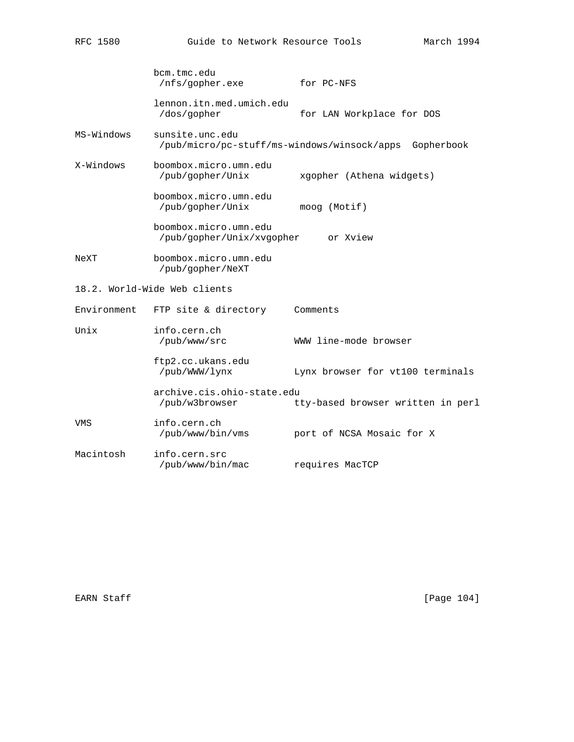|             | bcm.tmc.edu<br>/nfs/qopher.exe                                 | for PC-NFS                        |
|-------------|----------------------------------------------------------------|-----------------------------------|
|             | lennon.itn.med.umich.edu<br>/dos/gopher                        | for LAN Workplace for DOS         |
| MS-Windows  | sunsite.unc.edu<br>/pub/micro/pc-stuff/ms-windows/winsock/apps | Gopherbook                        |
| X-Windows   | boombox.micro.umn.edu<br>/pub/gopher/Unix                      | xgopher (Athena widgets)          |
|             | boombox.micro.umn.edu<br>/pub/gopher/Unix                      | moog (Motif)                      |
|             | boombox.micro.umn.edu<br>/pub/gopher/Unix/xvgopher             | or Xview                          |
| NeXT        | boombox.micro.umn.edu<br>/pub/gopher/NeXT                      |                                   |
|             | 18.2. World-Wide Web clients                                   |                                   |
| Environment | FTP site & directory                                           | Comments                          |
| Unix        | info.cern.ch<br>/pub/www/src                                   | WWW line-mode browser             |
|             | ftp2.cc.ukans.edu<br>/pub/WWW/lynx                             | Lynx browser for vt100 terminals  |
|             | archive.cis.ohio-state.edu<br>/pub/w3browser                   | tty-based browser written in perl |
| VMS         | info.cern.ch<br>/pub/www/bin/vms                               | port of NCSA Mosaic for X         |
| Macintosh   | info.cern.src<br>/pub/www/bin/mac                              | requires MacTCP                   |

EARN Staff [Page 104]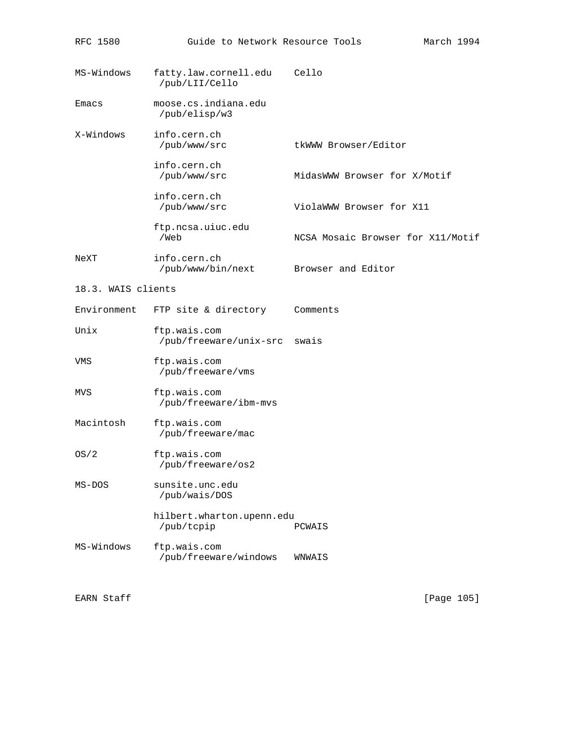| RFC 1580           | Guide to Network Resource Tools         |                                   | March 1994 |
|--------------------|-----------------------------------------|-----------------------------------|------------|
| MS-Windows         | fatty.law.cornell.edu<br>/pub/LII/Cello | Cello                             |            |
| Emacs              | moose.cs.indiana.edu<br>/pub/elisp/w3   |                                   |            |
| X-Windows          | info.cern.ch<br>/pub/www/src            | tkWWW Browser/Editor              |            |
|                    | info.cern.ch<br>/pub/www/src            | MidasWWW Browser for X/Motif      |            |
|                    | info.cern.ch<br>/pub/www/src            | ViolaWWW Browser for X11          |            |
|                    | ftp.ncsa.uiuc.edu<br>/Web               | NCSA Mosaic Browser for X11/Motif |            |
| NeXT               | info.cern.ch<br>/pub/www/bin/next       | Browser and Editor                |            |
| 18.3. WAIS clients |                                         |                                   |            |
| Environment        | FTP site & directory                    | Comments                          |            |
| Unix               | ftp.wais.com<br>/pub/freeware/unix-src  | swais                             |            |
| VMS                | ftp.wais.com<br>/pub/freeware/vms       |                                   |            |
| MVS                | ftp.wais.com<br>/pub/freeware/ibm-mvs   |                                   |            |
| Macintosh          | ftp.wais.com<br>/pub/freeware/mac       |                                   |            |
| OS/2               | ftp.wais.com<br>/pub/freeware/os2       |                                   |            |
| $MS-DOS$           | sunsite.unc.edu<br>/pub/wais/DOS        |                                   |            |
|                    | hilbert.wharton.upenn.edu<br>/pub/tcpip | PCWAIS                            |            |
| MS-Windows         | ftp.wais.com<br>/pub/freeware/windows   | WNWAIS                            |            |

EARN Staff [Page 105]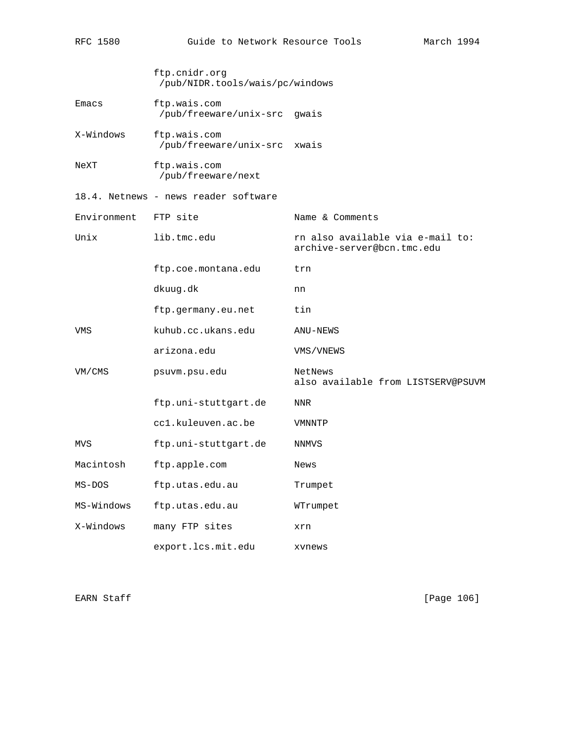|             | ftp.cnidr.org<br>/pub/NIDR.tools/wais/pc/windows |                                                                |
|-------------|--------------------------------------------------|----------------------------------------------------------------|
| Emacs       | ftp.wais.com<br>/pub/freeware/unix-src           | qwais                                                          |
| X-Windows   | ftp.wais.com<br>/pub/freeware/unix-src           | xwais                                                          |
| NeXT        | ftp.wais.com<br>/pub/freeware/next               |                                                                |
|             | 18.4. Netnews - news reader software             |                                                                |
| Environment | FTP site                                         | Name & Comments                                                |
| Unix        | lib.tmc.edu                                      | rn also available via e-mail to:<br>archive-server@bcn.tmc.edu |
|             | ftp.coe.montana.edu                              | trn                                                            |
|             | dkuug.dk                                         | nn                                                             |
|             | ftp.germany.eu.net                               | tin                                                            |
| VMS         | kuhub.cc.ukans.edu                               | ANU-NEWS                                                       |
|             | arizona.edu                                      | VMS/VNEWS                                                      |
| VM/CMS      | psuvm.psu.edu                                    | NetNews<br>also available from LISTSERV@PSUVM                  |
|             | ftp.uni-stuttgart.de                             | NNR                                                            |
|             | ccl.kuleuven.ac.be                               | VMNNTP                                                         |
| MVS         | ftp.uni-stuttgart.de                             | NNMVS                                                          |
| Macintosh   | ftp.apple.com                                    | News                                                           |
| MS-DOS      | ftp.utas.edu.au                                  | Trumpet                                                        |
| MS-Windows  | ftp.utas.edu.au                                  | WTrumpet                                                       |
| X-Windows   | many FTP sites                                   | xrn                                                            |
|             | export.lcs.mit.edu                               | xvnews                                                         |

RFC 1580 Guide to Network Resource Tools March 1994